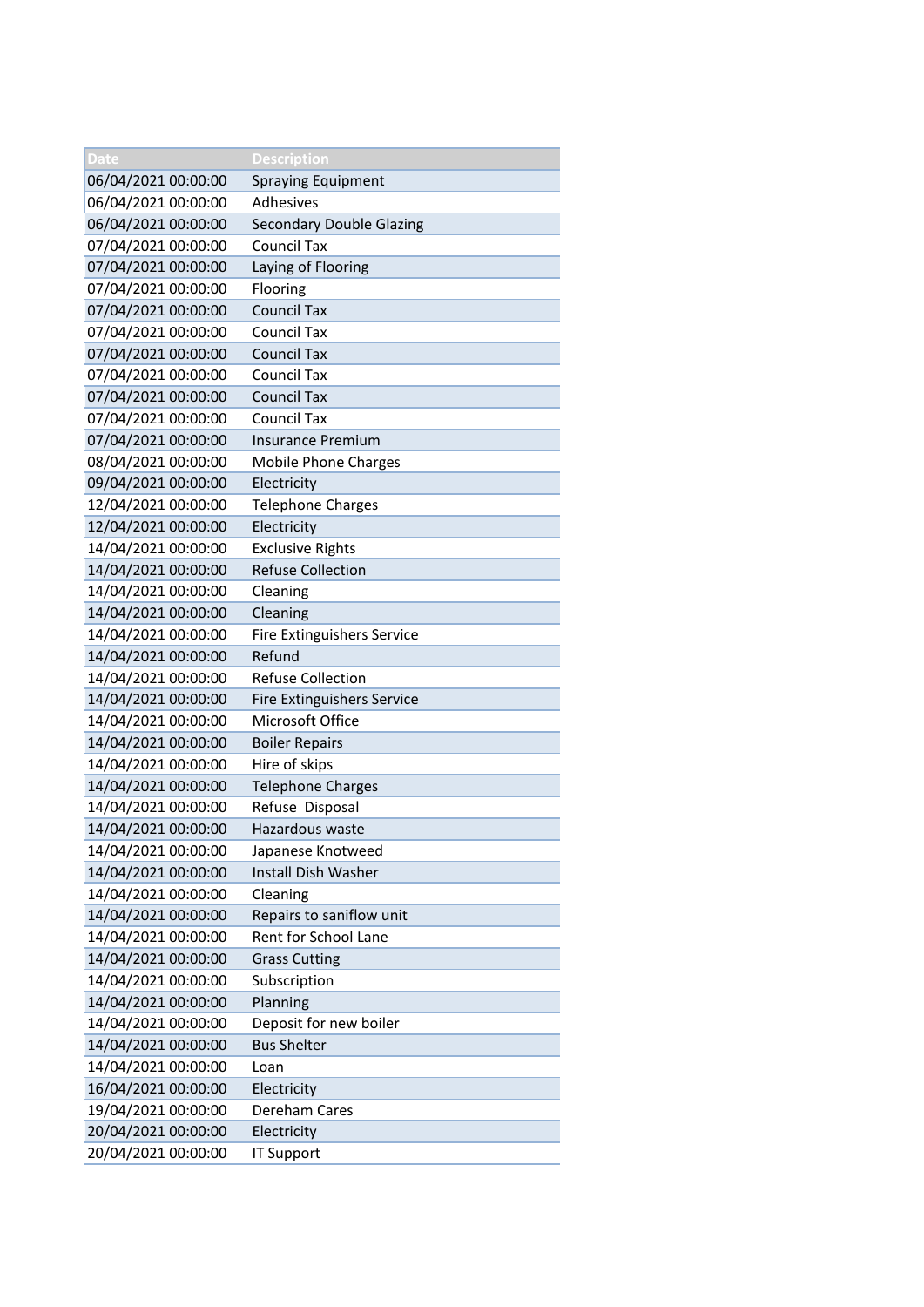| Date                | Description                       |
|---------------------|-----------------------------------|
| 06/04/2021 00:00:00 | Spraying Equipment                |
| 06/04/2021 00:00:00 | Adhesives                         |
| 06/04/2021 00:00:00 | <b>Secondary Double Glazing</b>   |
| 07/04/2021 00:00:00 | <b>Council Tax</b>                |
| 07/04/2021 00:00:00 | Laying of Flooring                |
| 07/04/2021 00:00:00 | Flooring                          |
| 07/04/2021 00:00:00 | <b>Council Tax</b>                |
| 07/04/2021 00:00:00 | <b>Council Tax</b>                |
| 07/04/2021 00:00:00 | <b>Council Tax</b>                |
| 07/04/2021 00:00:00 | <b>Council Tax</b>                |
| 07/04/2021 00:00:00 | <b>Council Tax</b>                |
| 07/04/2021 00:00:00 | <b>Council Tax</b>                |
| 07/04/2021 00:00:00 | <b>Insurance Premium</b>          |
| 08/04/2021 00:00:00 | <b>Mobile Phone Charges</b>       |
| 09/04/2021 00:00:00 | Electricity                       |
| 12/04/2021 00:00:00 | Telephone Charges                 |
| 12/04/2021 00:00:00 | Electricity                       |
| 14/04/2021 00:00:00 | <b>Exclusive Rights</b>           |
| 14/04/2021 00:00:00 | <b>Refuse Collection</b>          |
| 14/04/2021 00:00:00 | Cleaning                          |
| 14/04/2021 00:00:00 | Cleaning                          |
| 14/04/2021 00:00:00 | Fire Extinguishers Service        |
| 14/04/2021 00:00:00 | Refund                            |
| 14/04/2021 00:00:00 | <b>Refuse Collection</b>          |
| 14/04/2021 00:00:00 | <b>Fire Extinguishers Service</b> |
| 14/04/2021 00:00:00 | Microsoft Office                  |
| 14/04/2021 00:00:00 | <b>Boiler Repairs</b>             |
| 14/04/2021 00:00:00 | Hire of skips                     |
| 14/04/2021 00:00:00 | <b>Telephone Charges</b>          |
| 14/04/2021 00:00:00 | Refuse Disposal                   |
| 14/04/2021 00:00:00 | Hazardous waste                   |
| 14/04/2021 00:00:00 | Japanese Knotweed                 |
| 14/04/2021 00:00:00 | Install Dish Washer               |
| 14/04/2021 00:00:00 | Cleaning                          |
| 14/04/2021 00:00:00 | Repairs to saniflow unit          |
| 14/04/2021 00:00:00 | Rent for School Lane              |
| 14/04/2021 00:00:00 | <b>Grass Cutting</b>              |
| 14/04/2021 00:00:00 | Subscription                      |
| 14/04/2021 00:00:00 | Planning                          |
| 14/04/2021 00:00:00 | Deposit for new boiler            |
| 14/04/2021 00:00:00 | <b>Bus Shelter</b>                |
| 14/04/2021 00:00:00 | Loan                              |
| 16/04/2021 00:00:00 | Electricity                       |
| 19/04/2021 00:00:00 | Dereham Cares                     |
| 20/04/2021 00:00:00 | Electricity                       |
| 20/04/2021 00:00:00 | <b>IT Support</b>                 |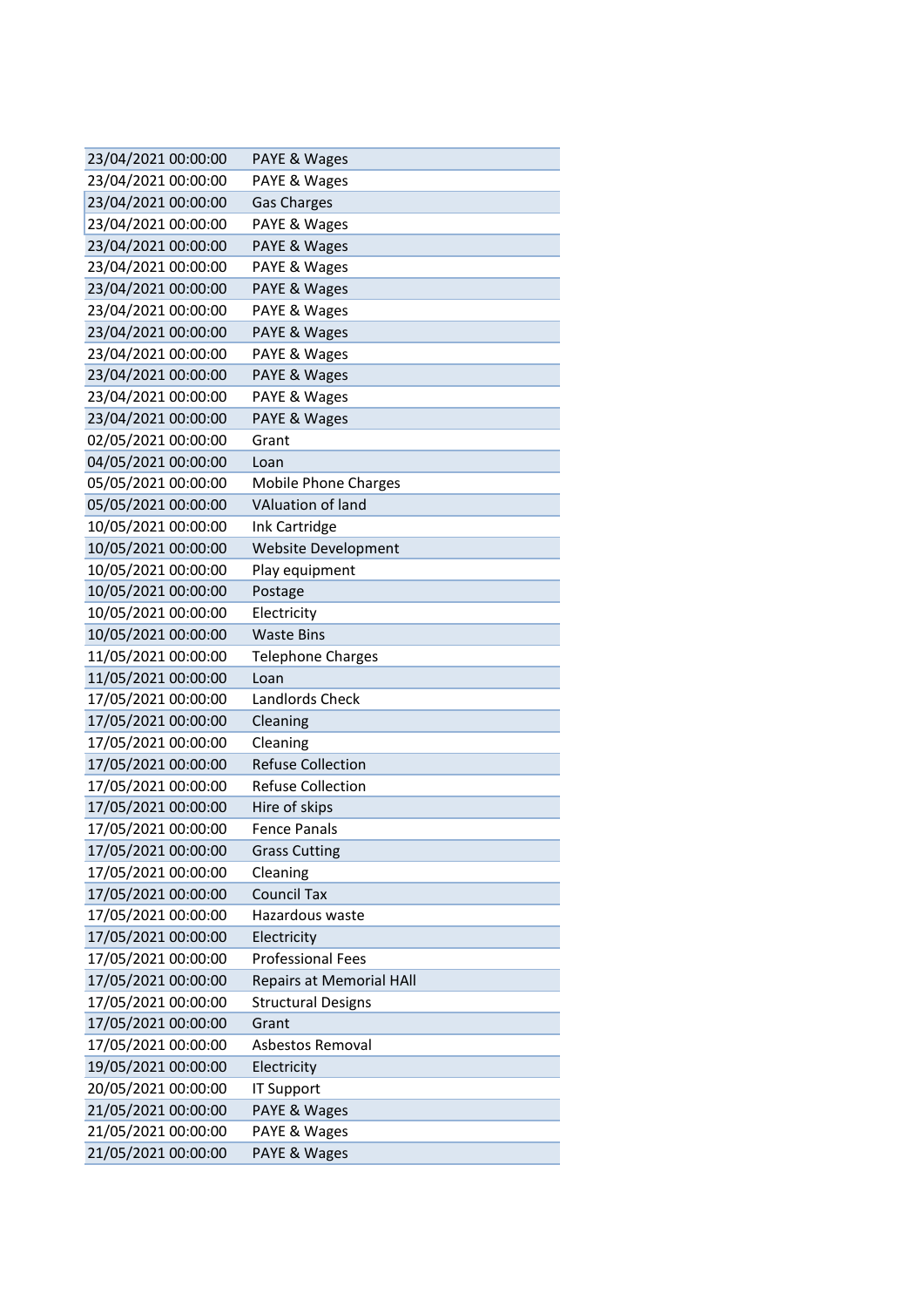| 23/04/2021 00:00:00                        | PAYE & Wages                    |
|--------------------------------------------|---------------------------------|
| 23/04/2021 00:00:00                        | PAYE & Wages                    |
| 23/04/2021 00:00:00                        | <b>Gas Charges</b>              |
| 23/04/2021 00:00:00                        | PAYE & Wages                    |
| 23/04/2021 00:00:00                        | PAYE & Wages                    |
| 23/04/2021 00:00:00                        | PAYE & Wages                    |
| 23/04/2021 00:00:00                        | PAYE & Wages                    |
| 23/04/2021 00:00:00                        | PAYE & Wages                    |
| 23/04/2021 00:00:00                        | PAYE & Wages                    |
| 23/04/2021 00:00:00                        | PAYE & Wages                    |
| 23/04/2021 00:00:00                        | PAYE & Wages                    |
| 23/04/2021 00:00:00                        | PAYE & Wages                    |
| 23/04/2021 00:00:00                        | PAYE & Wages                    |
| 02/05/2021 00:00:00                        | Grant                           |
| 04/05/2021 00:00:00                        | Loan                            |
| 05/05/2021 00:00:00                        | <b>Mobile Phone Charges</b>     |
| 05/05/2021 00:00:00                        | <b>VAluation of land</b>        |
| 10/05/2021 00:00:00                        | Ink Cartridge                   |
| 10/05/2021 00:00:00                        | Website Development             |
| 10/05/2021 00:00:00                        | Play equipment                  |
| 10/05/2021 00:00:00                        | Postage                         |
| 10/05/2021 00:00:00                        | Electricity                     |
| 10/05/2021 00:00:00                        | <b>Waste Bins</b>               |
| 11/05/2021 00:00:00                        | <b>Telephone Charges</b>        |
| 11/05/2021 00:00:00                        | Loan                            |
| 17/05/2021 00:00:00                        | Landlords Check                 |
| 17/05/2021 00:00:00                        | Cleaning                        |
| 17/05/2021 00:00:00                        | Cleaning                        |
| 17/05/2021 00:00:00                        | <b>Refuse Collection</b>        |
| 17/05/2021 00:00:00                        | <b>Refuse Collection</b>        |
| 17/05/2021 00:00:00                        | Hire of skips                   |
| 17/05/2021 00:00:00                        | <b>Fence Panals</b>             |
| 17/05/2021 00:00:00                        | <b>Grass Cutting</b>            |
| 17/05/2021 00:00:00<br>17/05/2021 00:00:00 | Cleaning<br><b>Council Tax</b>  |
| 17/05/2021 00:00:00                        | Hazardous waste                 |
| 17/05/2021 00:00:00                        | Electricity                     |
| 17/05/2021 00:00:00                        | <b>Professional Fees</b>        |
| 17/05/2021 00:00:00                        | <b>Repairs at Memorial HAll</b> |
| 17/05/2021 00:00:00                        | <b>Structural Designs</b>       |
| 17/05/2021 00:00:00                        | Grant                           |
| 17/05/2021 00:00:00                        | Asbestos Removal                |
| 19/05/2021 00:00:00                        | Electricity                     |
| 20/05/2021 00:00:00                        | <b>IT Support</b>               |
| 21/05/2021 00:00:00                        | PAYE & Wages                    |
| 21/05/2021 00:00:00                        | PAYE & Wages                    |
| 21/05/2021 00:00:00                        | PAYE & Wages                    |
|                                            |                                 |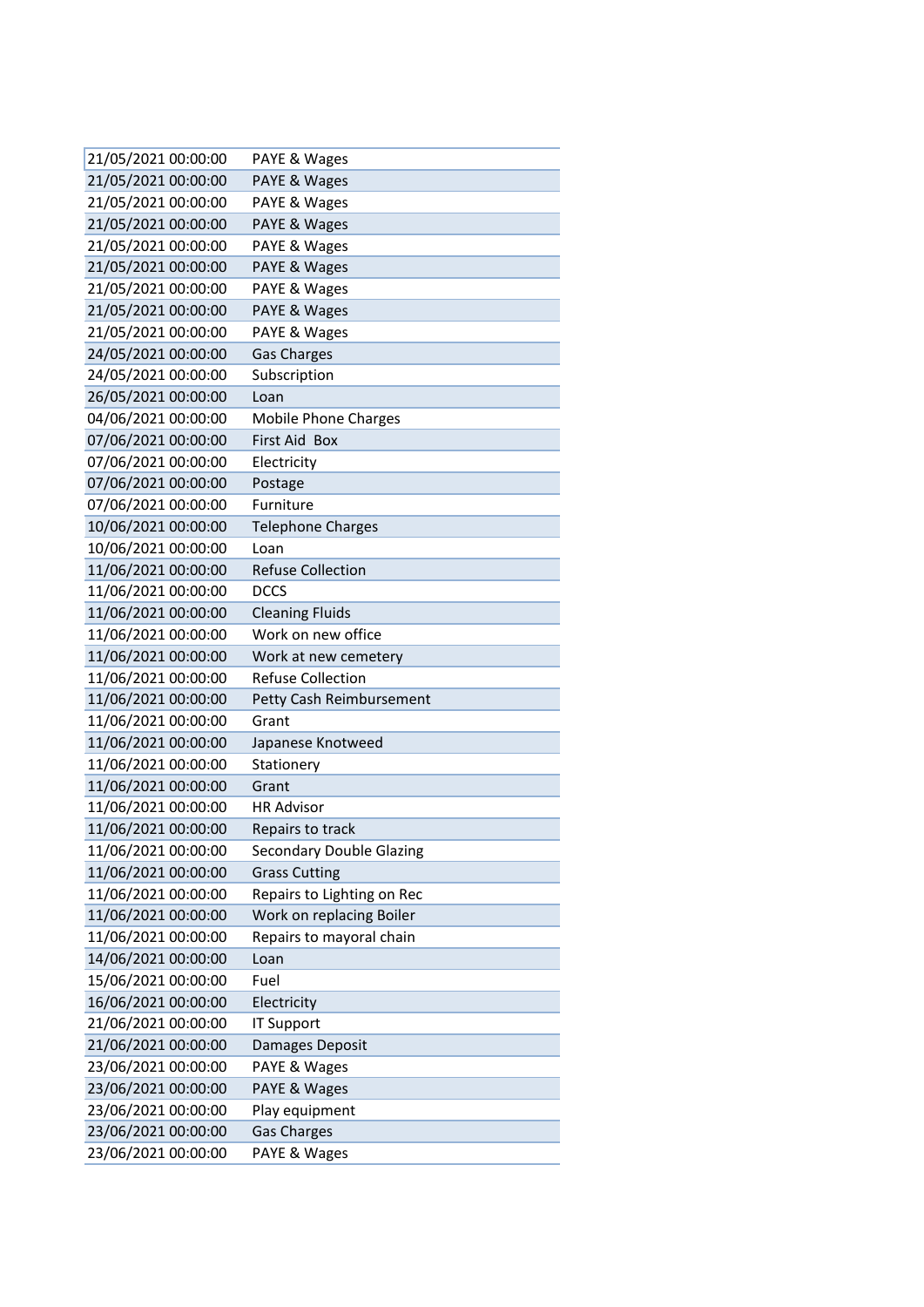| 21/05/2021 00:00:00                        | PAYE & Wages                      |
|--------------------------------------------|-----------------------------------|
| 21/05/2021 00:00:00                        | PAYE & Wages                      |
| 21/05/2021 00:00:00                        | PAYE & Wages                      |
| 21/05/2021 00:00:00                        | PAYE & Wages                      |
| 21/05/2021 00:00:00                        | PAYE & Wages                      |
| 21/05/2021 00:00:00                        | PAYE & Wages                      |
| 21/05/2021 00:00:00                        | PAYE & Wages                      |
| 21/05/2021 00:00:00                        | PAYE & Wages                      |
| 21/05/2021 00:00:00                        | PAYE & Wages                      |
| 24/05/2021 00:00:00                        | <b>Gas Charges</b>                |
| 24/05/2021 00:00:00                        | Subscription                      |
| 26/05/2021 00:00:00                        | Loan                              |
| 04/06/2021 00:00:00                        | <b>Mobile Phone Charges</b>       |
| 07/06/2021 00:00:00                        | First Aid Box                     |
| 07/06/2021 00:00:00                        | Electricity                       |
| 07/06/2021 00:00:00                        | Postage                           |
| 07/06/2021 00:00:00                        | Furniture                         |
| 10/06/2021 00:00:00                        | <b>Telephone Charges</b>          |
| 10/06/2021 00:00:00                        | Loan                              |
| 11/06/2021 00:00:00                        | <b>Refuse Collection</b>          |
| 11/06/2021 00:00:00                        | <b>DCCS</b>                       |
| 11/06/2021 00:00:00                        | <b>Cleaning Fluids</b>            |
| 11/06/2021 00:00:00                        | Work on new office                |
| 11/06/2021 00:00:00                        | Work at new cemetery              |
| 11/06/2021 00:00:00<br>11/06/2021 00:00:00 | <b>Refuse Collection</b>          |
| 11/06/2021 00:00:00                        | Petty Cash Reimbursement<br>Grant |
| 11/06/2021 00:00:00                        | Japanese Knotweed                 |
| 11/06/2021 00:00:00                        | Stationery                        |
| 11/06/2021 00:00:00                        | Grant                             |
| 11/06/2021 00:00:00                        | <b>HR Advisor</b>                 |
| 11/06/2021 00:00:00                        | Repairs to track                  |
| 11/06/2021 00:00:00                        | <b>Secondary Double Glazing</b>   |
| 11/06/2021 00:00:00                        | <b>Grass Cutting</b>              |
| 11/06/2021 00:00:00                        | Repairs to Lighting on Rec        |
| 11/06/2021 00:00:00                        | Work on replacing Boiler          |
| 11/06/2021 00:00:00                        | Repairs to mayoral chain          |
| 14/06/2021 00:00:00                        | Loan                              |
| 15/06/2021 00:00:00                        | Fuel                              |
| 16/06/2021 00:00:00                        | Electricity                       |
| 21/06/2021 00:00:00                        | <b>IT Support</b>                 |
| 21/06/2021 00:00:00                        | Damages Deposit                   |
| 23/06/2021 00:00:00                        | PAYE & Wages                      |
| 23/06/2021 00:00:00                        | PAYE & Wages                      |
| 23/06/2021 00:00:00                        | Play equipment                    |
| 23/06/2021 00:00:00                        | <b>Gas Charges</b>                |
| 23/06/2021 00:00:00                        | PAYE & Wages                      |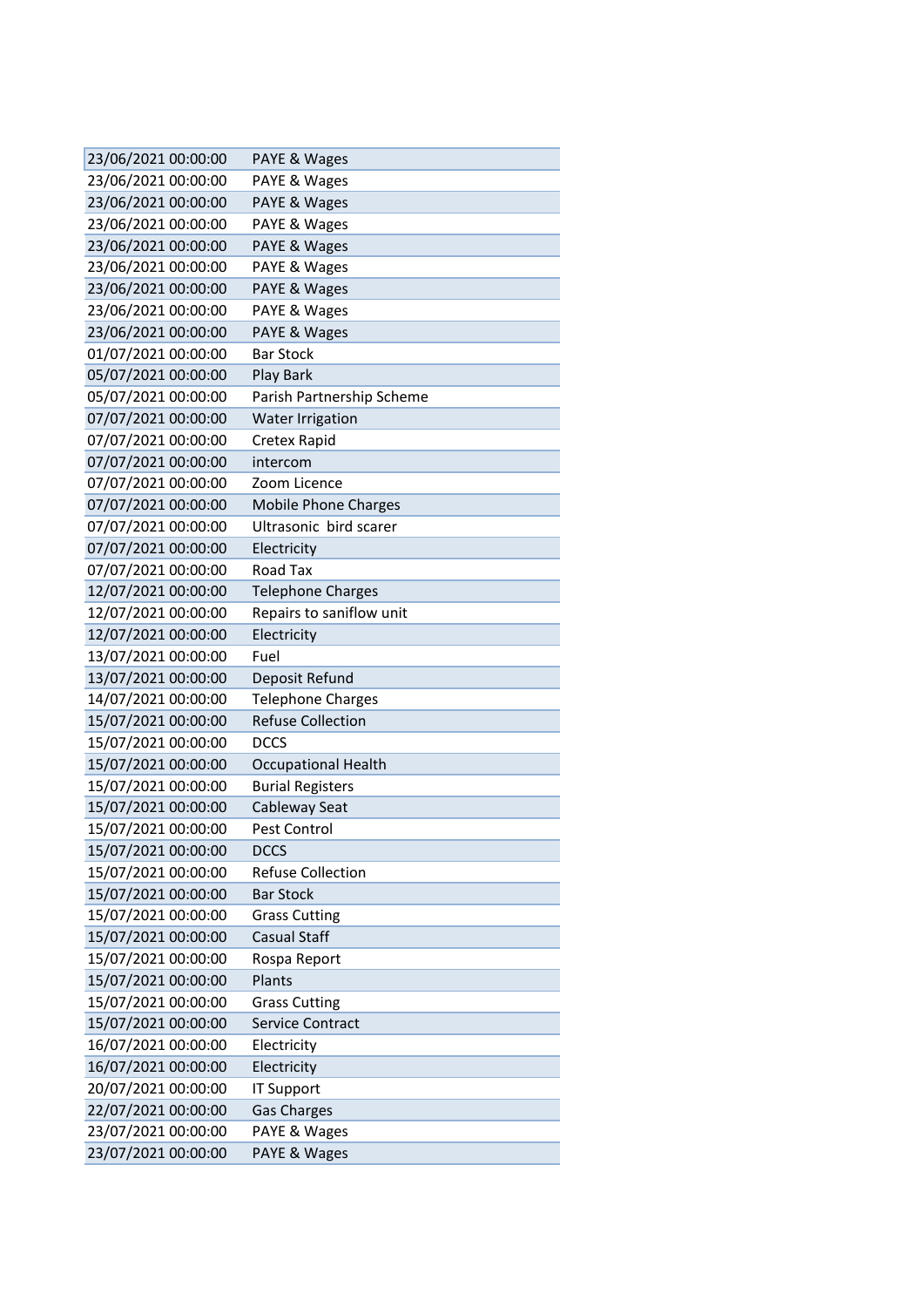| 23/06/2021 00:00:00                        | PAYE & Wages                                 |
|--------------------------------------------|----------------------------------------------|
| 23/06/2021 00:00:00                        | PAYE & Wages                                 |
| 23/06/2021 00:00:00                        | PAYE & Wages                                 |
| 23/06/2021 00:00:00                        | PAYE & Wages                                 |
| 23/06/2021 00:00:00                        | PAYE & Wages                                 |
| 23/06/2021 00:00:00                        | PAYE & Wages                                 |
| 23/06/2021 00:00:00                        | PAYE & Wages                                 |
| 23/06/2021 00:00:00                        | PAYE & Wages                                 |
| 23/06/2021 00:00:00                        | PAYE & Wages                                 |
| 01/07/2021 00:00:00                        | <b>Bar Stock</b>                             |
| 05/07/2021 00:00:00                        | Play Bark                                    |
| 05/07/2021 00:00:00                        | Parish Partnership Scheme                    |
| 07/07/2021 00:00:00                        | <b>Water Irrigation</b>                      |
| 07/07/2021 00:00:00                        | Cretex Rapid                                 |
| 07/07/2021 00:00:00                        | intercom                                     |
| 07/07/2021 00:00:00                        | Zoom Licence                                 |
| 07/07/2021 00:00:00                        | <b>Mobile Phone Charges</b>                  |
| 07/07/2021 00:00:00                        | Ultrasonic bird scarer                       |
| 07/07/2021 00:00:00                        | Electricity                                  |
| 07/07/2021 00:00:00                        | Road Tax                                     |
| 12/07/2021 00:00:00                        | <b>Telephone Charges</b>                     |
| 12/07/2021 00:00:00                        | Repairs to saniflow unit                     |
| 12/07/2021 00:00:00                        | Electricity                                  |
| 13/07/2021 00:00:00                        | Fuel                                         |
| 13/07/2021 00:00:00                        | Deposit Refund                               |
| 14/07/2021 00:00:00                        | <b>Telephone Charges</b>                     |
| 15/07/2021 00:00:00                        | <b>Refuse Collection</b>                     |
| 15/07/2021 00:00:00                        | DCCS                                         |
| 15/07/2021 00:00:00                        | <b>Occupational Health</b>                   |
| 15/07/2021 00:00:00                        | <b>Burial Registers</b>                      |
| 15/07/2021 00:00:00                        | Cableway Seat                                |
| 15/07/2021 00:00:00                        | Pest Control                                 |
| 15/07/2021 00:00:00                        | <b>DCCS</b>                                  |
| 15/07/2021 00:00:00                        | <b>Refuse Collection</b><br><b>Bar Stock</b> |
| 15/07/2021 00:00:00                        |                                              |
| 15/07/2021 00:00:00                        | <b>Grass Cutting</b>                         |
| 15/07/2021 00:00:00                        | Casual Staff                                 |
| 15/07/2021 00:00:00<br>15/07/2021 00:00:00 | Rospa Report<br>Plants                       |
|                                            |                                              |
| 15/07/2021 00:00:00<br>15/07/2021 00:00:00 | <b>Grass Cutting</b><br>Service Contract     |
| 16/07/2021 00:00:00                        | Electricity                                  |
|                                            |                                              |
| 16/07/2021 00:00:00                        | Electricity                                  |
| 20/07/2021 00:00:00                        | <b>IT Support</b>                            |
| 22/07/2021 00:00:00                        | <b>Gas Charges</b>                           |
| 23/07/2021 00:00:00                        | PAYE & Wages                                 |
| 23/07/2021 00:00:00                        | PAYE & Wages                                 |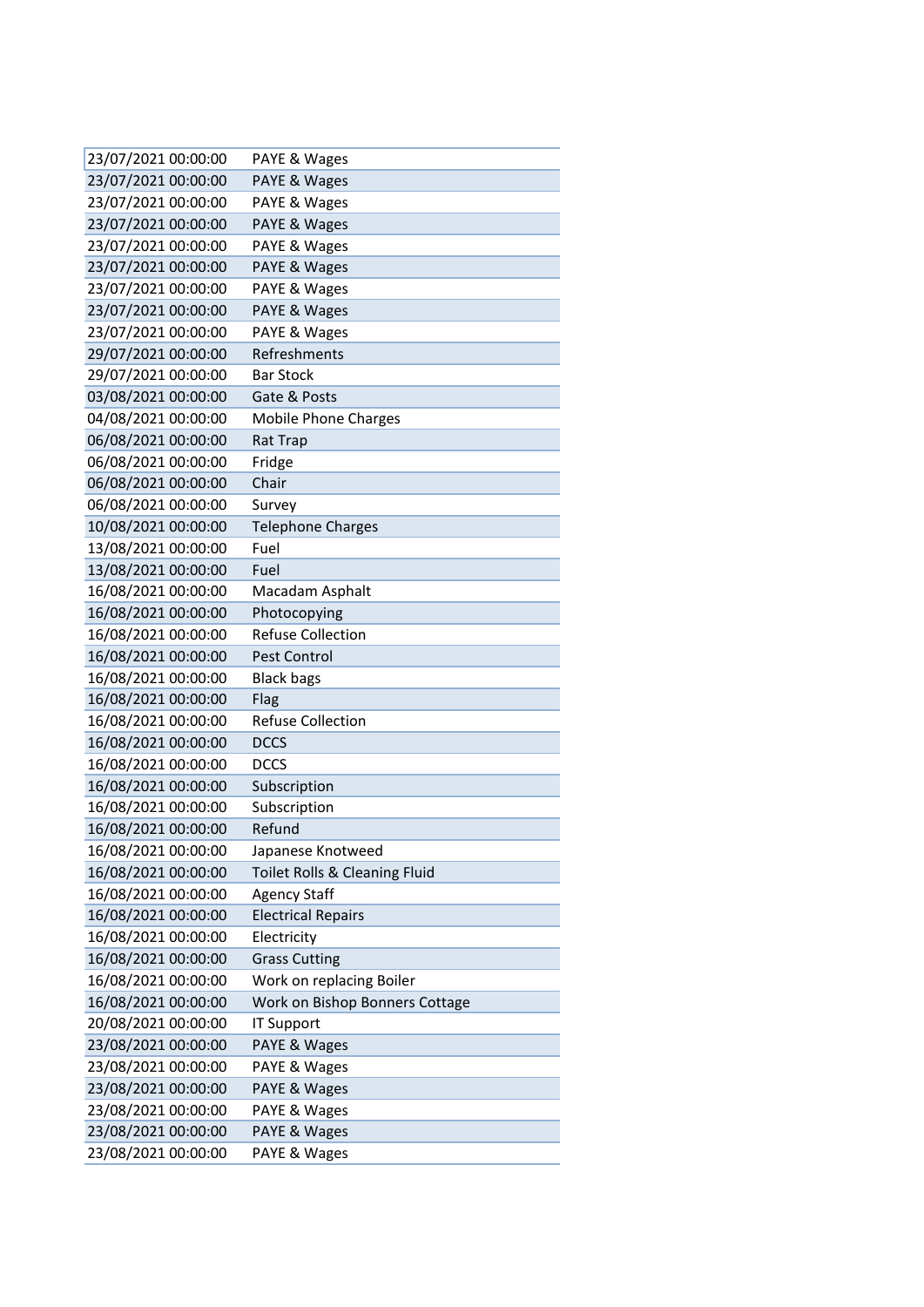| 23/07/2021 00:00:00 | PAYE & Wages                   |
|---------------------|--------------------------------|
| 23/07/2021 00:00:00 | PAYE & Wages                   |
| 23/07/2021 00:00:00 | PAYE & Wages                   |
| 23/07/2021 00:00:00 | PAYE & Wages                   |
| 23/07/2021 00:00:00 | PAYE & Wages                   |
| 23/07/2021 00:00:00 | PAYE & Wages                   |
| 23/07/2021 00:00:00 | PAYE & Wages                   |
| 23/07/2021 00:00:00 | PAYE & Wages                   |
| 23/07/2021 00:00:00 | PAYE & Wages                   |
| 29/07/2021 00:00:00 | Refreshments                   |
| 29/07/2021 00:00:00 | <b>Bar Stock</b>               |
| 03/08/2021 00:00:00 | Gate & Posts                   |
| 04/08/2021 00:00:00 | Mobile Phone Charges           |
| 06/08/2021 00:00:00 | Rat Trap                       |
| 06/08/2021 00:00:00 | Fridge                         |
| 06/08/2021 00:00:00 | Chair                          |
| 06/08/2021 00:00:00 | Survey                         |
| 10/08/2021 00:00:00 | <b>Telephone Charges</b>       |
| 13/08/2021 00:00:00 | Fuel                           |
| 13/08/2021 00:00:00 | Fuel                           |
| 16/08/2021 00:00:00 | Macadam Asphalt                |
| 16/08/2021 00:00:00 | Photocopying                   |
| 16/08/2021 00:00:00 | <b>Refuse Collection</b>       |
| 16/08/2021 00:00:00 | Pest Control                   |
| 16/08/2021 00:00:00 | <b>Black bags</b>              |
| 16/08/2021 00:00:00 | Flag                           |
| 16/08/2021 00:00:00 | <b>Refuse Collection</b>       |
| 16/08/2021 00:00:00 | <b>DCCS</b>                    |
| 16/08/2021 00:00:00 | <b>DCCS</b>                    |
| 16/08/2021 00:00:00 | Subscription                   |
| 16/08/2021 00:00:00 | Subscription                   |
| 16/08/2021 00:00:00 | Refund                         |
| 16/08/2021 00:00:00 | Japanese Knotweed              |
| 16/08/2021 00:00:00 | Toilet Rolls & Cleaning Fluid  |
| 16/08/2021 00:00:00 | <b>Agency Staff</b>            |
| 16/08/2021 00:00:00 | <b>Electrical Repairs</b>      |
| 16/08/2021 00:00:00 | Electricity                    |
| 16/08/2021 00:00:00 | <b>Grass Cutting</b>           |
| 16/08/2021 00:00:00 | Work on replacing Boiler       |
| 16/08/2021 00:00:00 | Work on Bishop Bonners Cottage |
| 20/08/2021 00:00:00 | <b>IT Support</b>              |
| 23/08/2021 00:00:00 | PAYE & Wages                   |
| 23/08/2021 00:00:00 | PAYE & Wages                   |
| 23/08/2021 00:00:00 | PAYE & Wages                   |
| 23/08/2021 00:00:00 | PAYE & Wages                   |
| 23/08/2021 00:00:00 | PAYE & Wages                   |
| 23/08/2021 00:00:00 | PAYE & Wages                   |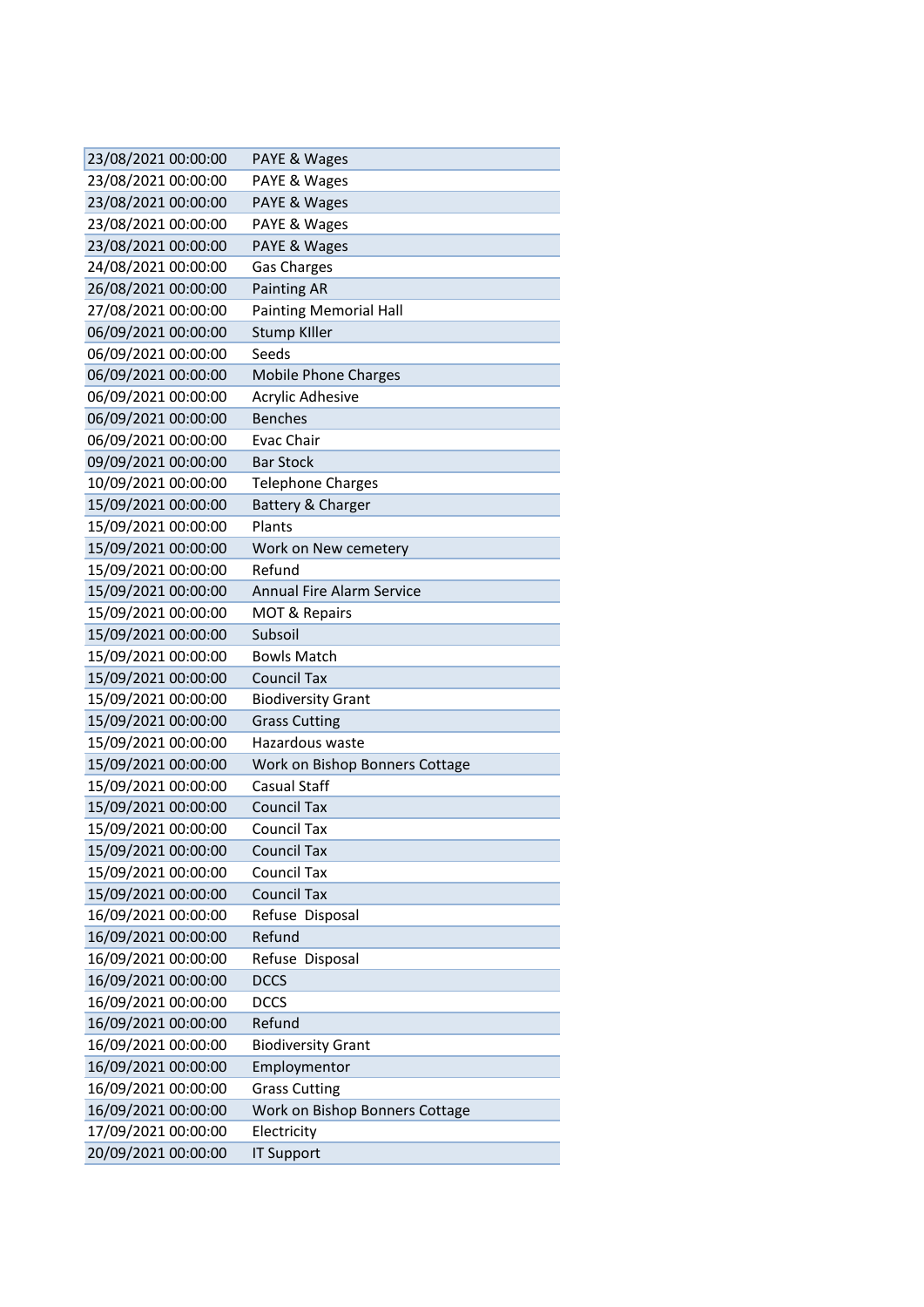| 23/08/2021 00:00:00 | PAYE & Wages                     |
|---------------------|----------------------------------|
| 23/08/2021 00:00:00 | PAYE & Wages                     |
| 23/08/2021 00:00:00 | PAYE & Wages                     |
| 23/08/2021 00:00:00 | PAYE & Wages                     |
| 23/08/2021 00:00:00 | PAYE & Wages                     |
| 24/08/2021 00:00:00 | <b>Gas Charges</b>               |
| 26/08/2021 00:00:00 | <b>Painting AR</b>               |
| 27/08/2021 00:00:00 | <b>Painting Memorial Hall</b>    |
| 06/09/2021 00:00:00 | <b>Stump Killer</b>              |
| 06/09/2021 00:00:00 | Seeds                            |
| 06/09/2021 00:00:00 | <b>Mobile Phone Charges</b>      |
| 06/09/2021 00:00:00 | <b>Acrylic Adhesive</b>          |
| 06/09/2021 00:00:00 | <b>Benches</b>                   |
| 06/09/2021 00:00:00 | Evac Chair                       |
| 09/09/2021 00:00:00 | <b>Bar Stock</b>                 |
| 10/09/2021 00:00:00 | <b>Telephone Charges</b>         |
| 15/09/2021 00:00:00 | Battery & Charger                |
| 15/09/2021 00:00:00 | Plants                           |
| 15/09/2021 00:00:00 | Work on New cemetery             |
| 15/09/2021 00:00:00 | Refund                           |
| 15/09/2021 00:00:00 | <b>Annual Fire Alarm Service</b> |
| 15/09/2021 00:00:00 | <b>MOT &amp; Repairs</b>         |
| 15/09/2021 00:00:00 | Subsoil                          |
| 15/09/2021 00:00:00 | <b>Bowls Match</b>               |
| 15/09/2021 00:00:00 | <b>Council Tax</b>               |
| 15/09/2021 00:00:00 | <b>Biodiversity Grant</b>        |
| 15/09/2021 00:00:00 | <b>Grass Cutting</b>             |
| 15/09/2021 00:00:00 | Hazardous waste                  |
| 15/09/2021 00:00:00 | Work on Bishop Bonners Cottage   |
| 15/09/2021 00:00:00 | <b>Casual Staff</b>              |
| 15/09/2021 00:00:00 | <b>Council Tax</b>               |
| 15/09/2021 00:00:00 | <b>Council Tax</b>               |
| 15/09/2021 00:00:00 | <b>Council Tax</b>               |
| 15/09/2021 00:00:00 | <b>Council Tax</b>               |
| 15/09/2021 00:00:00 | <b>Council Tax</b>               |
| 16/09/2021 00:00:00 | Refuse Disposal                  |
| 16/09/2021 00:00:00 | Refund                           |
| 16/09/2021 00:00:00 | Refuse Disposal                  |
| 16/09/2021 00:00:00 | <b>DCCS</b>                      |
| 16/09/2021 00:00:00 | <b>DCCS</b>                      |
| 16/09/2021 00:00:00 | Refund                           |
| 16/09/2021 00:00:00 | <b>Biodiversity Grant</b>        |
| 16/09/2021 00:00:00 | Employmentor                     |
| 16/09/2021 00:00:00 | <b>Grass Cutting</b>             |
| 16/09/2021 00:00:00 | Work on Bishop Bonners Cottage   |
| 17/09/2021 00:00:00 | Electricity                      |
| 20/09/2021 00:00:00 | <b>IT Support</b>                |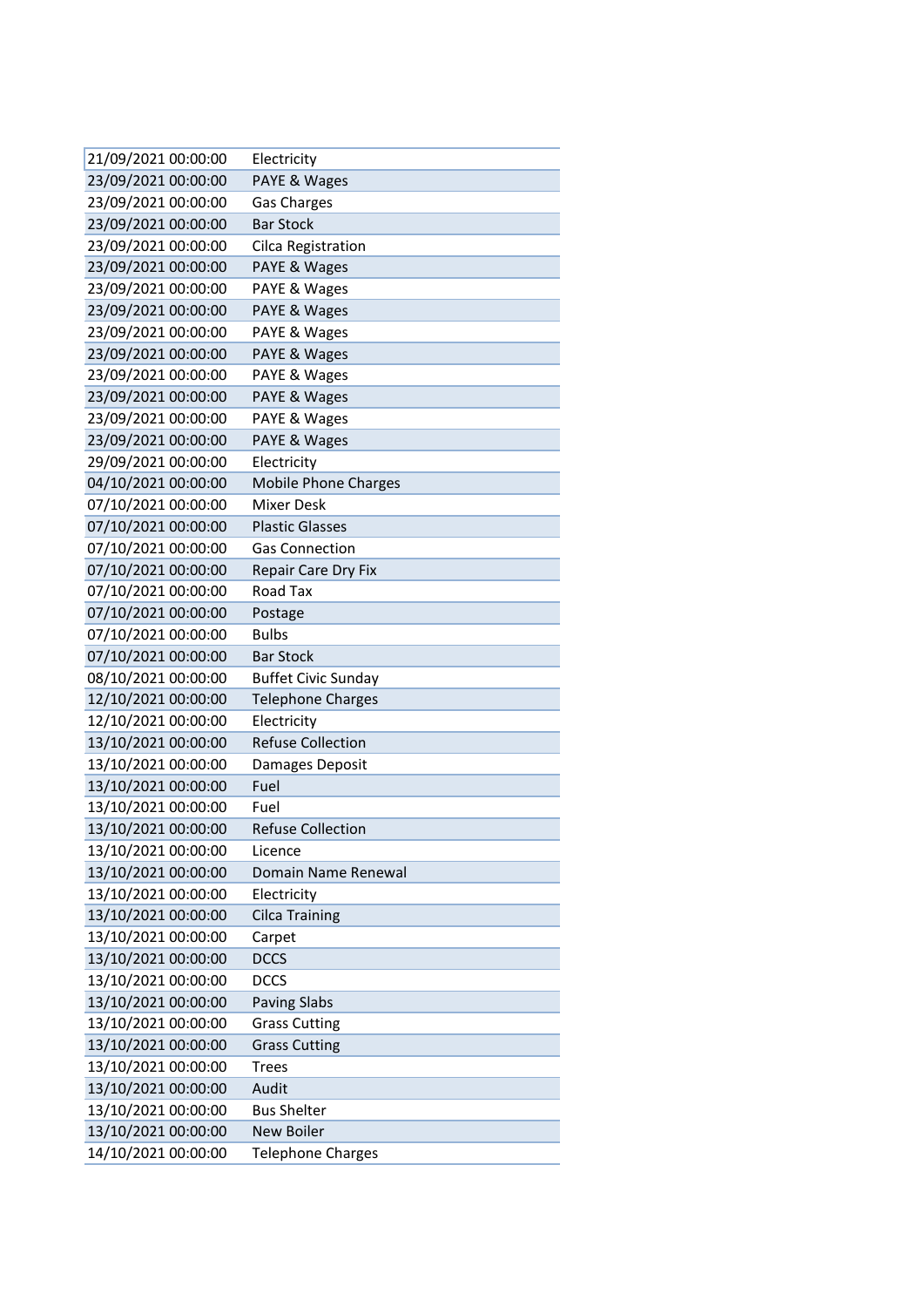| 21/09/2021 00:00:00 | Electricity                 |
|---------------------|-----------------------------|
| 23/09/2021 00:00:00 | PAYE & Wages                |
| 23/09/2021 00:00:00 | <b>Gas Charges</b>          |
| 23/09/2021 00:00:00 | <b>Bar Stock</b>            |
| 23/09/2021 00:00:00 | Cilca Registration          |
| 23/09/2021 00:00:00 | PAYE & Wages                |
| 23/09/2021 00:00:00 | PAYE & Wages                |
| 23/09/2021 00:00:00 | PAYE & Wages                |
| 23/09/2021 00:00:00 | PAYE & Wages                |
| 23/09/2021 00:00:00 | PAYE & Wages                |
| 23/09/2021 00:00:00 | PAYE & Wages                |
| 23/09/2021 00:00:00 | PAYE & Wages                |
| 23/09/2021 00:00:00 | PAYE & Wages                |
| 23/09/2021 00:00:00 | PAYE & Wages                |
| 29/09/2021 00:00:00 | Electricity                 |
| 04/10/2021 00:00:00 | <b>Mobile Phone Charges</b> |
| 07/10/2021 00:00:00 | <b>Mixer Desk</b>           |
| 07/10/2021 00:00:00 | <b>Plastic Glasses</b>      |
| 07/10/2021 00:00:00 | <b>Gas Connection</b>       |
| 07/10/2021 00:00:00 | Repair Care Dry Fix         |
| 07/10/2021 00:00:00 | Road Tax                    |
| 07/10/2021 00:00:00 | Postage                     |
| 07/10/2021 00:00:00 | <b>Bulbs</b>                |
| 07/10/2021 00:00:00 | <b>Bar Stock</b>            |
| 08/10/2021 00:00:00 | <b>Buffet Civic Sunday</b>  |
| 12/10/2021 00:00:00 | <b>Telephone Charges</b>    |
| 12/10/2021 00:00:00 | Electricity                 |
| 13/10/2021 00:00:00 | <b>Refuse Collection</b>    |
| 13/10/2021 00:00:00 | Damages Deposit             |
| 13/10/2021 00:00:00 | Fuel                        |
| 13/10/2021 00:00:00 | Fuel                        |
| 13/10/2021 00:00:00 | <b>Refuse Collection</b>    |
| 13/10/2021 00:00:00 | Licence                     |
| 13/10/2021 00:00:00 | Domain Name Renewal         |
| 13/10/2021 00:00:00 | Electricity                 |
| 13/10/2021 00:00:00 | <b>Cilca Training</b>       |
| 13/10/2021 00:00:00 | Carpet                      |
| 13/10/2021 00:00:00 | <b>DCCS</b>                 |
| 13/10/2021 00:00:00 | <b>DCCS</b>                 |
| 13/10/2021 00:00:00 | <b>Paving Slabs</b>         |
| 13/10/2021 00:00:00 | <b>Grass Cutting</b>        |
| 13/10/2021 00:00:00 | <b>Grass Cutting</b>        |
| 13/10/2021 00:00:00 | <b>Trees</b>                |
| 13/10/2021 00:00:00 | Audit                       |
| 13/10/2021 00:00:00 | <b>Bus Shelter</b>          |
| 13/10/2021 00:00:00 | <b>New Boiler</b>           |
| 14/10/2021 00:00:00 | <b>Telephone Charges</b>    |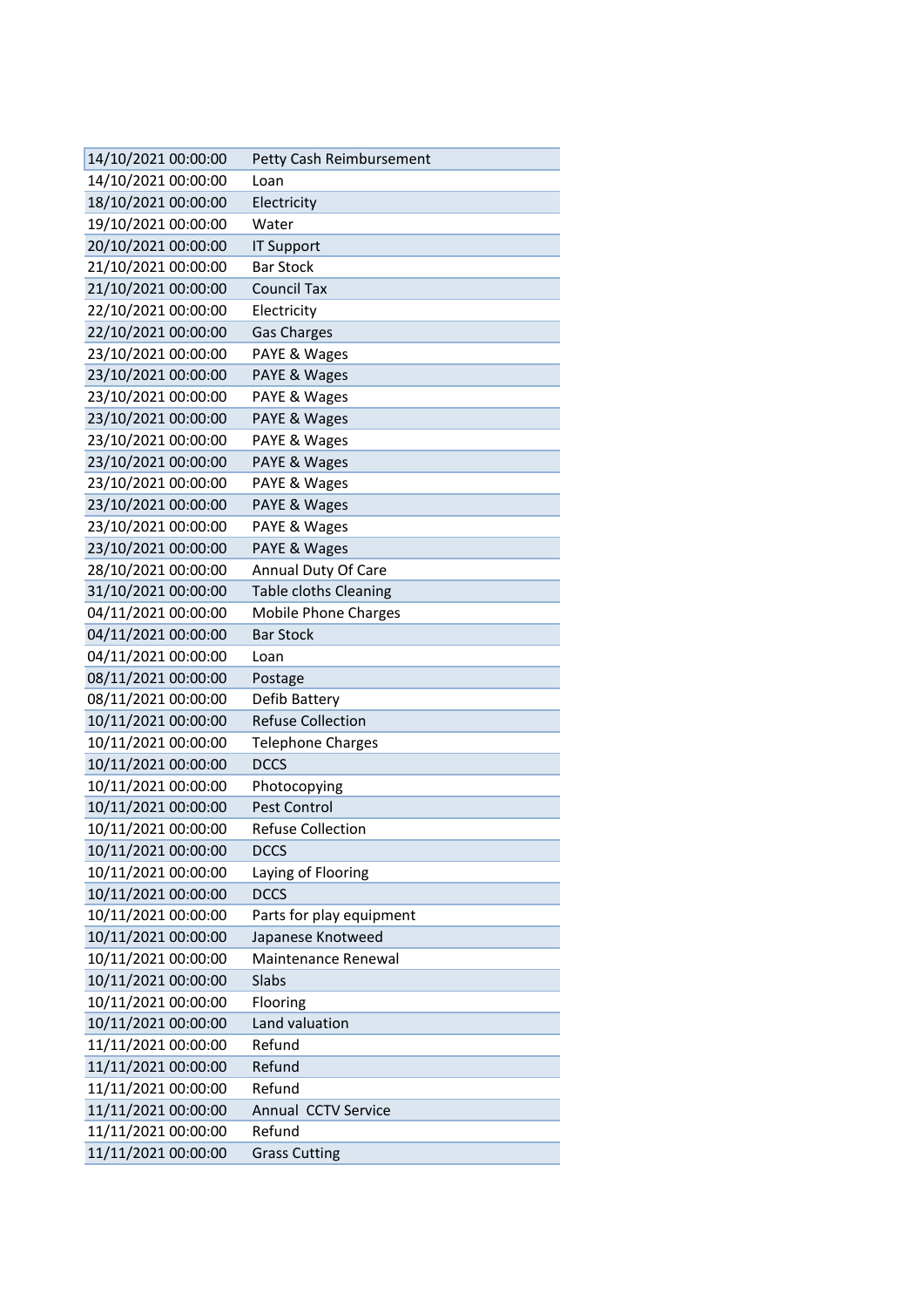| 14/10/2021 00:00:00                        | Petty Cash Reimbursement                  |
|--------------------------------------------|-------------------------------------------|
| 14/10/2021 00:00:00                        | Loan                                      |
| 18/10/2021 00:00:00                        | Electricity                               |
| 19/10/2021 00:00:00                        | Water                                     |
| 20/10/2021 00:00:00                        | <b>IT Support</b>                         |
| 21/10/2021 00:00:00                        | <b>Bar Stock</b>                          |
| 21/10/2021 00:00:00                        | <b>Council Tax</b>                        |
| 22/10/2021 00:00:00                        | Electricity                               |
| 22/10/2021 00:00:00                        | <b>Gas Charges</b>                        |
| 23/10/2021 00:00:00                        | PAYE & Wages                              |
| 23/10/2021 00:00:00                        | PAYE & Wages                              |
| 23/10/2021 00:00:00                        | PAYE & Wages                              |
| 23/10/2021 00:00:00                        | PAYE & Wages                              |
| 23/10/2021 00:00:00                        | PAYE & Wages                              |
| 23/10/2021 00:00:00                        | PAYE & Wages                              |
| 23/10/2021 00:00:00                        | PAYE & Wages                              |
| 23/10/2021 00:00:00                        | PAYE & Wages                              |
| 23/10/2021 00:00:00                        | PAYE & Wages                              |
| 23/10/2021 00:00:00                        | PAYE & Wages                              |
| 28/10/2021 00:00:00                        | Annual Duty Of Care                       |
| 31/10/2021 00:00:00                        | <b>Table cloths Cleaning</b>              |
| 04/11/2021 00:00:00                        | <b>Mobile Phone Charges</b>               |
| 04/11/2021 00:00:00                        | <b>Bar Stock</b>                          |
| 04/11/2021 00:00:00                        | Loan                                      |
| 08/11/2021 00:00:00                        | Postage                                   |
| 08/11/2021 00:00:00                        | Defib Battery<br><b>Refuse Collection</b> |
| 10/11/2021 00:00:00<br>10/11/2021 00:00:00 |                                           |
| 10/11/2021 00:00:00                        | <b>Telephone Charges</b><br><b>DCCS</b>   |
| 10/11/2021 00:00:00                        | Photocopying                              |
| 10/11/2021 00:00:00                        | <b>Pest Control</b>                       |
| 10/11/2021 00:00:00                        | <b>Refuse Collection</b>                  |
| 10/11/2021 00:00:00                        | <b>DCCS</b>                               |
| 10/11/2021 00:00:00                        | Laying of Flooring                        |
| 10/11/2021 00:00:00                        | <b>DCCS</b>                               |
| 10/11/2021 00:00:00                        | Parts for play equipment                  |
| 10/11/2021 00:00:00                        | Japanese Knotweed                         |
| 10/11/2021 00:00:00                        | Maintenance Renewal                       |
| 10/11/2021 00:00:00                        | Slabs                                     |
| 10/11/2021 00:00:00                        | Flooring                                  |
| 10/11/2021 00:00:00                        | Land valuation                            |
| 11/11/2021 00:00:00                        | Refund                                    |
| 11/11/2021 00:00:00                        | Refund                                    |
| 11/11/2021 00:00:00                        | Refund                                    |
| 11/11/2021 00:00:00                        | Annual CCTV Service                       |
| 11/11/2021 00:00:00                        | Refund                                    |
| 11/11/2021 00:00:00                        | <b>Grass Cutting</b>                      |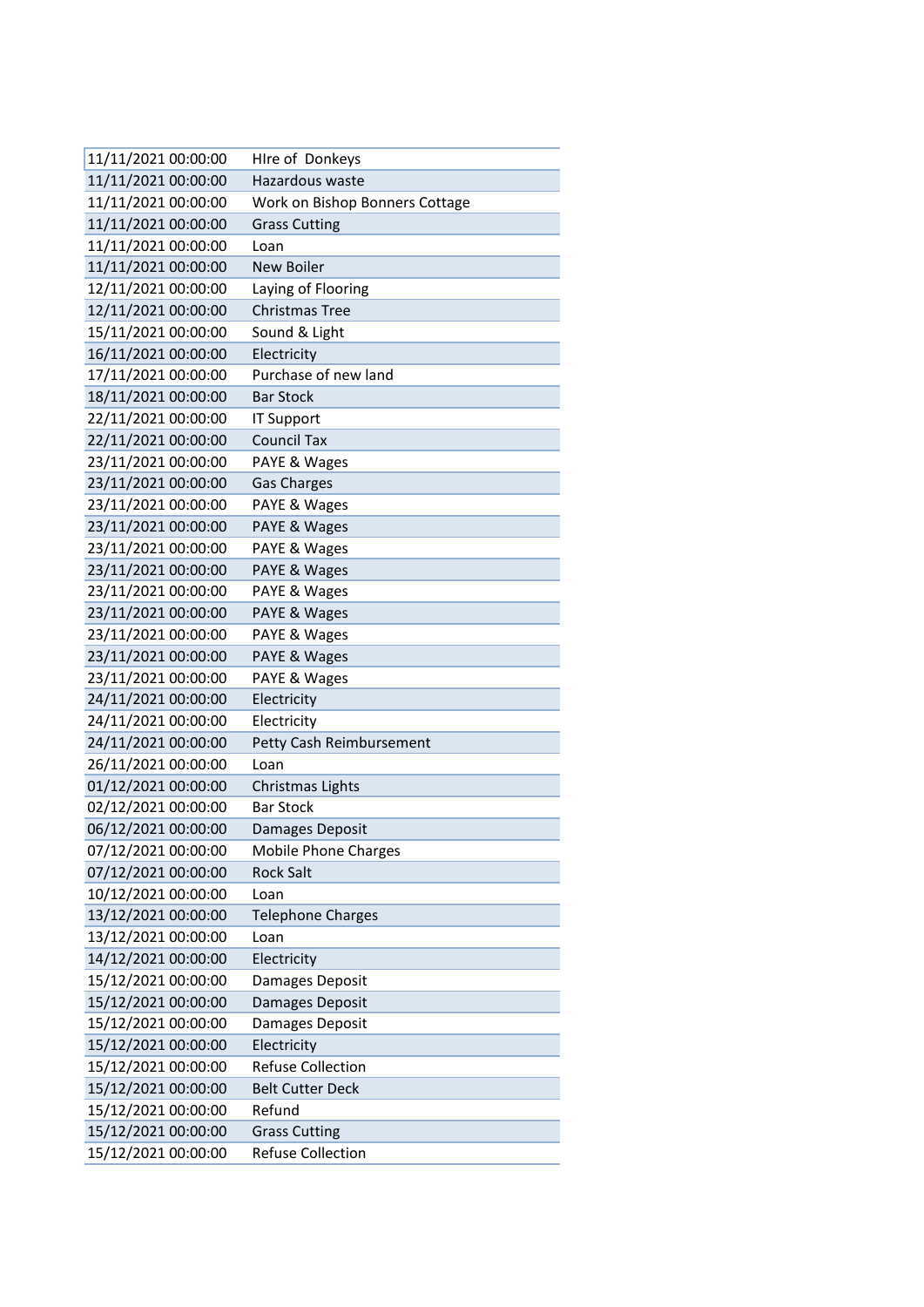| 11/11/2021 00:00:00 | Hire of Donkeys                |
|---------------------|--------------------------------|
| 11/11/2021 00:00:00 | Hazardous waste                |
| 11/11/2021 00:00:00 | Work on Bishop Bonners Cottage |
| 11/11/2021 00:00:00 | <b>Grass Cutting</b>           |
| 11/11/2021 00:00:00 | Loan                           |
| 11/11/2021 00:00:00 | New Boiler                     |
| 12/11/2021 00:00:00 | Laying of Flooring             |
| 12/11/2021 00:00:00 | <b>Christmas Tree</b>          |
| 15/11/2021 00:00:00 | Sound & Light                  |
| 16/11/2021 00:00:00 | Electricity                    |
| 17/11/2021 00:00:00 | Purchase of new land           |
| 18/11/2021 00:00:00 | <b>Bar Stock</b>               |
| 22/11/2021 00:00:00 | <b>IT Support</b>              |
| 22/11/2021 00:00:00 | <b>Council Tax</b>             |
| 23/11/2021 00:00:00 | PAYE & Wages                   |
| 23/11/2021 00:00:00 | <b>Gas Charges</b>             |
| 23/11/2021 00:00:00 | PAYE & Wages                   |
| 23/11/2021 00:00:00 | PAYE & Wages                   |
| 23/11/2021 00:00:00 | PAYE & Wages                   |
| 23/11/2021 00:00:00 | PAYE & Wages                   |
| 23/11/2021 00:00:00 | PAYE & Wages                   |
| 23/11/2021 00:00:00 | PAYE & Wages                   |
| 23/11/2021 00:00:00 | PAYE & Wages                   |
| 23/11/2021 00:00:00 | PAYE & Wages                   |
| 23/11/2021 00:00:00 | PAYE & Wages                   |
| 24/11/2021 00:00:00 | Electricity                    |
| 24/11/2021 00:00:00 | Electricity                    |
| 24/11/2021 00:00:00 | Petty Cash Reimbursement       |
| 26/11/2021 00:00:00 | Loan                           |
| 01/12/2021 00:00:00 | Christmas Lights               |
| 02/12/2021 00:00:00 | <b>Bar Stock</b>               |
| 06/12/2021 00:00:00 | Damages Deposit                |
| 07/12/2021 00:00:00 | <b>Mobile Phone Charges</b>    |
| 07/12/2021 00:00:00 | <b>Rock Salt</b>               |
| 10/12/2021 00:00:00 | Loan                           |
| 13/12/2021 00:00:00 | <b>Telephone Charges</b>       |
| 13/12/2021 00:00:00 | Loan                           |
| 14/12/2021 00:00:00 | Electricity                    |
| 15/12/2021 00:00:00 | Damages Deposit                |
| 15/12/2021 00:00:00 | Damages Deposit                |
| 15/12/2021 00:00:00 | Damages Deposit                |
| 15/12/2021 00:00:00 | Electricity                    |
| 15/12/2021 00:00:00 | <b>Refuse Collection</b>       |
| 15/12/2021 00:00:00 | <b>Belt Cutter Deck</b>        |
| 15/12/2021 00:00:00 | Refund                         |
| 15/12/2021 00:00:00 | <b>Grass Cutting</b>           |
| 15/12/2021 00:00:00 | <b>Refuse Collection</b>       |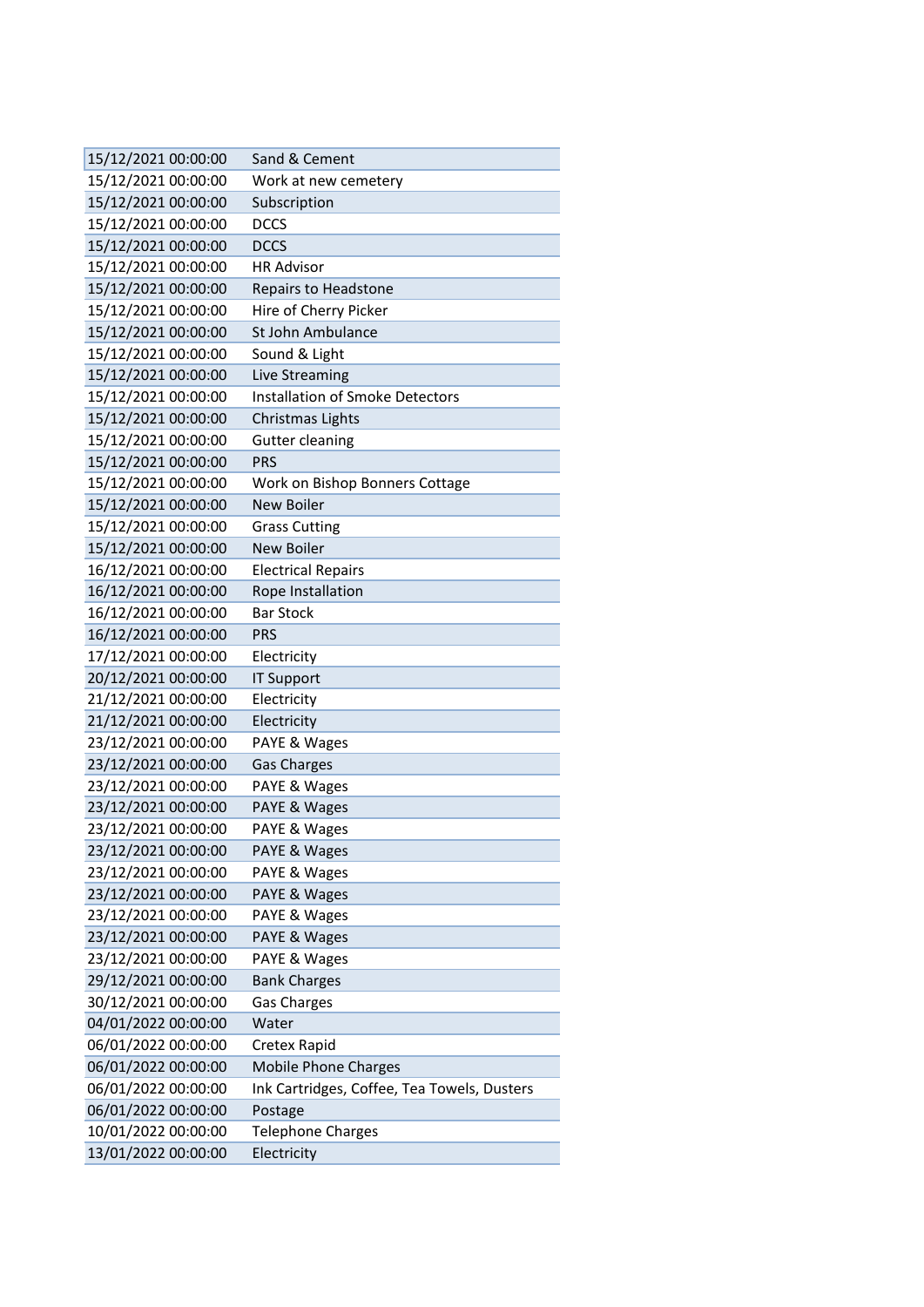| 15/12/2021 00:00:00 | Sand & Cement                               |
|---------------------|---------------------------------------------|
| 15/12/2021 00:00:00 | Work at new cemetery                        |
| 15/12/2021 00:00:00 | Subscription                                |
| 15/12/2021 00:00:00 | <b>DCCS</b>                                 |
| 15/12/2021 00:00:00 | <b>DCCS</b>                                 |
| 15/12/2021 00:00:00 | <b>HR Advisor</b>                           |
| 15/12/2021 00:00:00 | Repairs to Headstone                        |
| 15/12/2021 00:00:00 | Hire of Cherry Picker                       |
| 15/12/2021 00:00:00 | St John Ambulance                           |
| 15/12/2021 00:00:00 | Sound & Light                               |
| 15/12/2021 00:00:00 | Live Streaming                              |
| 15/12/2021 00:00:00 | Installation of Smoke Detectors             |
| 15/12/2021 00:00:00 | Christmas Lights                            |
| 15/12/2021 00:00:00 | <b>Gutter cleaning</b>                      |
| 15/12/2021 00:00:00 | <b>PRS</b>                                  |
| 15/12/2021 00:00:00 | Work on Bishop Bonners Cottage              |
| 15/12/2021 00:00:00 | New Boiler                                  |
| 15/12/2021 00:00:00 | <b>Grass Cutting</b>                        |
| 15/12/2021 00:00:00 | <b>New Boiler</b>                           |
| 16/12/2021 00:00:00 | <b>Electrical Repairs</b>                   |
| 16/12/2021 00:00:00 | Rope Installation                           |
| 16/12/2021 00:00:00 | <b>Bar Stock</b>                            |
| 16/12/2021 00:00:00 | <b>PRS</b>                                  |
| 17/12/2021 00:00:00 | Electricity                                 |
| 20/12/2021 00:00:00 | <b>IT Support</b>                           |
| 21/12/2021 00:00:00 | Electricity                                 |
| 21/12/2021 00:00:00 | Electricity                                 |
| 23/12/2021 00:00:00 | PAYE & Wages                                |
| 23/12/2021 00:00:00 | <b>Gas Charges</b>                          |
| 23/12/2021 00:00:00 | PAYE & Wages                                |
| 23/12/2021 00:00:00 | PAYE & Wages                                |
| 23/12/2021 00:00:00 | PAYE & Wages                                |
| 23/12/2021 00:00:00 | PAYE & Wages                                |
| 23/12/2021 00:00:00 | PAYE & Wages                                |
| 23/12/2021 00:00:00 | PAYE & Wages                                |
| 23/12/2021 00:00:00 | PAYE & Wages                                |
| 23/12/2021 00:00:00 | PAYE & Wages                                |
| 23/12/2021 00:00:00 | PAYE & Wages                                |
| 29/12/2021 00:00:00 | <b>Bank Charges</b>                         |
| 30/12/2021 00:00:00 | <b>Gas Charges</b>                          |
| 04/01/2022 00:00:00 | Water                                       |
| 06/01/2022 00:00:00 | Cretex Rapid                                |
| 06/01/2022 00:00:00 | <b>Mobile Phone Charges</b>                 |
| 06/01/2022 00:00:00 | Ink Cartridges, Coffee, Tea Towels, Dusters |
| 06/01/2022 00:00:00 | Postage                                     |
| 10/01/2022 00:00:00 | <b>Telephone Charges</b>                    |
| 13/01/2022 00:00:00 | Electricity                                 |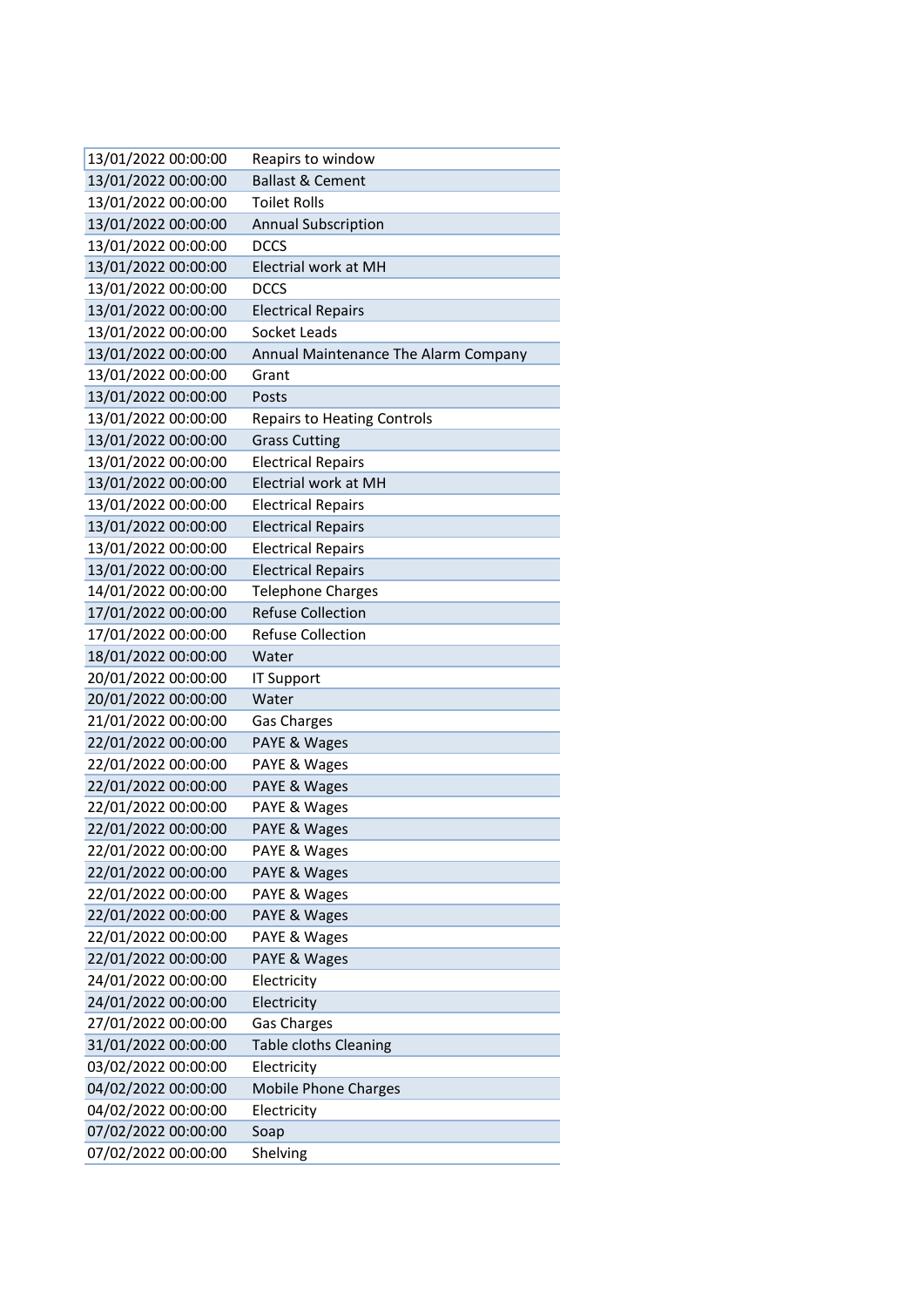| 13/01/2022 00:00:00 | Reapirs to window                    |
|---------------------|--------------------------------------|
| 13/01/2022 00:00:00 | <b>Ballast &amp; Cement</b>          |
| 13/01/2022 00:00:00 | <b>Toilet Rolls</b>                  |
| 13/01/2022 00:00:00 | <b>Annual Subscription</b>           |
| 13/01/2022 00:00:00 | <b>DCCS</b>                          |
| 13/01/2022 00:00:00 | <b>Electrial work at MH</b>          |
| 13/01/2022 00:00:00 | <b>DCCS</b>                          |
| 13/01/2022 00:00:00 | <b>Electrical Repairs</b>            |
| 13/01/2022 00:00:00 | Socket Leads                         |
| 13/01/2022 00:00:00 | Annual Maintenance The Alarm Company |
| 13/01/2022 00:00:00 | Grant                                |
| 13/01/2022 00:00:00 | Posts                                |
| 13/01/2022 00:00:00 | <b>Repairs to Heating Controls</b>   |
| 13/01/2022 00:00:00 | <b>Grass Cutting</b>                 |
| 13/01/2022 00:00:00 | <b>Electrical Repairs</b>            |
| 13/01/2022 00:00:00 | <b>Electrial work at MH</b>          |
| 13/01/2022 00:00:00 | <b>Electrical Repairs</b>            |
| 13/01/2022 00:00:00 | <b>Electrical Repairs</b>            |
| 13/01/2022 00:00:00 | <b>Electrical Repairs</b>            |
| 13/01/2022 00:00:00 | <b>Electrical Repairs</b>            |
| 14/01/2022 00:00:00 | <b>Telephone Charges</b>             |
| 17/01/2022 00:00:00 | <b>Refuse Collection</b>             |
| 17/01/2022 00:00:00 | <b>Refuse Collection</b>             |
| 18/01/2022 00:00:00 | Water                                |
| 20/01/2022 00:00:00 | <b>IT Support</b>                    |
| 20/01/2022 00:00:00 | Water                                |
| 21/01/2022 00:00:00 | <b>Gas Charges</b>                   |
| 22/01/2022 00:00:00 | PAYE & Wages                         |
| 22/01/2022 00:00:00 | PAYE & Wages                         |
| 22/01/2022 00:00:00 | PAYE & Wages                         |
| 22/01/2022 00:00:00 | PAYE & Wages                         |
| 22/01/2022 00:00:00 | PAYE & Wages                         |
| 22/01/2022 00:00:00 | PAYE & Wages                         |
| 22/01/2022 00:00:00 | PAYE & Wages                         |
| 22/01/2022 00:00:00 | PAYE & Wages                         |
| 22/01/2022 00:00:00 | PAYE & Wages                         |
| 22/01/2022 00:00:00 | PAYE & Wages                         |
| 22/01/2022 00:00:00 | PAYE & Wages                         |
| 24/01/2022 00:00:00 | Electricity                          |
| 24/01/2022 00:00:00 | Electricity                          |
| 27/01/2022 00:00:00 | Gas Charges                          |
| 31/01/2022 00:00:00 | Table cloths Cleaning                |
| 03/02/2022 00:00:00 | Electricity                          |
| 04/02/2022 00:00:00 | <b>Mobile Phone Charges</b>          |
| 04/02/2022 00:00:00 | Electricity                          |
| 07/02/2022 00:00:00 | Soap                                 |
| 07/02/2022 00:00:00 | Shelving                             |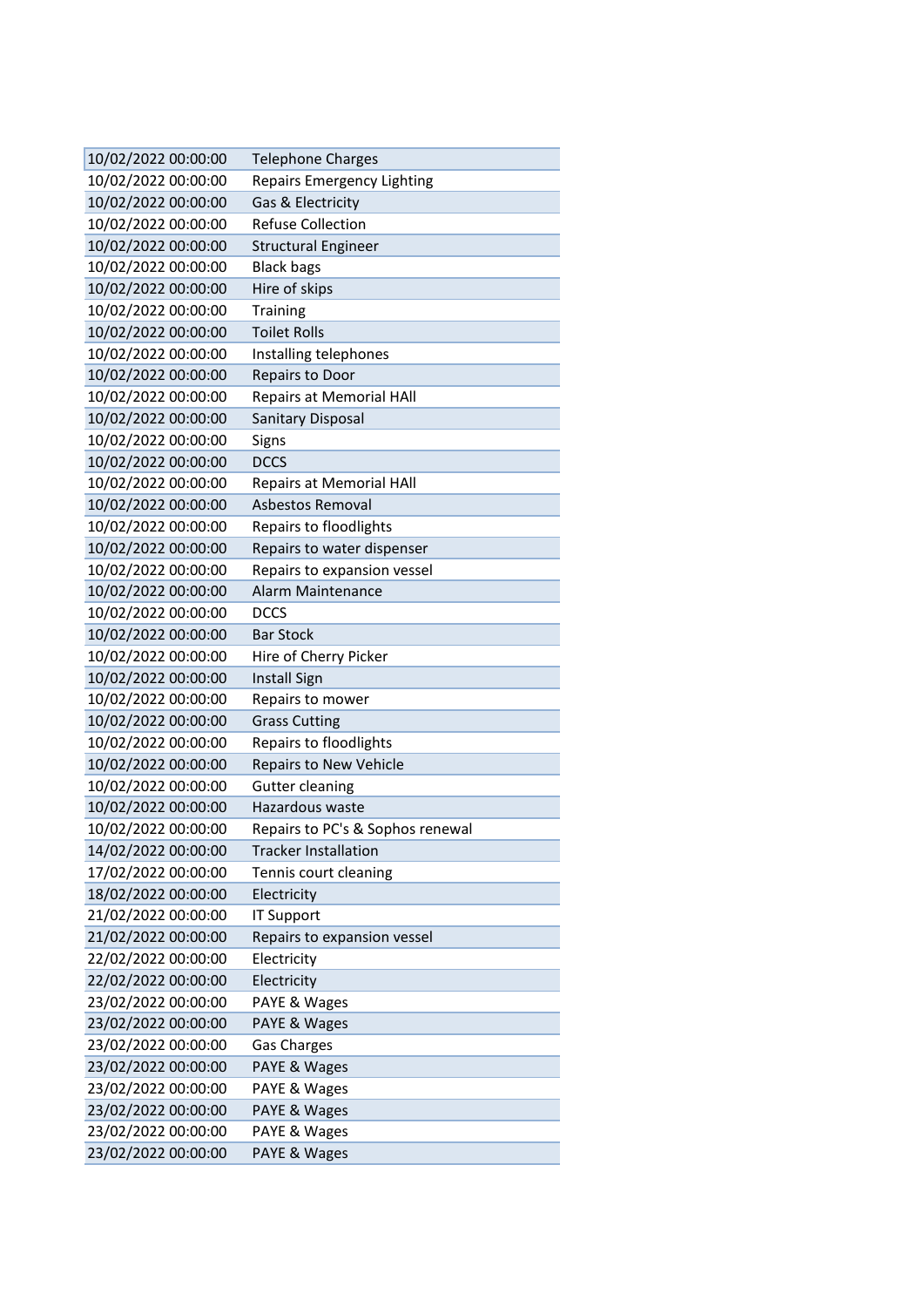| 10/02/2022 00:00:00 | <b>Telephone Charges</b>          |
|---------------------|-----------------------------------|
| 10/02/2022 00:00:00 | <b>Repairs Emergency Lighting</b> |
| 10/02/2022 00:00:00 | Gas & Electricity                 |
| 10/02/2022 00:00:00 | <b>Refuse Collection</b>          |
| 10/02/2022 00:00:00 | <b>Structural Engineer</b>        |
| 10/02/2022 00:00:00 | <b>Black bags</b>                 |
| 10/02/2022 00:00:00 | Hire of skips                     |
| 10/02/2022 00:00:00 | Training                          |
| 10/02/2022 00:00:00 | <b>Toilet Rolls</b>               |
| 10/02/2022 00:00:00 | Installing telephones             |
| 10/02/2022 00:00:00 | Repairs to Door                   |
| 10/02/2022 00:00:00 | <b>Repairs at Memorial HAll</b>   |
| 10/02/2022 00:00:00 | <b>Sanitary Disposal</b>          |
| 10/02/2022 00:00:00 | Signs                             |
| 10/02/2022 00:00:00 | <b>DCCS</b>                       |
| 10/02/2022 00:00:00 | <b>Repairs at Memorial HAII</b>   |
| 10/02/2022 00:00:00 | Asbestos Removal                  |
| 10/02/2022 00:00:00 | Repairs to floodlights            |
| 10/02/2022 00:00:00 | Repairs to water dispenser        |
| 10/02/2022 00:00:00 | Repairs to expansion vessel       |
| 10/02/2022 00:00:00 | Alarm Maintenance                 |
| 10/02/2022 00:00:00 | <b>DCCS</b>                       |
| 10/02/2022 00:00:00 | <b>Bar Stock</b>                  |
| 10/02/2022 00:00:00 | Hire of Cherry Picker             |
| 10/02/2022 00:00:00 | <b>Install Sign</b>               |
| 10/02/2022 00:00:00 | Repairs to mower                  |
| 10/02/2022 00:00:00 | <b>Grass Cutting</b>              |
| 10/02/2022 00:00:00 | Repairs to floodlights            |
| 10/02/2022 00:00:00 | <b>Repairs to New Vehicle</b>     |
| 10/02/2022 00:00:00 | <b>Gutter cleaning</b>            |
| 10/02/2022 00:00:00 | Hazardous waste                   |
| 10/02/2022 00:00:00 | Repairs to PC's & Sophos renewal  |
| 14/02/2022 00:00:00 | <b>Tracker Installation</b>       |
| 17/02/2022 00:00:00 | Tennis court cleaning             |
| 18/02/2022 00:00:00 | Electricity                       |
| 21/02/2022 00:00:00 | <b>IT Support</b>                 |
| 21/02/2022 00:00:00 | Repairs to expansion vessel       |
| 22/02/2022 00:00:00 | Electricity                       |
| 22/02/2022 00:00:00 | Electricity                       |
| 23/02/2022 00:00:00 | PAYE & Wages                      |
| 23/02/2022 00:00:00 | PAYE & Wages                      |
| 23/02/2022 00:00:00 | <b>Gas Charges</b>                |
| 23/02/2022 00:00:00 | PAYE & Wages                      |
| 23/02/2022 00:00:00 | PAYE & Wages                      |
| 23/02/2022 00:00:00 | PAYE & Wages                      |
| 23/02/2022 00:00:00 | PAYE & Wages                      |
| 23/02/2022 00:00:00 | PAYE & Wages                      |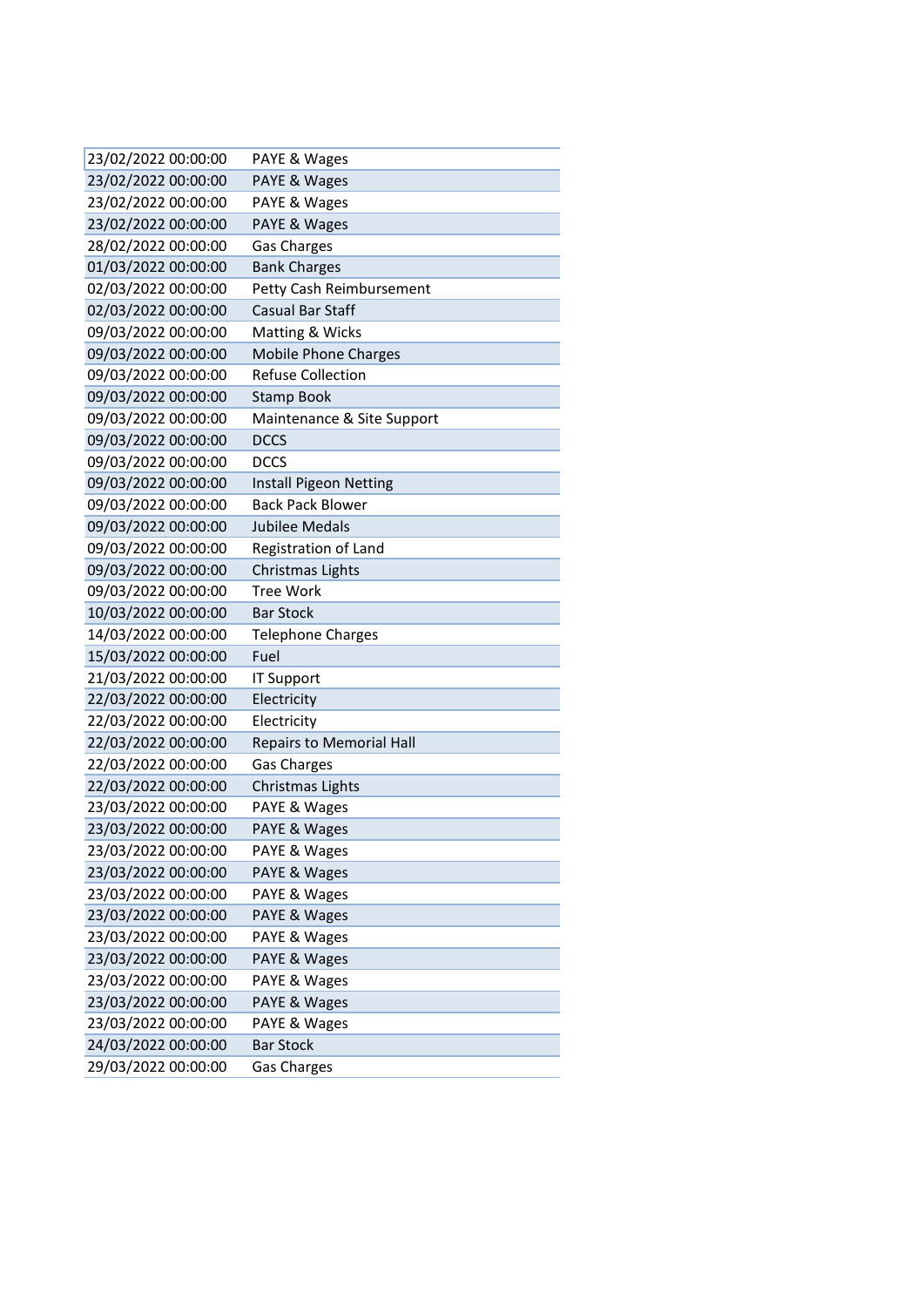| 23/02/2022 00:00:00 | PAYE & Wages                    |
|---------------------|---------------------------------|
| 23/02/2022 00:00:00 | PAYE & Wages                    |
| 23/02/2022 00:00:00 | PAYE & Wages                    |
| 23/02/2022 00:00:00 | PAYE & Wages                    |
| 28/02/2022 00:00:00 | <b>Gas Charges</b>              |
| 01/03/2022 00:00:00 | <b>Bank Charges</b>             |
| 02/03/2022 00:00:00 | Petty Cash Reimbursement        |
| 02/03/2022 00:00:00 | Casual Bar Staff                |
| 09/03/2022 00:00:00 | Matting & Wicks                 |
| 09/03/2022 00:00:00 | <b>Mobile Phone Charges</b>     |
| 09/03/2022 00:00:00 | <b>Refuse Collection</b>        |
| 09/03/2022 00:00:00 | <b>Stamp Book</b>               |
| 09/03/2022 00:00:00 | Maintenance & Site Support      |
| 09/03/2022 00:00:00 | <b>DCCS</b>                     |
| 09/03/2022 00:00:00 | <b>DCCS</b>                     |
| 09/03/2022 00:00:00 | Install Pigeon Netting          |
| 09/03/2022 00:00:00 | <b>Back Pack Blower</b>         |
| 09/03/2022 00:00:00 | <b>Jubilee Medals</b>           |
| 09/03/2022 00:00:00 | Registration of Land            |
| 09/03/2022 00:00:00 | Christmas Lights                |
| 09/03/2022 00:00:00 | <b>Tree Work</b>                |
| 10/03/2022 00:00:00 | <b>Bar Stock</b>                |
| 14/03/2022 00:00:00 | Telephone Charges               |
| 15/03/2022 00:00:00 | Fuel                            |
| 21/03/2022 00:00:00 | IT Support                      |
| 22/03/2022 00:00:00 | Electricity                     |
| 22/03/2022 00:00:00 | Electricity                     |
| 22/03/2022 00:00:00 | <b>Repairs to Memorial Hall</b> |
| 22/03/2022 00:00:00 | <b>Gas Charges</b>              |
| 22/03/2022 00:00:00 | Christmas Lights                |
| 23/03/2022 00:00:00 | PAYE & Wages                    |
| 23/03/2022 00:00:00 | PAYE & Wages                    |
| 23/03/2022 00:00:00 | PAYE & Wages                    |
| 23/03/2022 00:00:00 | PAYE & Wages                    |
| 23/03/2022 00:00:00 | PAYE & Wages                    |
| 23/03/2022 00:00:00 | PAYE & Wages                    |
| 23/03/2022 00:00:00 | PAYE & Wages                    |
| 23/03/2022 00:00:00 | PAYE & Wages                    |
| 23/03/2022 00:00:00 | PAYE & Wages                    |
| 23/03/2022 00:00:00 | PAYE & Wages                    |
| 23/03/2022 00:00:00 | PAYE & Wages                    |
| 24/03/2022 00:00:00 | <b>Bar Stock</b>                |
| 29/03/2022 00:00:00 | <b>Gas Charges</b>              |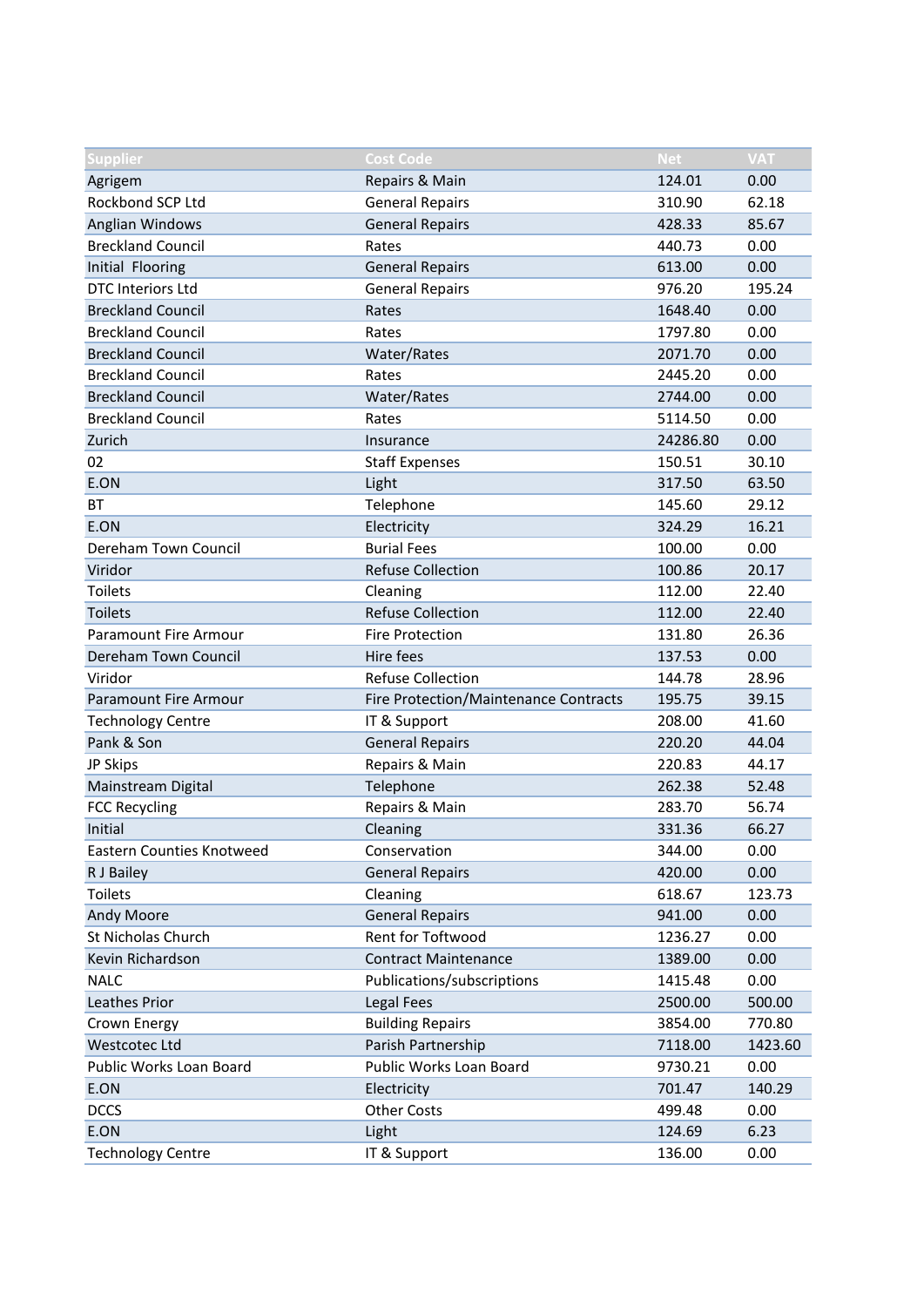| <b>Supplier</b>              | <b>Cost Code</b>                      | <b>Net</b> | <b>VAT</b> |
|------------------------------|---------------------------------------|------------|------------|
| Agrigem                      | Repairs & Main                        | 124.01     | 0.00       |
| Rockbond SCP Ltd             | <b>General Repairs</b>                | 310.90     | 62.18      |
| Anglian Windows              | <b>General Repairs</b>                | 428.33     | 85.67      |
| <b>Breckland Council</b>     | Rates                                 | 440.73     | 0.00       |
| Initial Flooring             | <b>General Repairs</b>                | 613.00     | 0.00       |
| <b>DTC Interiors Ltd</b>     | <b>General Repairs</b>                | 976.20     | 195.24     |
| <b>Breckland Council</b>     | Rates                                 | 1648.40    | 0.00       |
| <b>Breckland Council</b>     | Rates                                 | 1797.80    | 0.00       |
| <b>Breckland Council</b>     | Water/Rates                           | 2071.70    | 0.00       |
| <b>Breckland Council</b>     | Rates                                 | 2445.20    | 0.00       |
| <b>Breckland Council</b>     | Water/Rates                           | 2744.00    | 0.00       |
| <b>Breckland Council</b>     | Rates                                 | 5114.50    | 0.00       |
| Zurich                       | Insurance                             | 24286.80   | 0.00       |
| 02                           | <b>Staff Expenses</b>                 | 150.51     | 30.10      |
| E.ON                         | Light                                 | 317.50     | 63.50      |
| <b>BT</b>                    | Telephone                             | 145.60     | 29.12      |
| E.ON                         | Electricity                           | 324.29     | 16.21      |
| Dereham Town Council         | <b>Burial Fees</b>                    | 100.00     | 0.00       |
| Viridor                      | <b>Refuse Collection</b>              | 100.86     | 20.17      |
| <b>Toilets</b>               | Cleaning                              | 112.00     | 22.40      |
| <b>Toilets</b>               | <b>Refuse Collection</b>              | 112.00     | 22.40      |
| <b>Paramount Fire Armour</b> | <b>Fire Protection</b>                | 131.80     | 26.36      |
| Dereham Town Council         | Hire fees                             | 137.53     | 0.00       |
| Viridor                      | <b>Refuse Collection</b>              | 144.78     | 28.96      |
| <b>Paramount Fire Armour</b> | Fire Protection/Maintenance Contracts | 195.75     | 39.15      |
| <b>Technology Centre</b>     | IT & Support                          | 208.00     | 41.60      |
| Pank & Son                   | <b>General Repairs</b>                | 220.20     | 44.04      |
| JP Skips                     | Repairs & Main                        | 220.83     | 44.17      |
| Mainstream Digital           | Telephone                             | 262.38     | 52.48      |
| <b>FCC Recycling</b>         | Repairs & Main                        | 283.70     | 56.74      |
| Initial                      | Cleaning                              | 331.36     | 66.27      |
| Eastern Counties Knotweed    | Conservation                          | 344.00     | 0.00       |
| R J Bailey                   | <b>General Repairs</b>                | 420.00     | 0.00       |
| <b>Toilets</b>               | Cleaning                              | 618.67     | 123.73     |
| Andy Moore                   | <b>General Repairs</b>                | 941.00     | 0.00       |
| St Nicholas Church           | Rent for Toftwood                     | 1236.27    | 0.00       |
| Kevin Richardson             | <b>Contract Maintenance</b>           | 1389.00    | 0.00       |
| <b>NALC</b>                  | Publications/subscriptions            | 1415.48    | 0.00       |
| Leathes Prior                | Legal Fees                            | 2500.00    | 500.00     |
| Crown Energy                 | <b>Building Repairs</b>               | 3854.00    | 770.80     |
| Westcotec Ltd                | Parish Partnership                    | 7118.00    | 1423.60    |
| Public Works Loan Board      | Public Works Loan Board               | 9730.21    | 0.00       |
| E.ON                         | Electricity                           | 701.47     | 140.29     |
| <b>DCCS</b>                  | <b>Other Costs</b>                    | 499.48     | 0.00       |
| E.ON                         | Light                                 | 124.69     | 6.23       |
| <b>Technology Centre</b>     | IT & Support                          | 136.00     | 0.00       |
|                              |                                       |            |            |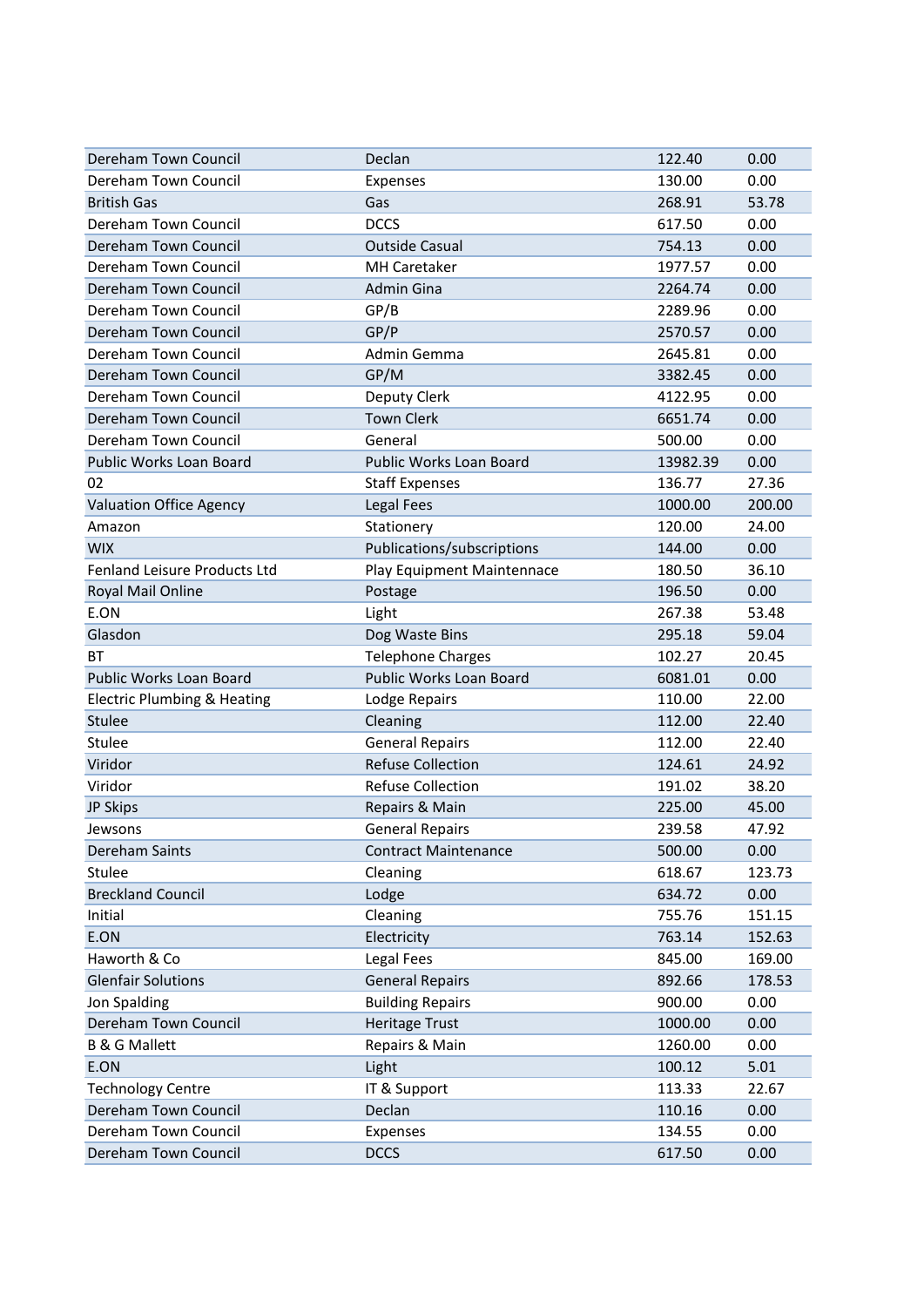| Dereham Town Council                   | Declan                      | 122.40   | 0.00   |
|----------------------------------------|-----------------------------|----------|--------|
| Dereham Town Council                   | Expenses                    | 130.00   | 0.00   |
| <b>British Gas</b>                     | Gas                         | 268.91   | 53.78  |
| Dereham Town Council                   | <b>DCCS</b>                 | 617.50   | 0.00   |
| Dereham Town Council                   | <b>Outside Casual</b>       | 754.13   | 0.00   |
| Dereham Town Council                   | <b>MH Caretaker</b>         | 1977.57  | 0.00   |
| Dereham Town Council                   | Admin Gina                  | 2264.74  | 0.00   |
| Dereham Town Council                   | GP/B                        | 2289.96  | 0.00   |
| Dereham Town Council                   | GP/P                        | 2570.57  | 0.00   |
| Dereham Town Council                   | Admin Gemma                 | 2645.81  | 0.00   |
| Dereham Town Council                   | GP/M                        | 3382.45  | 0.00   |
| Dereham Town Council                   | Deputy Clerk                | 4122.95  | 0.00   |
| Dereham Town Council                   | <b>Town Clerk</b>           | 6651.74  | 0.00   |
| Dereham Town Council                   | General                     | 500.00   | 0.00   |
| Public Works Loan Board                | Public Works Loan Board     | 13982.39 | 0.00   |
| 02                                     | <b>Staff Expenses</b>       | 136.77   | 27.36  |
| <b>Valuation Office Agency</b>         | Legal Fees                  | 1000.00  | 200.00 |
| Amazon                                 | Stationery                  | 120.00   | 24.00  |
| <b>WIX</b>                             | Publications/subscriptions  | 144.00   | 0.00   |
| Fenland Leisure Products Ltd           | Play Equipment Maintennace  | 180.50   | 36.10  |
| Royal Mail Online                      | Postage                     | 196.50   | 0.00   |
| E.ON                                   | Light                       | 267.38   | 53.48  |
| Glasdon                                | Dog Waste Bins              | 295.18   | 59.04  |
| ВT                                     | <b>Telephone Charges</b>    | 102.27   | 20.45  |
| Public Works Loan Board                | Public Works Loan Board     | 6081.01  | 0.00   |
| <b>Electric Plumbing &amp; Heating</b> | Lodge Repairs               | 110.00   | 22.00  |
| Stulee                                 | Cleaning                    | 112.00   | 22.40  |
| Stulee                                 | <b>General Repairs</b>      | 112.00   | 22.40  |
| Viridor                                | <b>Refuse Collection</b>    | 124.61   | 24.92  |
| Viridor                                | <b>Refuse Collection</b>    | 191.02   | 38.20  |
| JP Skips                               | Repairs & Main              | 225.00   | 45.00  |
| Jewsons                                | <b>General Repairs</b>      | 239.58   | 47.92  |
| Dereham Saints                         | <b>Contract Maintenance</b> | 500.00   | 0.00   |
| Stulee                                 | Cleaning                    | 618.67   | 123.73 |
| <b>Breckland Council</b>               | Lodge                       | 634.72   | 0.00   |
| Initial                                | Cleaning                    | 755.76   | 151.15 |
| E.ON                                   | Electricity                 | 763.14   | 152.63 |
| Haworth & Co                           | Legal Fees                  | 845.00   | 169.00 |
| <b>Glenfair Solutions</b>              | <b>General Repairs</b>      | 892.66   | 178.53 |
| Jon Spalding                           | <b>Building Repairs</b>     | 900.00   | 0.00   |
| Dereham Town Council                   | <b>Heritage Trust</b>       | 1000.00  | 0.00   |
| <b>B &amp; G Mallett</b>               | Repairs & Main              | 1260.00  | 0.00   |
| E.ON                                   | Light                       | 100.12   | 5.01   |
| <b>Technology Centre</b>               | IT & Support                | 113.33   | 22.67  |
| Dereham Town Council                   | Declan                      | 110.16   | 0.00   |
| Dereham Town Council                   | Expenses                    | 134.55   | 0.00   |
| Dereham Town Council                   | <b>DCCS</b>                 | 617.50   | 0.00   |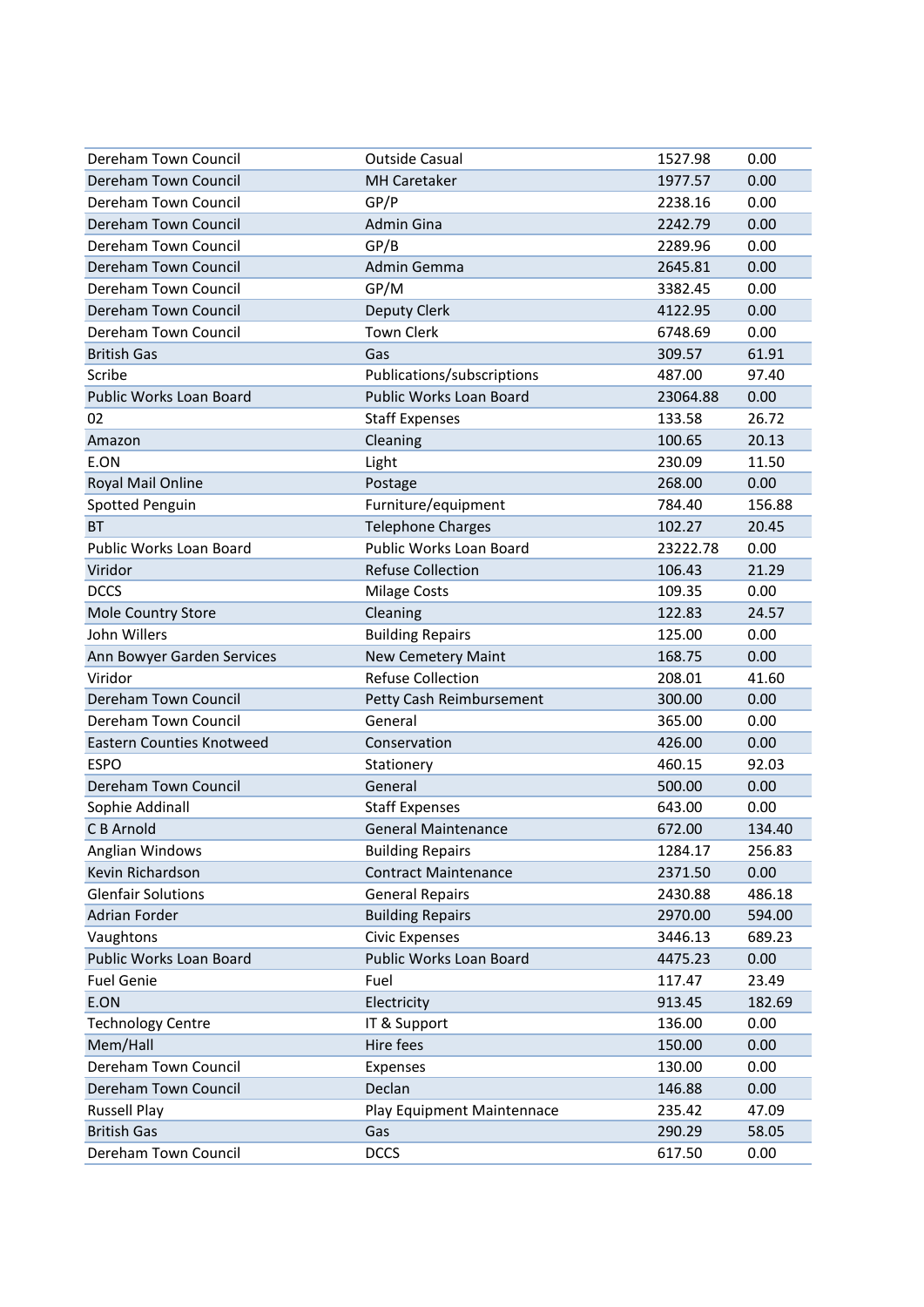| Dereham Town Council             | <b>Outside Casual</b>       | 1527.98  | 0.00   |
|----------------------------------|-----------------------------|----------|--------|
| Dereham Town Council             | <b>MH Caretaker</b>         | 1977.57  | 0.00   |
| Dereham Town Council             | GP/P                        | 2238.16  | 0.00   |
| Dereham Town Council             | <b>Admin Gina</b>           | 2242.79  | 0.00   |
| Dereham Town Council             | GP/B                        | 2289.96  | 0.00   |
| Dereham Town Council             | Admin Gemma                 | 2645.81  | 0.00   |
| Dereham Town Council             | GP/M                        | 3382.45  | 0.00   |
| Dereham Town Council             | <b>Deputy Clerk</b>         | 4122.95  | 0.00   |
| Dereham Town Council             | <b>Town Clerk</b>           | 6748.69  | 0.00   |
| <b>British Gas</b>               | Gas                         | 309.57   | 61.91  |
| Scribe                           | Publications/subscriptions  | 487.00   | 97.40  |
| Public Works Loan Board          | Public Works Loan Board     | 23064.88 | 0.00   |
| 02                               | <b>Staff Expenses</b>       | 133.58   | 26.72  |
| Amazon                           | Cleaning                    | 100.65   | 20.13  |
| E.ON                             | Light                       | 230.09   | 11.50  |
| Royal Mail Online                | Postage                     | 268.00   | 0.00   |
| Spotted Penguin                  | Furniture/equipment         | 784.40   | 156.88 |
| <b>BT</b>                        | <b>Telephone Charges</b>    | 102.27   | 20.45  |
| Public Works Loan Board          | Public Works Loan Board     | 23222.78 | 0.00   |
| Viridor                          | <b>Refuse Collection</b>    | 106.43   | 21.29  |
| <b>DCCS</b>                      | Milage Costs                | 109.35   | 0.00   |
| Mole Country Store               | Cleaning                    | 122.83   | 24.57  |
| John Willers                     | <b>Building Repairs</b>     | 125.00   | 0.00   |
| Ann Bowyer Garden Services       | New Cemetery Maint          | 168.75   | 0.00   |
| Viridor                          | <b>Refuse Collection</b>    | 208.01   | 41.60  |
| Dereham Town Council             | Petty Cash Reimbursement    | 300.00   | 0.00   |
| Dereham Town Council             | General                     | 365.00   | 0.00   |
| <b>Eastern Counties Knotweed</b> | Conservation                | 426.00   | 0.00   |
| <b>ESPO</b>                      | Stationery                  | 460.15   | 92.03  |
| Dereham Town Council             | General                     | 500.00   | 0.00   |
| Sophie Addinall                  | <b>Staff Expenses</b>       | 643.00   | 0.00   |
| C B Arnold                       | <b>General Maintenance</b>  | 672.00   | 134.40 |
| Anglian Windows                  | <b>Building Repairs</b>     | 1284.17  | 256.83 |
| Kevin Richardson                 | <b>Contract Maintenance</b> | 2371.50  | 0.00   |
| <b>Glenfair Solutions</b>        | <b>General Repairs</b>      | 2430.88  | 486.18 |
| <b>Adrian Forder</b>             | <b>Building Repairs</b>     | 2970.00  | 594.00 |
| Vaughtons                        | <b>Civic Expenses</b>       | 3446.13  | 689.23 |
| Public Works Loan Board          | Public Works Loan Board     | 4475.23  | 0.00   |
| <b>Fuel Genie</b>                | Fuel                        | 117.47   | 23.49  |
| E.ON                             | Electricity                 | 913.45   | 182.69 |
| <b>Technology Centre</b>         | IT & Support                | 136.00   | 0.00   |
| Mem/Hall                         | Hire fees                   | 150.00   | 0.00   |
| Dereham Town Council             | Expenses                    | 130.00   | 0.00   |
| Dereham Town Council             | Declan                      | 146.88   | 0.00   |
| <b>Russell Play</b>              | Play Equipment Maintennace  | 235.42   | 47.09  |
| <b>British Gas</b>               | Gas                         | 290.29   | 58.05  |
| Dereham Town Council             | <b>DCCS</b>                 | 617.50   | 0.00   |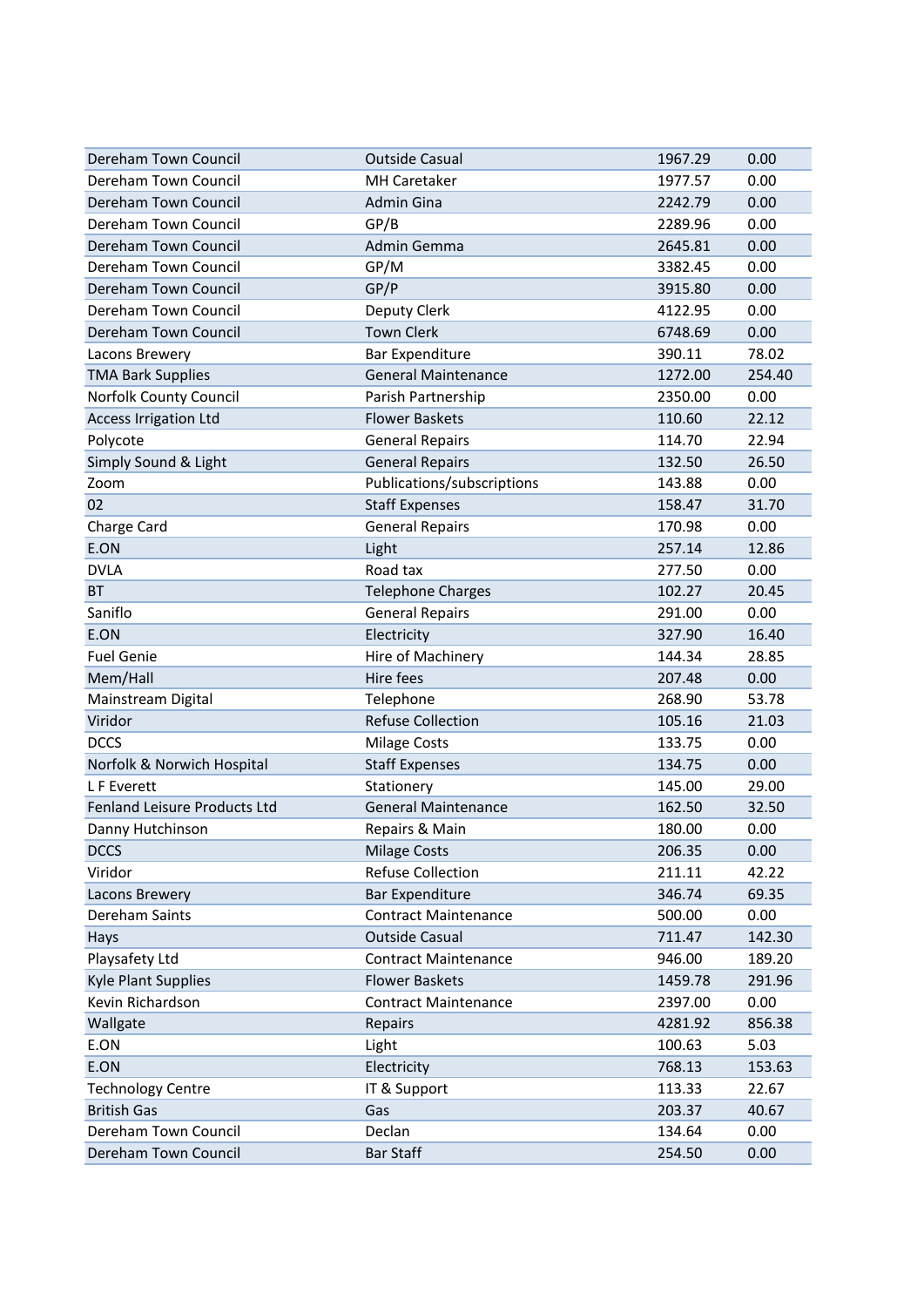| Dereham Town Council         | <b>Outside Casual</b>       | 1967.29 | 0.00   |
|------------------------------|-----------------------------|---------|--------|
| Dereham Town Council         | <b>MH Caretaker</b>         | 1977.57 | 0.00   |
| Dereham Town Council         | Admin Gina                  | 2242.79 | 0.00   |
| Dereham Town Council         | GP/B                        | 2289.96 | 0.00   |
| Dereham Town Council         | Admin Gemma                 | 2645.81 | 0.00   |
| Dereham Town Council         | GP/M                        | 3382.45 | 0.00   |
| Dereham Town Council         | GP/P                        | 3915.80 | 0.00   |
| Dereham Town Council         | Deputy Clerk                | 4122.95 | 0.00   |
| Dereham Town Council         | <b>Town Clerk</b>           | 6748.69 | 0.00   |
| Lacons Brewery               | <b>Bar Expenditure</b>      | 390.11  | 78.02  |
| <b>TMA Bark Supplies</b>     | <b>General Maintenance</b>  | 1272.00 | 254.40 |
| Norfolk County Council       | Parish Partnership          | 2350.00 | 0.00   |
| <b>Access Irrigation Ltd</b> | <b>Flower Baskets</b>       | 110.60  | 22.12  |
| Polycote                     | <b>General Repairs</b>      | 114.70  | 22.94  |
| Simply Sound & Light         | <b>General Repairs</b>      | 132.50  | 26.50  |
| Zoom                         | Publications/subscriptions  | 143.88  | 0.00   |
| 02                           | <b>Staff Expenses</b>       | 158.47  | 31.70  |
| Charge Card                  | <b>General Repairs</b>      | 170.98  | 0.00   |
| E.ON                         | Light                       | 257.14  | 12.86  |
| <b>DVLA</b>                  | Road tax                    | 277.50  | 0.00   |
| <b>BT</b>                    | <b>Telephone Charges</b>    | 102.27  | 20.45  |
| Saniflo                      | <b>General Repairs</b>      | 291.00  | 0.00   |
| E.ON                         | Electricity                 | 327.90  | 16.40  |
| <b>Fuel Genie</b>            | Hire of Machinery           | 144.34  | 28.85  |
| Mem/Hall                     | Hire fees                   | 207.48  | 0.00   |
| Mainstream Digital           | Telephone                   | 268.90  | 53.78  |
| Viridor                      | <b>Refuse Collection</b>    | 105.16  | 21.03  |
| <b>DCCS</b>                  | <b>Milage Costs</b>         | 133.75  | 0.00   |
| Norfolk & Norwich Hospital   | <b>Staff Expenses</b>       | 134.75  | 0.00   |
| L F Everett                  | Stationery                  | 145.00  | 29.00  |
| Fenland Leisure Products Ltd | <b>General Maintenance</b>  | 162.50  | 32.50  |
| Danny Hutchinson             | Repairs & Main              | 180.00  | 0.00   |
| <b>DCCS</b>                  | <b>Milage Costs</b>         | 206.35  | 0.00   |
| Viridor                      | <b>Refuse Collection</b>    | 211.11  | 42.22  |
| Lacons Brewery               | <b>Bar Expenditure</b>      | 346.74  | 69.35  |
| Dereham Saints               | <b>Contract Maintenance</b> | 500.00  | 0.00   |
| Hays                         | <b>Outside Casual</b>       | 711.47  | 142.30 |
| Playsafety Ltd               | <b>Contract Maintenance</b> | 946.00  | 189.20 |
| <b>Kyle Plant Supplies</b>   | <b>Flower Baskets</b>       | 1459.78 | 291.96 |
| Kevin Richardson             | <b>Contract Maintenance</b> | 2397.00 | 0.00   |
| Wallgate                     | Repairs                     | 4281.92 | 856.38 |
| E.ON                         | Light                       | 100.63  | 5.03   |
| E.ON                         | Electricity                 | 768.13  | 153.63 |
| <b>Technology Centre</b>     | IT & Support                | 113.33  | 22.67  |
| <b>British Gas</b>           | Gas                         | 203.37  | 40.67  |
| Dereham Town Council         | Declan                      | 134.64  | 0.00   |
| Dereham Town Council         | <b>Bar Staff</b>            | 254.50  | 0.00   |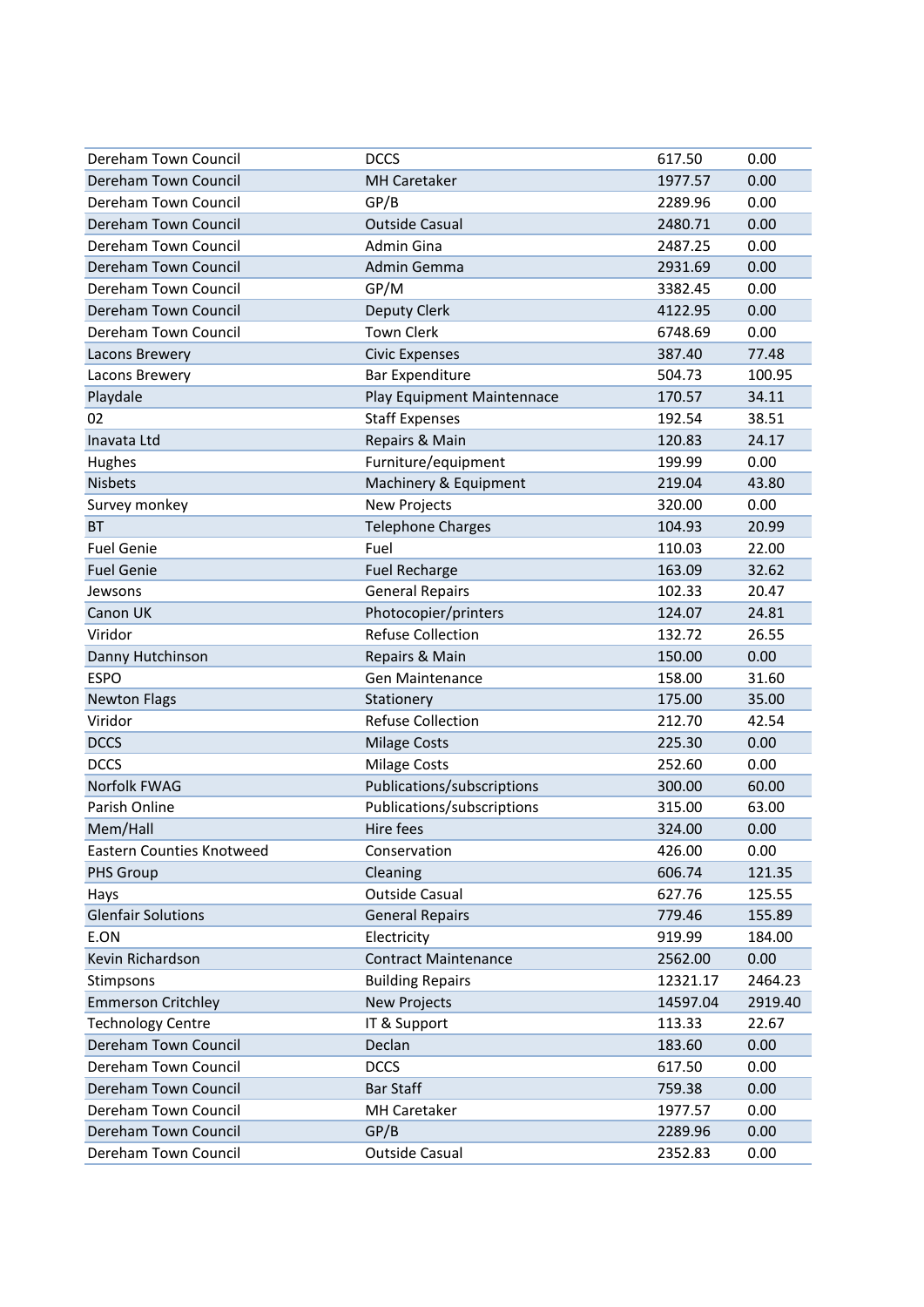| Dereham Town Council      | <b>DCCS</b>                 | 617.50   | 0.00    |
|---------------------------|-----------------------------|----------|---------|
| Dereham Town Council      | <b>MH Caretaker</b>         | 1977.57  | 0.00    |
| Dereham Town Council      | GP/B                        | 2289.96  | 0.00    |
| Dereham Town Council      | <b>Outside Casual</b>       | 2480.71  | 0.00    |
| Dereham Town Council      | <b>Admin Gina</b>           | 2487.25  | 0.00    |
| Dereham Town Council      | Admin Gemma                 | 2931.69  | 0.00    |
| Dereham Town Council      | GP/M                        | 3382.45  | 0.00    |
| Dereham Town Council      | Deputy Clerk                | 4122.95  | 0.00    |
| Dereham Town Council      | <b>Town Clerk</b>           | 6748.69  | 0.00    |
| Lacons Brewery            | <b>Civic Expenses</b>       | 387.40   | 77.48   |
| Lacons Brewery            | <b>Bar Expenditure</b>      | 504.73   | 100.95  |
| Playdale                  | Play Equipment Maintennace  | 170.57   | 34.11   |
| 02                        | <b>Staff Expenses</b>       | 192.54   | 38.51   |
| Inavata Ltd               | Repairs & Main              | 120.83   | 24.17   |
| Hughes                    | Furniture/equipment         | 199.99   | 0.00    |
| <b>Nisbets</b>            | Machinery & Equipment       | 219.04   | 43.80   |
| Survey monkey             | <b>New Projects</b>         | 320.00   | 0.00    |
| <b>BT</b>                 | <b>Telephone Charges</b>    | 104.93   | 20.99   |
| <b>Fuel Genie</b>         | Fuel                        | 110.03   | 22.00   |
| <b>Fuel Genie</b>         | <b>Fuel Recharge</b>        | 163.09   | 32.62   |
| Jewsons                   | <b>General Repairs</b>      | 102.33   | 20.47   |
| Canon UK                  | Photocopier/printers        | 124.07   | 24.81   |
| Viridor                   | <b>Refuse Collection</b>    | 132.72   | 26.55   |
| Danny Hutchinson          | Repairs & Main              | 150.00   | 0.00    |
| <b>ESPO</b>               | <b>Gen Maintenance</b>      | 158.00   | 31.60   |
| <b>Newton Flags</b>       | Stationery                  | 175.00   | 35.00   |
| Viridor                   | <b>Refuse Collection</b>    | 212.70   | 42.54   |
| <b>DCCS</b>               | <b>Milage Costs</b>         | 225.30   | 0.00    |
| <b>DCCS</b>               | <b>Milage Costs</b>         | 252.60   | 0.00    |
| <b>Norfolk FWAG</b>       | Publications/subscriptions  | 300.00   | 60.00   |
| Parish Online             | Publications/subscriptions  | 315.00   | 63.00   |
| Mem/Hall                  | Hire fees                   | 324.00   | 0.00    |
| Eastern Counties Knotweed | Conservation                | 426.00   | 0.00    |
| PHS Group                 | Cleaning                    | 606.74   | 121.35  |
| Hays                      | <b>Outside Casual</b>       | 627.76   | 125.55  |
| <b>Glenfair Solutions</b> | <b>General Repairs</b>      | 779.46   | 155.89  |
| E.ON                      | Electricity                 | 919.99   | 184.00  |
| Kevin Richardson          | <b>Contract Maintenance</b> | 2562.00  | 0.00    |
| Stimpsons                 | <b>Building Repairs</b>     | 12321.17 | 2464.23 |
| <b>Emmerson Critchley</b> | <b>New Projects</b>         | 14597.04 | 2919.40 |
| <b>Technology Centre</b>  | IT & Support                | 113.33   | 22.67   |
| Dereham Town Council      | Declan                      | 183.60   | 0.00    |
| Dereham Town Council      | <b>DCCS</b>                 | 617.50   | 0.00    |
| Dereham Town Council      | <b>Bar Staff</b>            | 759.38   | 0.00    |
| Dereham Town Council      | MH Caretaker                | 1977.57  | 0.00    |
| Dereham Town Council      | GP/B                        | 2289.96  | 0.00    |
| Dereham Town Council      | <b>Outside Casual</b>       | 2352.83  | 0.00    |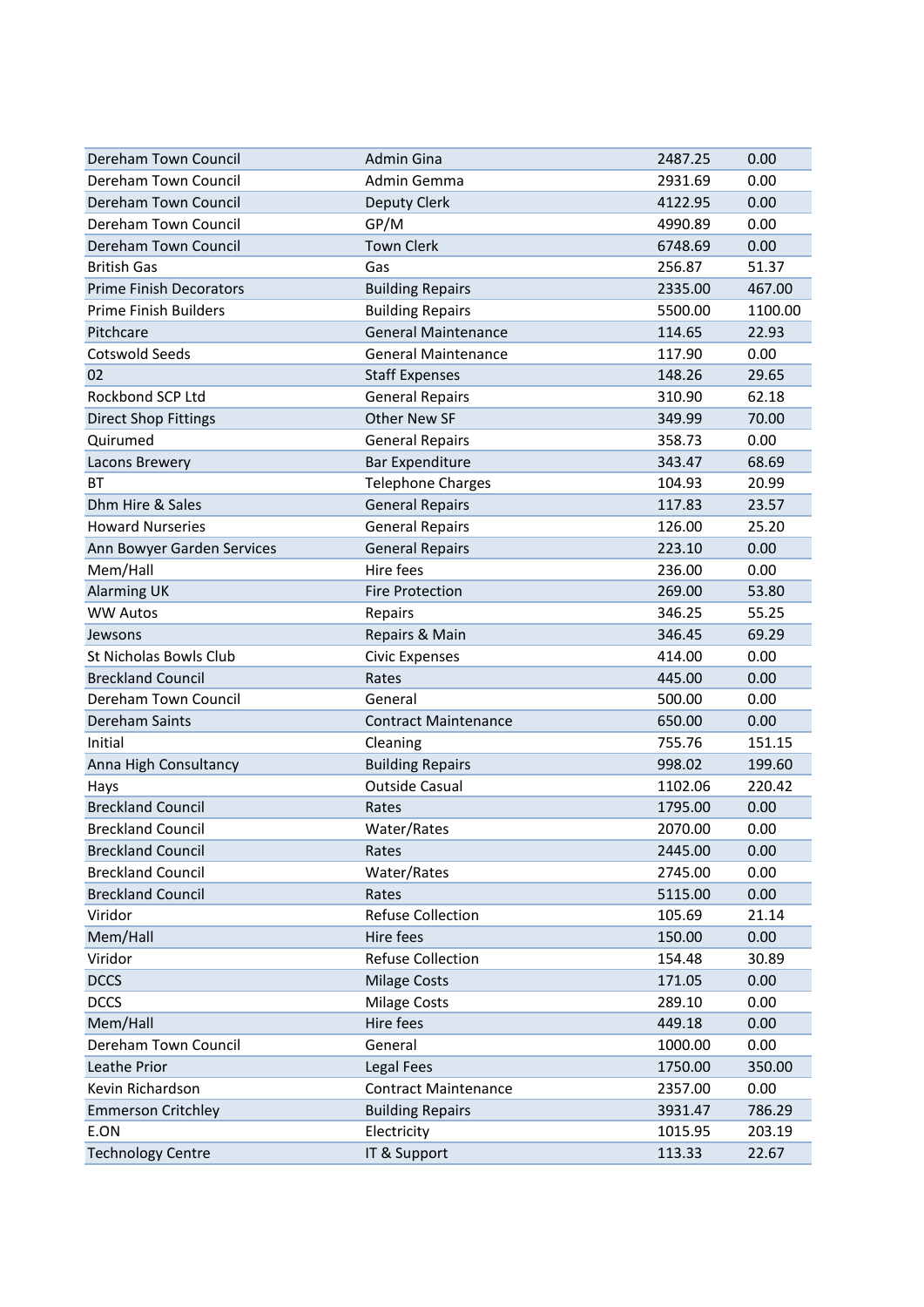| Dereham Town Council           | <b>Admin Gina</b>           | 2487.25 | 0.00    |
|--------------------------------|-----------------------------|---------|---------|
| Dereham Town Council           | Admin Gemma                 | 2931.69 | 0.00    |
| Dereham Town Council           | Deputy Clerk                | 4122.95 | 0.00    |
| Dereham Town Council           | GP/M                        | 4990.89 | 0.00    |
| Dereham Town Council           | <b>Town Clerk</b>           | 6748.69 | 0.00    |
| <b>British Gas</b>             | Gas                         | 256.87  | 51.37   |
| <b>Prime Finish Decorators</b> | <b>Building Repairs</b>     | 2335.00 | 467.00  |
| <b>Prime Finish Builders</b>   | <b>Building Repairs</b>     | 5500.00 | 1100.00 |
| Pitchcare                      | <b>General Maintenance</b>  | 114.65  | 22.93   |
| <b>Cotswold Seeds</b>          | <b>General Maintenance</b>  | 117.90  | 0.00    |
| 02                             | <b>Staff Expenses</b>       | 148.26  | 29.65   |
| Rockbond SCP Ltd               | <b>General Repairs</b>      | 310.90  | 62.18   |
| <b>Direct Shop Fittings</b>    | <b>Other New SF</b>         | 349.99  | 70.00   |
| Quirumed                       | <b>General Repairs</b>      | 358.73  | 0.00    |
| Lacons Brewery                 | <b>Bar Expenditure</b>      | 343.47  | 68.69   |
| ВT                             | <b>Telephone Charges</b>    | 104.93  | 20.99   |
| Dhm Hire & Sales               | <b>General Repairs</b>      | 117.83  | 23.57   |
| <b>Howard Nurseries</b>        | <b>General Repairs</b>      | 126.00  | 25.20   |
| Ann Bowyer Garden Services     | <b>General Repairs</b>      | 223.10  | 0.00    |
| Mem/Hall                       | Hire fees                   | 236.00  | 0.00    |
| <b>Alarming UK</b>             | <b>Fire Protection</b>      | 269.00  | 53.80   |
| <b>WW Autos</b>                | Repairs                     | 346.25  | 55.25   |
| Jewsons                        | Repairs & Main              | 346.45  | 69.29   |
| St Nicholas Bowls Club         | <b>Civic Expenses</b>       | 414.00  | 0.00    |
| <b>Breckland Council</b>       | Rates                       | 445.00  | 0.00    |
| Dereham Town Council           | General                     | 500.00  | 0.00    |
| Dereham Saints                 | <b>Contract Maintenance</b> | 650.00  | 0.00    |
| Initial                        | Cleaning                    | 755.76  | 151.15  |
| Anna High Consultancy          | <b>Building Repairs</b>     | 998.02  | 199.60  |
| Hays                           | <b>Outside Casual</b>       | 1102.06 | 220.42  |
| <b>Breckland Council</b>       | Rates                       | 1795.00 | 0.00    |
| <b>Breckland Council</b>       | Water/Rates                 | 2070.00 | 0.00    |
| <b>Breckland Council</b>       | Rates                       | 2445.00 | 0.00    |
| <b>Breckland Council</b>       | Water/Rates                 | 2745.00 | 0.00    |
| <b>Breckland Council</b>       | Rates                       | 5115.00 | 0.00    |
| Viridor                        | <b>Refuse Collection</b>    | 105.69  | 21.14   |
| Mem/Hall                       | Hire fees                   | 150.00  | 0.00    |
| Viridor                        | <b>Refuse Collection</b>    | 154.48  | 30.89   |
| <b>DCCS</b>                    | <b>Milage Costs</b>         | 171.05  | 0.00    |
| <b>DCCS</b>                    | <b>Milage Costs</b>         | 289.10  | 0.00    |
| Mem/Hall                       | Hire fees                   | 449.18  | 0.00    |
| Dereham Town Council           | General                     | 1000.00 | 0.00    |
| Leathe Prior                   | Legal Fees                  | 1750.00 | 350.00  |
| Kevin Richardson               | <b>Contract Maintenance</b> | 2357.00 | 0.00    |
| <b>Emmerson Critchley</b>      | <b>Building Repairs</b>     | 3931.47 | 786.29  |
| E.ON                           | Electricity                 | 1015.95 | 203.19  |
| <b>Technology Centre</b>       | IT & Support                | 113.33  | 22.67   |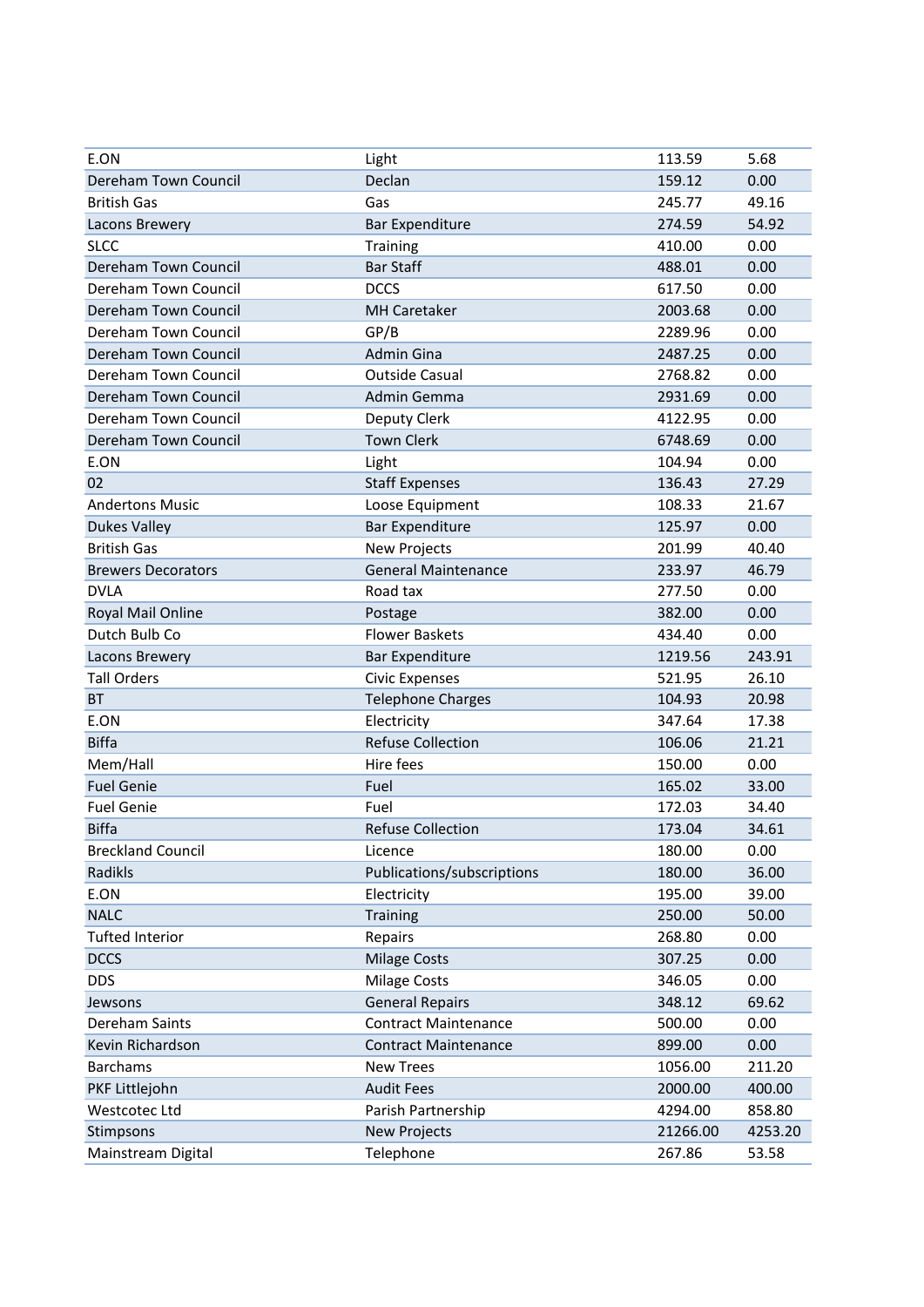| E.ON                      | Light                       | 113.59   | 5.68    |
|---------------------------|-----------------------------|----------|---------|
| Dereham Town Council      | Declan                      | 159.12   | 0.00    |
| <b>British Gas</b>        | Gas                         | 245.77   | 49.16   |
| Lacons Brewery            | <b>Bar Expenditure</b>      | 274.59   | 54.92   |
| <b>SLCC</b>               | Training                    | 410.00   | 0.00    |
| Dereham Town Council      | <b>Bar Staff</b>            | 488.01   | 0.00    |
| Dereham Town Council      | <b>DCCS</b>                 | 617.50   | 0.00    |
| Dereham Town Council      | <b>MH Caretaker</b>         | 2003.68  | 0.00    |
| Dereham Town Council      | GP/B                        | 2289.96  | 0.00    |
| Dereham Town Council      | <b>Admin Gina</b>           | 2487.25  | 0.00    |
| Dereham Town Council      | <b>Outside Casual</b>       | 2768.82  | 0.00    |
| Dereham Town Council      | Admin Gemma                 | 2931.69  | 0.00    |
| Dereham Town Council      | Deputy Clerk                | 4122.95  | 0.00    |
| Dereham Town Council      | <b>Town Clerk</b>           | 6748.69  | 0.00    |
| E.ON                      | Light                       | 104.94   | 0.00    |
| 02                        | <b>Staff Expenses</b>       | 136.43   | 27.29   |
| <b>Andertons Music</b>    | Loose Equipment             | 108.33   | 21.67   |
| <b>Dukes Valley</b>       | <b>Bar Expenditure</b>      | 125.97   | 0.00    |
| <b>British Gas</b>        | New Projects                | 201.99   | 40.40   |
| <b>Brewers Decorators</b> | <b>General Maintenance</b>  | 233.97   | 46.79   |
| <b>DVLA</b>               | Road tax                    | 277.50   | 0.00    |
| Royal Mail Online         | Postage                     | 382.00   | 0.00    |
| Dutch Bulb Co             | <b>Flower Baskets</b>       | 434.40   | 0.00    |
| Lacons Brewery            | <b>Bar Expenditure</b>      | 1219.56  | 243.91  |
| <b>Tall Orders</b>        | <b>Civic Expenses</b>       | 521.95   | 26.10   |
| <b>BT</b>                 | <b>Telephone Charges</b>    | 104.93   | 20.98   |
| E.ON                      | Electricity                 | 347.64   | 17.38   |
| <b>Biffa</b>              | <b>Refuse Collection</b>    | 106.06   | 21.21   |
| Mem/Hall                  | Hire fees                   | 150.00   | 0.00    |
| <b>Fuel Genie</b>         | Fuel                        | 165.02   | 33.00   |
| <b>Fuel Genie</b>         | Fuel                        | 172.03   | 34.40   |
| <b>Biffa</b>              | <b>Refuse Collection</b>    | 173.04   | 34.61   |
| <b>Breckland Council</b>  | Licence                     | 180.00   | 0.00    |
| Radikls                   | Publications/subscriptions  | 180.00   | 36.00   |
| E.ON                      | Electricity                 | 195.00   | 39.00   |
| <b>NALC</b>               | Training                    | 250.00   | 50.00   |
| <b>Tufted Interior</b>    | Repairs                     | 268.80   | 0.00    |
| <b>DCCS</b>               | <b>Milage Costs</b>         | 307.25   | 0.00    |
| <b>DDS</b>                | <b>Milage Costs</b>         | 346.05   | 0.00    |
| Jewsons                   | <b>General Repairs</b>      | 348.12   | 69.62   |
| Dereham Saints            | <b>Contract Maintenance</b> | 500.00   | 0.00    |
| Kevin Richardson          | <b>Contract Maintenance</b> | 899.00   | 0.00    |
| <b>Barchams</b>           | <b>New Trees</b>            | 1056.00  | 211.20  |
| PKF Littlejohn            | <b>Audit Fees</b>           | 2000.00  | 400.00  |
| Westcotec Ltd             | Parish Partnership          | 4294.00  | 858.80  |
| Stimpsons                 | <b>New Projects</b>         | 21266.00 | 4253.20 |
| Mainstream Digital        | Telephone                   | 267.86   | 53.58   |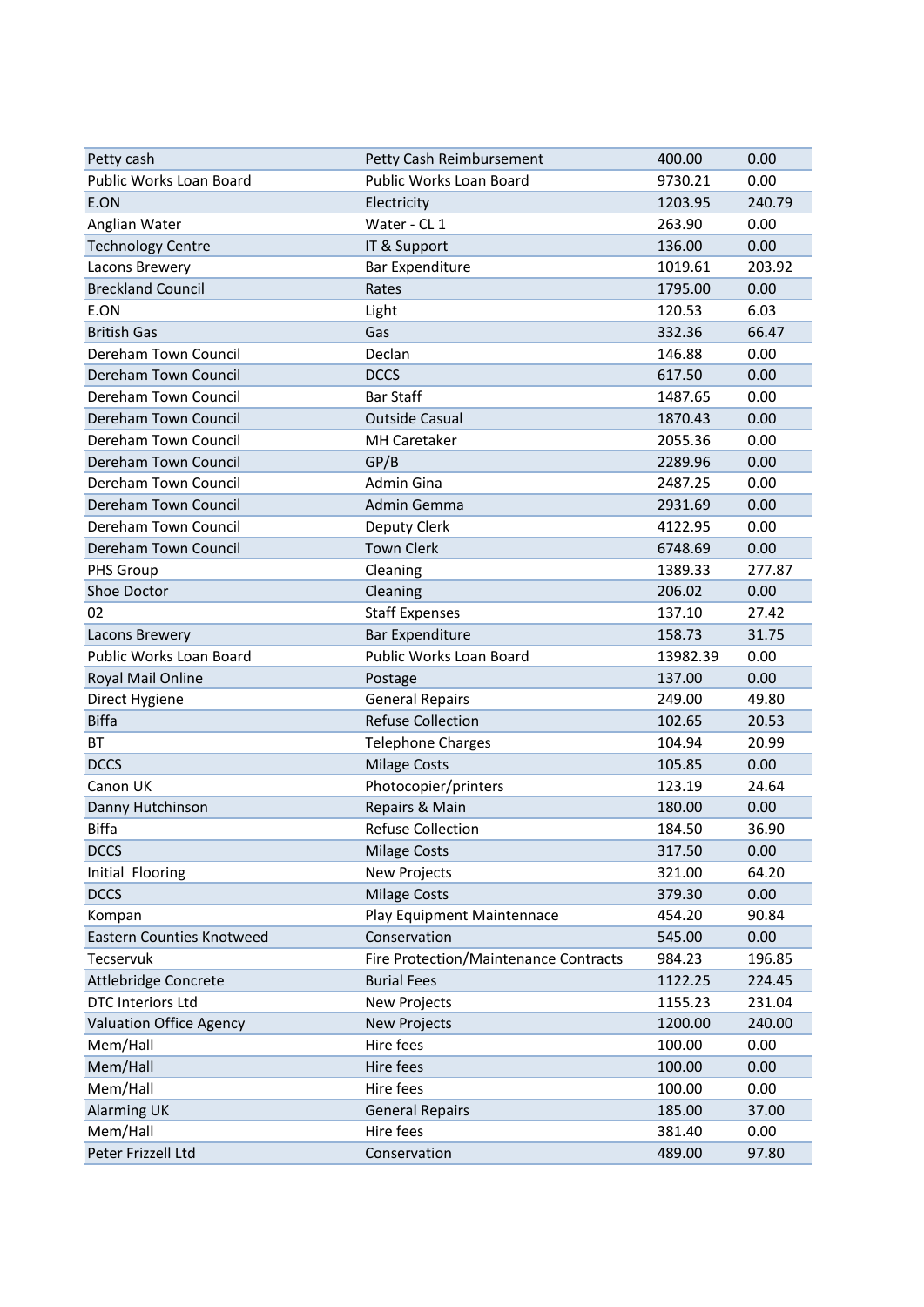| Petty cash                       | Petty Cash Reimbursement              | 400.00   | 0.00   |
|----------------------------------|---------------------------------------|----------|--------|
| Public Works Loan Board          | <b>Public Works Loan Board</b>        | 9730.21  | 0.00   |
| E.ON                             | Electricity                           | 1203.95  | 240.79 |
| Anglian Water                    | Water - CL 1                          | 263.90   | 0.00   |
| <b>Technology Centre</b>         | IT & Support                          | 136.00   | 0.00   |
| Lacons Brewery                   | <b>Bar Expenditure</b>                | 1019.61  | 203.92 |
| <b>Breckland Council</b>         | Rates                                 | 1795.00  | 0.00   |
| E.ON                             | Light                                 | 120.53   | 6.03   |
| <b>British Gas</b>               | Gas                                   | 332.36   | 66.47  |
| Dereham Town Council             | Declan                                | 146.88   | 0.00   |
| Dereham Town Council             | <b>DCCS</b>                           | 617.50   | 0.00   |
| Dereham Town Council             | <b>Bar Staff</b>                      | 1487.65  | 0.00   |
| Dereham Town Council             | <b>Outside Casual</b>                 | 1870.43  | 0.00   |
| Dereham Town Council             | <b>MH Caretaker</b>                   | 2055.36  | 0.00   |
| Dereham Town Council             | GP/B                                  | 2289.96  | 0.00   |
| Dereham Town Council             | Admin Gina                            | 2487.25  | 0.00   |
| Dereham Town Council             | Admin Gemma                           | 2931.69  | 0.00   |
| Dereham Town Council             | Deputy Clerk                          | 4122.95  | 0.00   |
| Dereham Town Council             | <b>Town Clerk</b>                     | 6748.69  | 0.00   |
| PHS Group                        | Cleaning                              | 1389.33  | 277.87 |
| Shoe Doctor                      | Cleaning                              | 206.02   | 0.00   |
| 02                               | <b>Staff Expenses</b>                 | 137.10   | 27.42  |
| Lacons Brewery                   | <b>Bar Expenditure</b>                | 158.73   | 31.75  |
| Public Works Loan Board          | Public Works Loan Board               | 13982.39 | 0.00   |
| Royal Mail Online                | Postage                               | 137.00   | 0.00   |
| Direct Hygiene                   | <b>General Repairs</b>                | 249.00   | 49.80  |
| <b>Biffa</b>                     | <b>Refuse Collection</b>              | 102.65   | 20.53  |
| ВT                               | <b>Telephone Charges</b>              | 104.94   | 20.99  |
| <b>DCCS</b>                      | <b>Milage Costs</b>                   | 105.85   | 0.00   |
| Canon UK                         | Photocopier/printers                  | 123.19   | 24.64  |
| Danny Hutchinson                 | Repairs & Main                        | 180.00   | 0.00   |
| <b>Biffa</b>                     | <b>Refuse Collection</b>              | 184.50   | 36.90  |
| <b>DCCS</b>                      | <b>Milage Costs</b>                   | 317.50   | 0.00   |
| Initial Flooring                 | New Projects                          | 321.00   | 64.20  |
| <b>DCCS</b>                      | <b>Milage Costs</b>                   | 379.30   | 0.00   |
| Kompan                           | Play Equipment Maintennace            | 454.20   | 90.84  |
| <b>Eastern Counties Knotweed</b> | Conservation                          | 545.00   | 0.00   |
| Tecservuk                        | Fire Protection/Maintenance Contracts | 984.23   | 196.85 |
| Attlebridge Concrete             | <b>Burial Fees</b>                    | 1122.25  | 224.45 |
| DTC Interiors Ltd                | New Projects                          | 1155.23  | 231.04 |
| <b>Valuation Office Agency</b>   | New Projects                          | 1200.00  | 240.00 |
| Mem/Hall                         | Hire fees                             | 100.00   | 0.00   |
| Mem/Hall                         | Hire fees                             | 100.00   | 0.00   |
| Mem/Hall                         | Hire fees                             | 100.00   | 0.00   |
| <b>Alarming UK</b>               | <b>General Repairs</b>                | 185.00   | 37.00  |
| Mem/Hall                         | Hire fees                             | 381.40   | 0.00   |
| Peter Frizzell Ltd               | Conservation                          | 489.00   | 97.80  |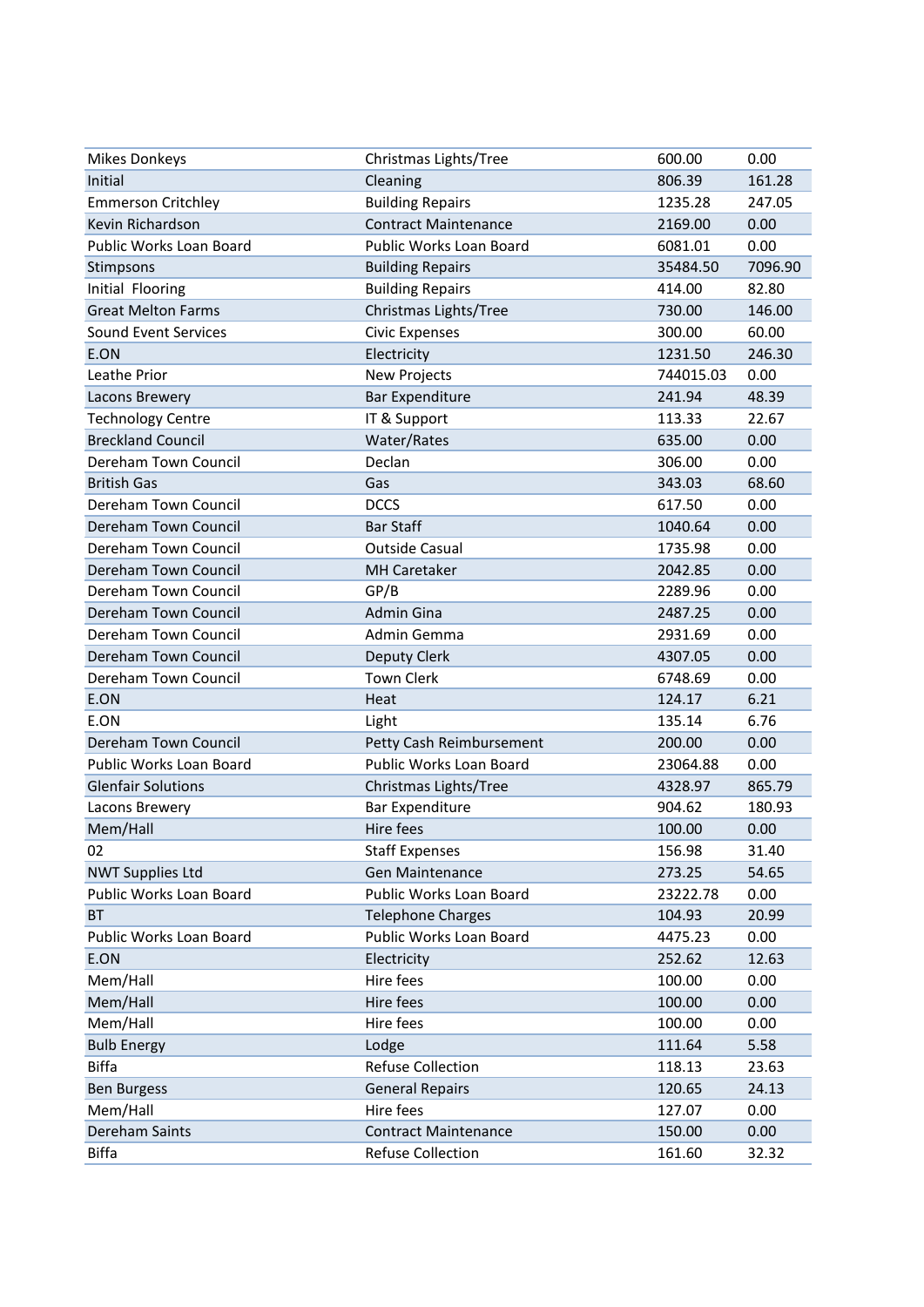| <b>Mikes Donkeys</b>      | Christmas Lights/Tree          | 600.00    | 0.00    |
|---------------------------|--------------------------------|-----------|---------|
| Initial                   | Cleaning                       | 806.39    | 161.28  |
| <b>Emmerson Critchley</b> | <b>Building Repairs</b>        | 1235.28   | 247.05  |
| Kevin Richardson          | <b>Contract Maintenance</b>    | 2169.00   | 0.00    |
| Public Works Loan Board   | <b>Public Works Loan Board</b> | 6081.01   | 0.00    |
| Stimpsons                 | <b>Building Repairs</b>        | 35484.50  | 7096.90 |
| Initial Flooring          | <b>Building Repairs</b>        | 414.00    | 82.80   |
| <b>Great Melton Farms</b> | Christmas Lights/Tree          | 730.00    | 146.00  |
| Sound Event Services      | <b>Civic Expenses</b>          | 300.00    | 60.00   |
| E.ON                      | Electricity                    | 1231.50   | 246.30  |
| Leathe Prior              | <b>New Projects</b>            | 744015.03 | 0.00    |
| Lacons Brewery            | <b>Bar Expenditure</b>         | 241.94    | 48.39   |
| <b>Technology Centre</b>  | IT & Support                   | 113.33    | 22.67   |
| <b>Breckland Council</b>  | Water/Rates                    | 635.00    | 0.00    |
| Dereham Town Council      | Declan                         | 306.00    | 0.00    |
| <b>British Gas</b>        | Gas                            | 343.03    | 68.60   |
| Dereham Town Council      | <b>DCCS</b>                    | 617.50    | 0.00    |
| Dereham Town Council      | <b>Bar Staff</b>               | 1040.64   | 0.00    |
| Dereham Town Council      | <b>Outside Casual</b>          | 1735.98   | 0.00    |
| Dereham Town Council      | <b>MH Caretaker</b>            | 2042.85   | 0.00    |
| Dereham Town Council      | GP/B                           | 2289.96   | 0.00    |
| Dereham Town Council      | <b>Admin Gina</b>              | 2487.25   | 0.00    |
| Dereham Town Council      | Admin Gemma                    | 2931.69   | 0.00    |
| Dereham Town Council      | Deputy Clerk                   | 4307.05   | 0.00    |
| Dereham Town Council      | <b>Town Clerk</b>              | 6748.69   | 0.00    |
| E.ON                      | Heat                           | 124.17    | 6.21    |
| E.ON                      | Light                          | 135.14    | 6.76    |
| Dereham Town Council      | Petty Cash Reimbursement       | 200.00    | 0.00    |
| Public Works Loan Board   | Public Works Loan Board        | 23064.88  | 0.00    |
| <b>Glenfair Solutions</b> | Christmas Lights/Tree          | 4328.97   | 865.79  |
| Lacons Brewery            | <b>Bar Expenditure</b>         | 904.62    | 180.93  |
| Mem/Hall                  | Hire fees                      | 100.00    | 0.00    |
| 02                        | <b>Staff Expenses</b>          | 156.98    | 31.40   |
| <b>NWT Supplies Ltd</b>   | <b>Gen Maintenance</b>         | 273.25    | 54.65   |
| Public Works Loan Board   | Public Works Loan Board        | 23222.78  | 0.00    |
| <b>BT</b>                 | <b>Telephone Charges</b>       | 104.93    | 20.99   |
| Public Works Loan Board   | Public Works Loan Board        | 4475.23   | 0.00    |
| E.ON                      | Electricity                    | 252.62    | 12.63   |
| Mem/Hall                  | Hire fees                      | 100.00    | 0.00    |
| Mem/Hall                  | Hire fees                      | 100.00    | 0.00    |
| Mem/Hall                  | Hire fees                      | 100.00    | 0.00    |
| <b>Bulb Energy</b>        | Lodge                          | 111.64    | 5.58    |
| <b>Biffa</b>              | <b>Refuse Collection</b>       | 118.13    | 23.63   |
| <b>Ben Burgess</b>        | <b>General Repairs</b>         | 120.65    | 24.13   |
| Mem/Hall                  | Hire fees                      | 127.07    | 0.00    |
| Dereham Saints            | <b>Contract Maintenance</b>    | 150.00    | 0.00    |
| <b>Biffa</b>              | <b>Refuse Collection</b>       | 161.60    | 32.32   |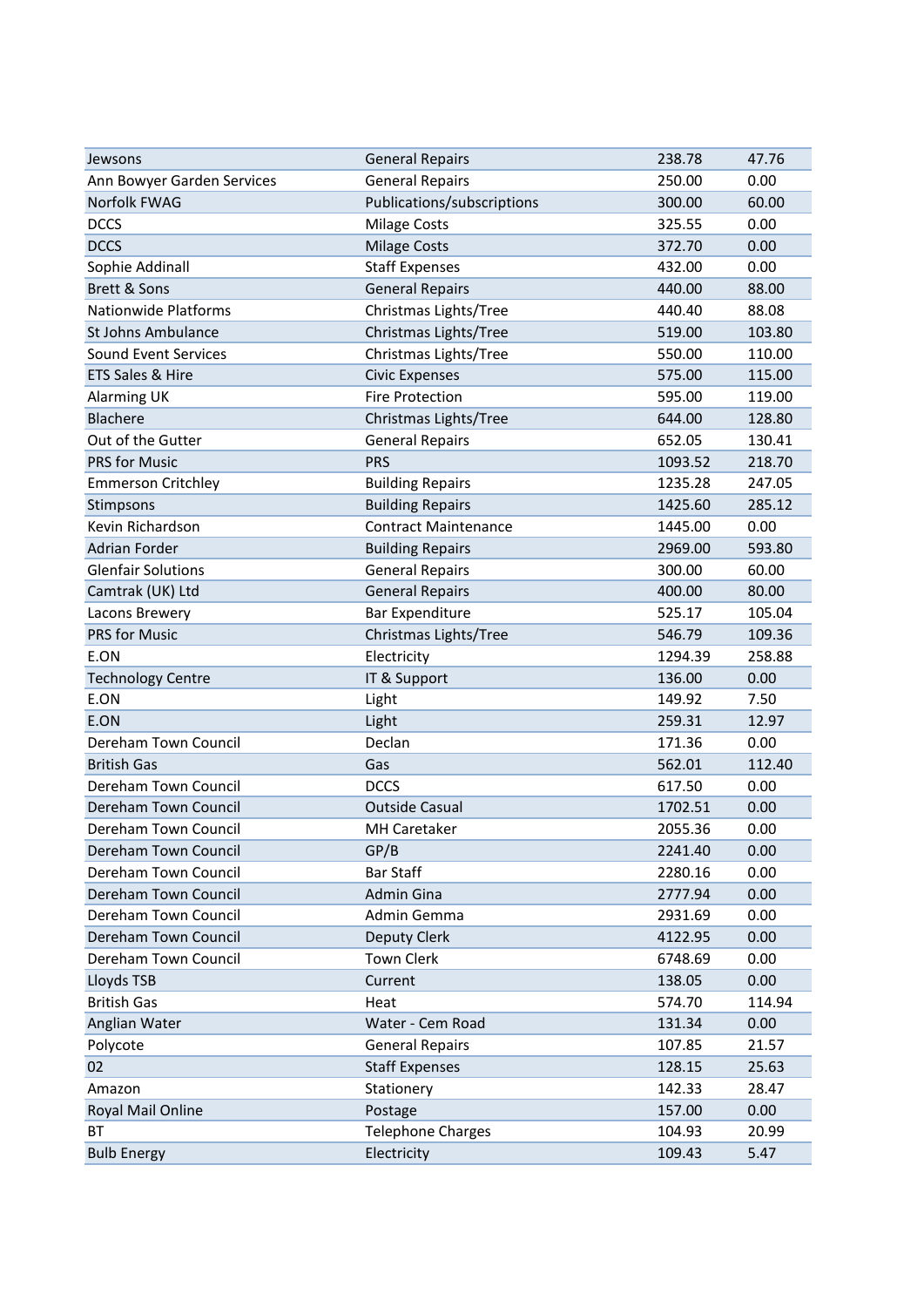| Jewsons                     | <b>General Repairs</b>      | 238.78  | 47.76  |
|-----------------------------|-----------------------------|---------|--------|
| Ann Bowyer Garden Services  | <b>General Repairs</b>      | 250.00  | 0.00   |
| Norfolk FWAG                | Publications/subscriptions  | 300.00  | 60.00  |
| <b>DCCS</b>                 | <b>Milage Costs</b>         | 325.55  | 0.00   |
| <b>DCCS</b>                 | <b>Milage Costs</b>         | 372.70  | 0.00   |
| Sophie Addinall             | <b>Staff Expenses</b>       | 432.00  | 0.00   |
| Brett & Sons                | <b>General Repairs</b>      | 440.00  | 88.00  |
| <b>Nationwide Platforms</b> | Christmas Lights/Tree       | 440.40  | 88.08  |
| St Johns Ambulance          | Christmas Lights/Tree       | 519.00  | 103.80 |
| Sound Event Services        | Christmas Lights/Tree       | 550.00  | 110.00 |
| ETS Sales & Hire            | <b>Civic Expenses</b>       | 575.00  | 115.00 |
| <b>Alarming UK</b>          | <b>Fire Protection</b>      | 595.00  | 119.00 |
| <b>Blachere</b>             | Christmas Lights/Tree       | 644.00  | 128.80 |
| Out of the Gutter           | <b>General Repairs</b>      | 652.05  | 130.41 |
| PRS for Music               | <b>PRS</b>                  | 1093.52 | 218.70 |
| <b>Emmerson Critchley</b>   | <b>Building Repairs</b>     | 1235.28 | 247.05 |
| Stimpsons                   | <b>Building Repairs</b>     | 1425.60 | 285.12 |
| Kevin Richardson            | <b>Contract Maintenance</b> | 1445.00 | 0.00   |
| Adrian Forder               | <b>Building Repairs</b>     | 2969.00 | 593.80 |
| <b>Glenfair Solutions</b>   | <b>General Repairs</b>      | 300.00  | 60.00  |
| Camtrak (UK) Ltd            | <b>General Repairs</b>      | 400.00  | 80.00  |
| Lacons Brewery              | <b>Bar Expenditure</b>      | 525.17  | 105.04 |
| PRS for Music               | Christmas Lights/Tree       | 546.79  | 109.36 |
| E.ON                        | Electricity                 | 1294.39 | 258.88 |
| <b>Technology Centre</b>    | IT & Support                | 136.00  | 0.00   |
| E.ON                        | Light                       | 149.92  | 7.50   |
| E.ON                        | Light                       | 259.31  | 12.97  |
| Dereham Town Council        | Declan                      | 171.36  | 0.00   |
| <b>British Gas</b>          | Gas                         | 562.01  | 112.40 |
| Dereham Town Council        | <b>DCCS</b>                 | 617.50  | 0.00   |
| Dereham Town Council        | <b>Outside Casual</b>       | 1702.51 | 0.00   |
| Dereham Town Council        | <b>MH Caretaker</b>         | 2055.36 | 0.00   |
| Dereham Town Council        | GP/B                        | 2241.40 | 0.00   |
| Dereham Town Council        | <b>Bar Staff</b>            | 2280.16 | 0.00   |
| Dereham Town Council        | Admin Gina                  | 2777.94 | 0.00   |
| Dereham Town Council        | Admin Gemma                 | 2931.69 | 0.00   |
| Dereham Town Council        | Deputy Clerk                | 4122.95 | 0.00   |
| Dereham Town Council        | <b>Town Clerk</b>           | 6748.69 | 0.00   |
| Lloyds TSB                  | Current                     | 138.05  | 0.00   |
| <b>British Gas</b>          | Heat                        | 574.70  | 114.94 |
| Anglian Water               | Water - Cem Road            | 131.34  | 0.00   |
| Polycote                    | <b>General Repairs</b>      | 107.85  | 21.57  |
| 02                          | <b>Staff Expenses</b>       | 128.15  | 25.63  |
| Amazon                      | Stationery                  | 142.33  | 28.47  |
| Royal Mail Online           | Postage                     | 157.00  | 0.00   |
| <b>BT</b>                   | <b>Telephone Charges</b>    | 104.93  | 20.99  |
| <b>Bulb Energy</b>          | Electricity                 | 109.43  | 5.47   |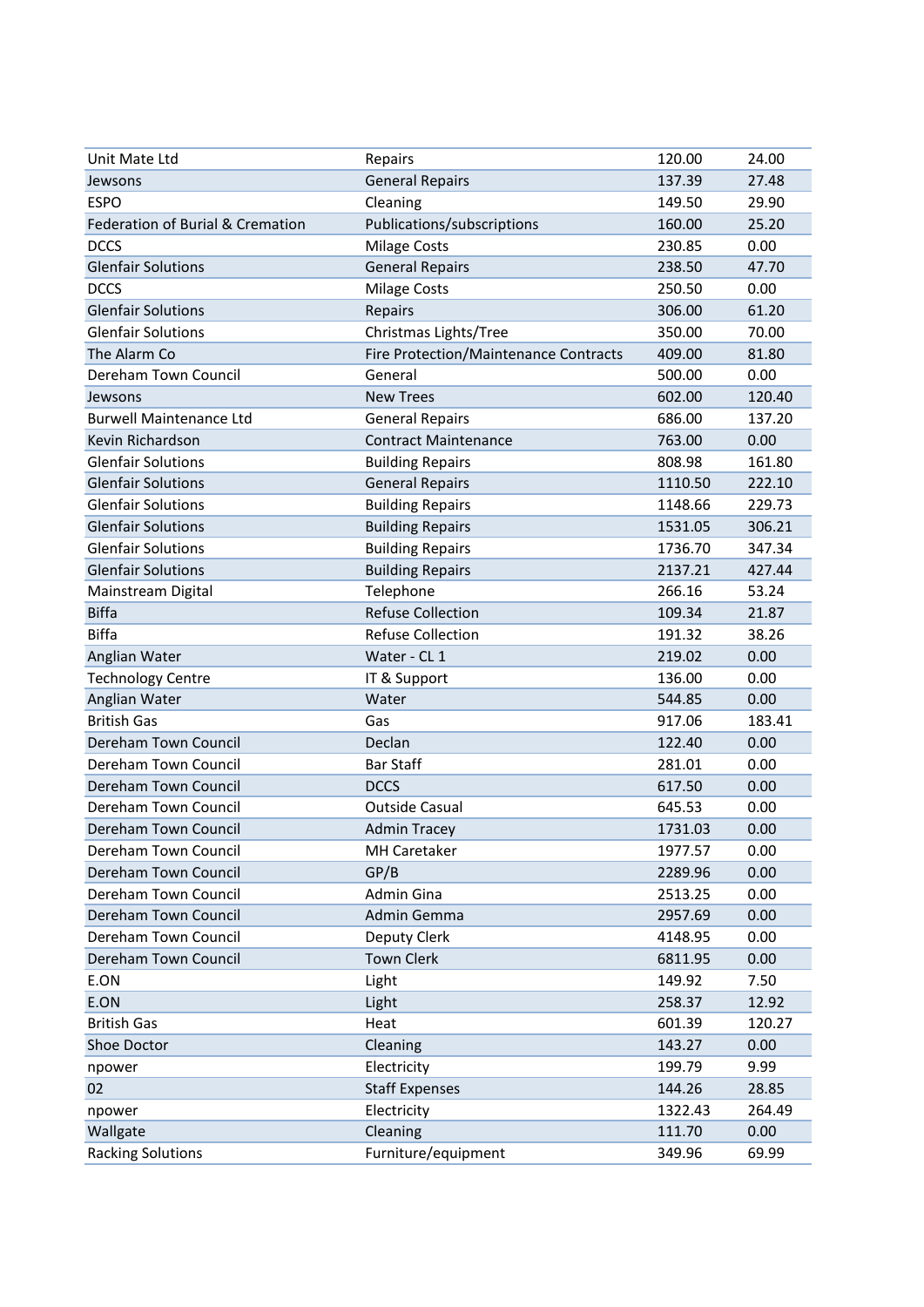| Unit Mate Ltd                    | Repairs                               | 120.00  | 24.00  |
|----------------------------------|---------------------------------------|---------|--------|
| Jewsons                          | <b>General Repairs</b>                | 137.39  | 27.48  |
| <b>ESPO</b>                      | Cleaning                              | 149.50  | 29.90  |
| Federation of Burial & Cremation | Publications/subscriptions            | 160.00  | 25.20  |
| <b>DCCS</b>                      | <b>Milage Costs</b>                   | 230.85  | 0.00   |
| <b>Glenfair Solutions</b>        | <b>General Repairs</b>                | 238.50  | 47.70  |
| <b>DCCS</b>                      | <b>Milage Costs</b>                   | 250.50  | 0.00   |
| <b>Glenfair Solutions</b>        | Repairs                               | 306.00  | 61.20  |
| <b>Glenfair Solutions</b>        | Christmas Lights/Tree                 | 350.00  | 70.00  |
| The Alarm Co                     | Fire Protection/Maintenance Contracts | 409.00  | 81.80  |
| Dereham Town Council             | General                               | 500.00  | 0.00   |
| Jewsons                          | <b>New Trees</b>                      | 602.00  | 120.40 |
| <b>Burwell Maintenance Ltd</b>   | <b>General Repairs</b>                | 686.00  | 137.20 |
| Kevin Richardson                 | <b>Contract Maintenance</b>           | 763.00  | 0.00   |
| <b>Glenfair Solutions</b>        | <b>Building Repairs</b>               | 808.98  | 161.80 |
| <b>Glenfair Solutions</b>        | <b>General Repairs</b>                | 1110.50 | 222.10 |
| <b>Glenfair Solutions</b>        | <b>Building Repairs</b>               | 1148.66 | 229.73 |
| <b>Glenfair Solutions</b>        | <b>Building Repairs</b>               | 1531.05 | 306.21 |
| <b>Glenfair Solutions</b>        | <b>Building Repairs</b>               | 1736.70 | 347.34 |
| <b>Glenfair Solutions</b>        | <b>Building Repairs</b>               | 2137.21 | 427.44 |
| Mainstream Digital               | Telephone                             | 266.16  | 53.24  |
| <b>Biffa</b>                     | <b>Refuse Collection</b>              | 109.34  | 21.87  |
| <b>Biffa</b>                     | <b>Refuse Collection</b>              | 191.32  | 38.26  |
| Anglian Water                    | Water - CL 1                          | 219.02  | 0.00   |
| <b>Technology Centre</b>         | IT & Support                          | 136.00  | 0.00   |
| Anglian Water                    | Water                                 | 544.85  | 0.00   |
| <b>British Gas</b>               | Gas                                   | 917.06  | 183.41 |
| Dereham Town Council             | Declan                                | 122.40  | 0.00   |
| Dereham Town Council             | <b>Bar Staff</b>                      | 281.01  | 0.00   |
| Dereham Town Council             | <b>DCCS</b>                           | 617.50  | 0.00   |
| Dereham Town Council             | <b>Outside Casual</b>                 | 645.53  | 0.00   |
| Dereham Town Council             | <b>Admin Tracey</b>                   | 1731.03 | 0.00   |
| Dereham Town Council             | <b>MH Caretaker</b>                   | 1977.57 | 0.00   |
| Dereham Town Council             | GP/B                                  | 2289.96 | 0.00   |
| Dereham Town Council             | Admin Gina                            | 2513.25 | 0.00   |
| Dereham Town Council             | Admin Gemma                           | 2957.69 | 0.00   |
| Dereham Town Council             | Deputy Clerk                          | 4148.95 | 0.00   |
| Dereham Town Council             | <b>Town Clerk</b>                     | 6811.95 | 0.00   |
| E.ON                             | Light                                 | 149.92  | 7.50   |
| E.ON                             | Light                                 | 258.37  | 12.92  |
| <b>British Gas</b>               | Heat                                  | 601.39  | 120.27 |
| Shoe Doctor                      | Cleaning                              | 143.27  | 0.00   |
| npower                           | Electricity                           | 199.79  | 9.99   |
| 02                               | <b>Staff Expenses</b>                 | 144.26  | 28.85  |
| npower                           | Electricity                           | 1322.43 | 264.49 |
| Wallgate                         | Cleaning                              | 111.70  | 0.00   |
| <b>Racking Solutions</b>         | Furniture/equipment                   | 349.96  | 69.99  |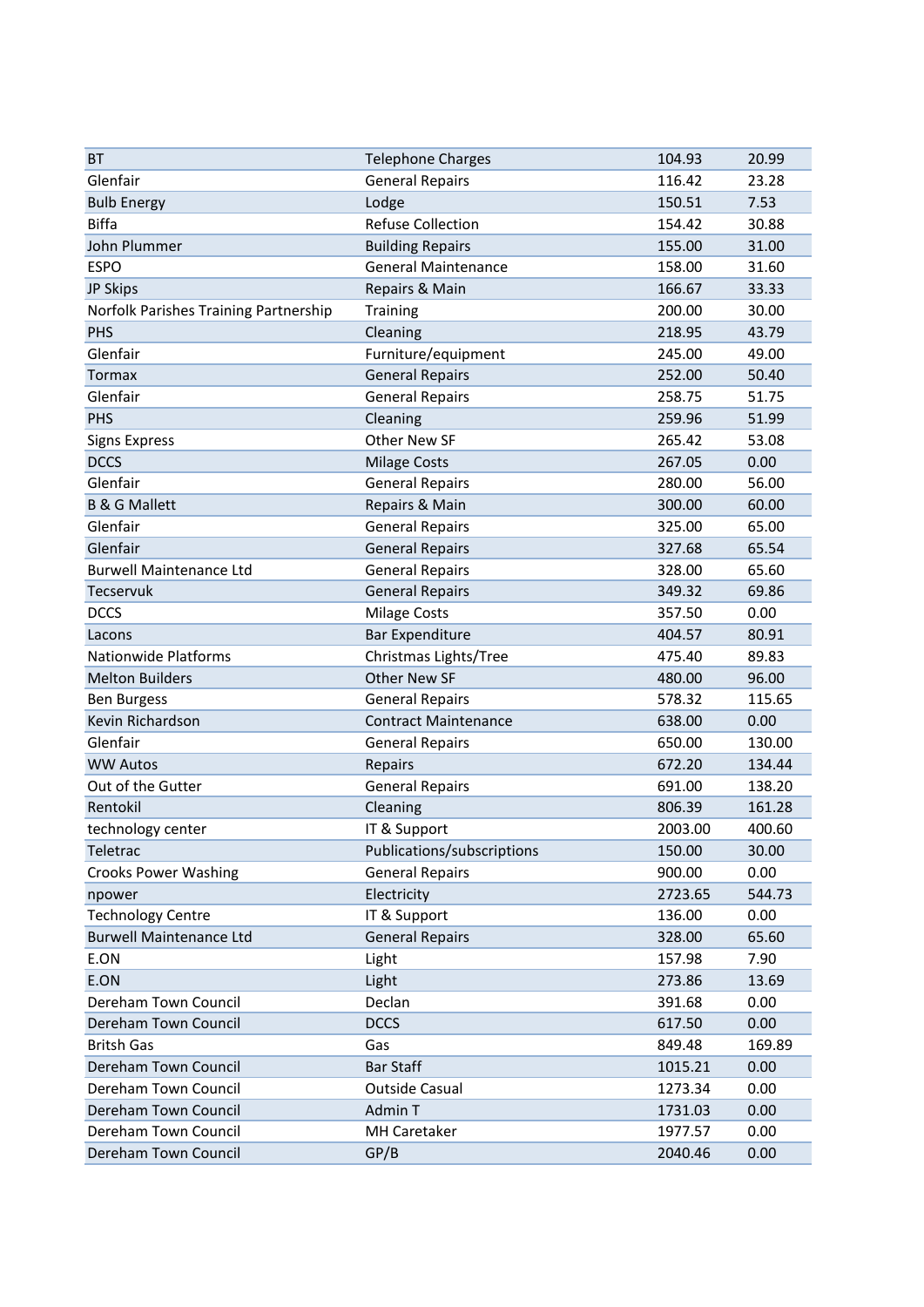| <b>BT</b>                             | <b>Telephone Charges</b>    | 104.93  | 20.99  |
|---------------------------------------|-----------------------------|---------|--------|
| Glenfair                              | <b>General Repairs</b>      | 116.42  | 23.28  |
| <b>Bulb Energy</b>                    | Lodge                       | 150.51  | 7.53   |
| <b>Biffa</b>                          | <b>Refuse Collection</b>    | 154.42  | 30.88  |
| John Plummer                          | <b>Building Repairs</b>     | 155.00  | 31.00  |
| <b>ESPO</b>                           | <b>General Maintenance</b>  | 158.00  | 31.60  |
| JP Skips                              | Repairs & Main              | 166.67  | 33.33  |
| Norfolk Parishes Training Partnership | Training                    | 200.00  | 30.00  |
| PHS                                   | Cleaning                    | 218.95  | 43.79  |
| Glenfair                              | Furniture/equipment         | 245.00  | 49.00  |
| <b>Tormax</b>                         | <b>General Repairs</b>      | 252.00  | 50.40  |
| Glenfair                              | <b>General Repairs</b>      | 258.75  | 51.75  |
| PHS                                   | Cleaning                    | 259.96  | 51.99  |
| <b>Signs Express</b>                  | Other New SF                | 265.42  | 53.08  |
| <b>DCCS</b>                           | <b>Milage Costs</b>         | 267.05  | 0.00   |
| Glenfair                              | <b>General Repairs</b>      | 280.00  | 56.00  |
| <b>B &amp; G Mallett</b>              | Repairs & Main              | 300.00  | 60.00  |
| Glenfair                              | <b>General Repairs</b>      | 325.00  | 65.00  |
| Glenfair                              | <b>General Repairs</b>      | 327.68  | 65.54  |
| <b>Burwell Maintenance Ltd</b>        | <b>General Repairs</b>      | 328.00  | 65.60  |
| <b>Tecservuk</b>                      | <b>General Repairs</b>      | 349.32  | 69.86  |
| <b>DCCS</b>                           | <b>Milage Costs</b>         | 357.50  | 0.00   |
| Lacons                                | <b>Bar Expenditure</b>      | 404.57  | 80.91  |
| <b>Nationwide Platforms</b>           | Christmas Lights/Tree       | 475.40  | 89.83  |
| <b>Melton Builders</b>                | <b>Other New SF</b>         | 480.00  | 96.00  |
| <b>Ben Burgess</b>                    | <b>General Repairs</b>      | 578.32  | 115.65 |
| Kevin Richardson                      | <b>Contract Maintenance</b> | 638.00  | 0.00   |
| Glenfair                              | <b>General Repairs</b>      | 650.00  | 130.00 |
| <b>WW Autos</b>                       | Repairs                     | 672.20  | 134.44 |
| Out of the Gutter                     | <b>General Repairs</b>      | 691.00  | 138.20 |
| Rentokil                              | Cleaning                    | 806.39  | 161.28 |
| technology center                     | IT & Support                | 2003.00 | 400.60 |
| Teletrac                              | Publications/subscriptions  | 150.00  | 30.00  |
| <b>Crooks Power Washing</b>           | <b>General Repairs</b>      | 900.00  | 0.00   |
| npower                                | Electricity                 | 2723.65 | 544.73 |
| <b>Technology Centre</b>              | IT & Support                | 136.00  | 0.00   |
| <b>Burwell Maintenance Ltd</b>        | <b>General Repairs</b>      | 328.00  | 65.60  |
| E.ON                                  | Light                       | 157.98  | 7.90   |
| E.ON                                  | Light                       | 273.86  | 13.69  |
| Dereham Town Council                  | Declan                      | 391.68  | 0.00   |
| Dereham Town Council                  | <b>DCCS</b>                 | 617.50  | 0.00   |
| <b>Britsh Gas</b>                     | Gas                         | 849.48  | 169.89 |
| Dereham Town Council                  | <b>Bar Staff</b>            | 1015.21 | 0.00   |
| Dereham Town Council                  | Outside Casual              | 1273.34 | 0.00   |
| Dereham Town Council                  | Admin T                     | 1731.03 | 0.00   |
| Dereham Town Council                  | <b>MH Caretaker</b>         | 1977.57 | 0.00   |
| Dereham Town Council                  | GP/B                        | 2040.46 | 0.00   |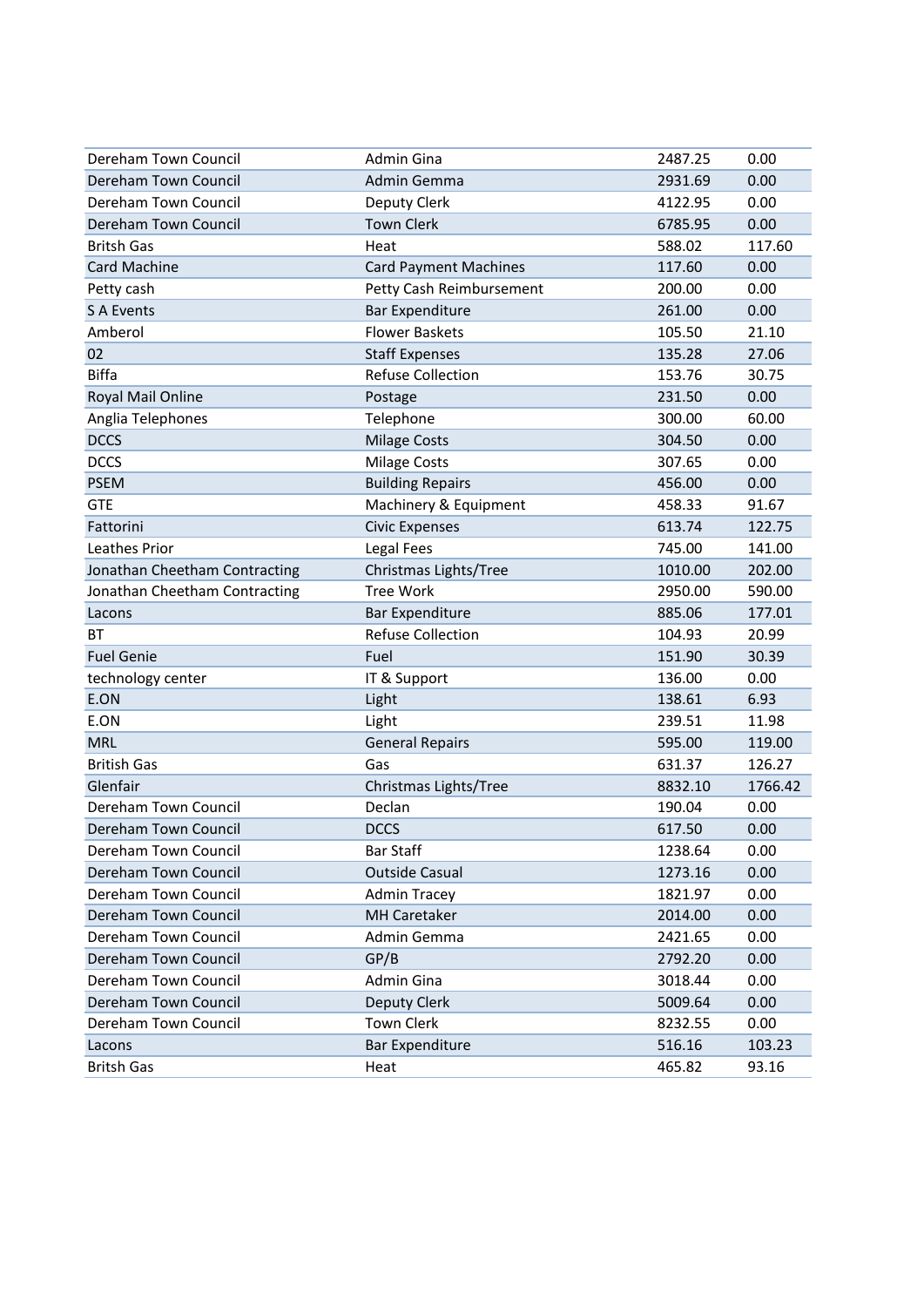| Dereham Town Council          | Admin Gina                   | 2487.25 | 0.00    |
|-------------------------------|------------------------------|---------|---------|
| Dereham Town Council          | Admin Gemma                  | 2931.69 | 0.00    |
| Dereham Town Council          | Deputy Clerk                 | 4122.95 | 0.00    |
| Dereham Town Council          | <b>Town Clerk</b>            | 6785.95 | 0.00    |
| <b>Britsh Gas</b>             | Heat                         | 588.02  | 117.60  |
| <b>Card Machine</b>           | <b>Card Payment Machines</b> | 117.60  | 0.00    |
| Petty cash                    | Petty Cash Reimbursement     | 200.00  | 0.00    |
| <b>S A Events</b>             | <b>Bar Expenditure</b>       | 261.00  | 0.00    |
| Amberol                       | <b>Flower Baskets</b>        | 105.50  | 21.10   |
| 02                            | <b>Staff Expenses</b>        | 135.28  | 27.06   |
| <b>Biffa</b>                  | <b>Refuse Collection</b>     | 153.76  | 30.75   |
| Royal Mail Online             | Postage                      | 231.50  | 0.00    |
| Anglia Telephones             | Telephone                    | 300.00  | 60.00   |
| <b>DCCS</b>                   | <b>Milage Costs</b>          | 304.50  | 0.00    |
| <b>DCCS</b>                   | <b>Milage Costs</b>          | 307.65  | 0.00    |
| <b>PSEM</b>                   | <b>Building Repairs</b>      | 456.00  | 0.00    |
| <b>GTE</b>                    | Machinery & Equipment        | 458.33  | 91.67   |
| Fattorini                     | <b>Civic Expenses</b>        | 613.74  | 122.75  |
| Leathes Prior                 | Legal Fees                   | 745.00  | 141.00  |
| Jonathan Cheetham Contracting | Christmas Lights/Tree        | 1010.00 | 202.00  |
| Jonathan Cheetham Contracting | <b>Tree Work</b>             | 2950.00 | 590.00  |
| Lacons                        | <b>Bar Expenditure</b>       | 885.06  | 177.01  |
| ВT                            | <b>Refuse Collection</b>     | 104.93  | 20.99   |
| <b>Fuel Genie</b>             | Fuel                         | 151.90  | 30.39   |
| technology center             | IT & Support                 | 136.00  | 0.00    |
| E.ON                          | Light                        | 138.61  | 6.93    |
| E.ON                          | Light                        | 239.51  | 11.98   |
| <b>MRL</b>                    | <b>General Repairs</b>       | 595.00  | 119.00  |
| <b>British Gas</b>            | Gas                          | 631.37  | 126.27  |
| Glenfair                      | Christmas Lights/Tree        | 8832.10 | 1766.42 |
| Dereham Town Council          | Declan                       | 190.04  | 0.00    |
| Dereham Town Council          | <b>DCCS</b>                  | 617.50  | 0.00    |
| Dereham Town Council          | <b>Bar Staff</b>             | 1238.64 | 0.00    |
| Dereham Town Council          | <b>Outside Casual</b>        | 1273.16 | 0.00    |
| Dereham Town Council          | <b>Admin Tracey</b>          | 1821.97 | 0.00    |
| Dereham Town Council          | <b>MH Caretaker</b>          | 2014.00 | 0.00    |
| Dereham Town Council          | Admin Gemma                  | 2421.65 | 0.00    |
| Dereham Town Council          | GP/B                         | 2792.20 | 0.00    |
| Dereham Town Council          | Admin Gina                   | 3018.44 | 0.00    |
| Dereham Town Council          | Deputy Clerk                 | 5009.64 | 0.00    |
| Dereham Town Council          | <b>Town Clerk</b>            | 8232.55 | 0.00    |
| Lacons                        | <b>Bar Expenditure</b>       | 516.16  | 103.23  |
| <b>Britsh Gas</b>             | Heat                         | 465.82  | 93.16   |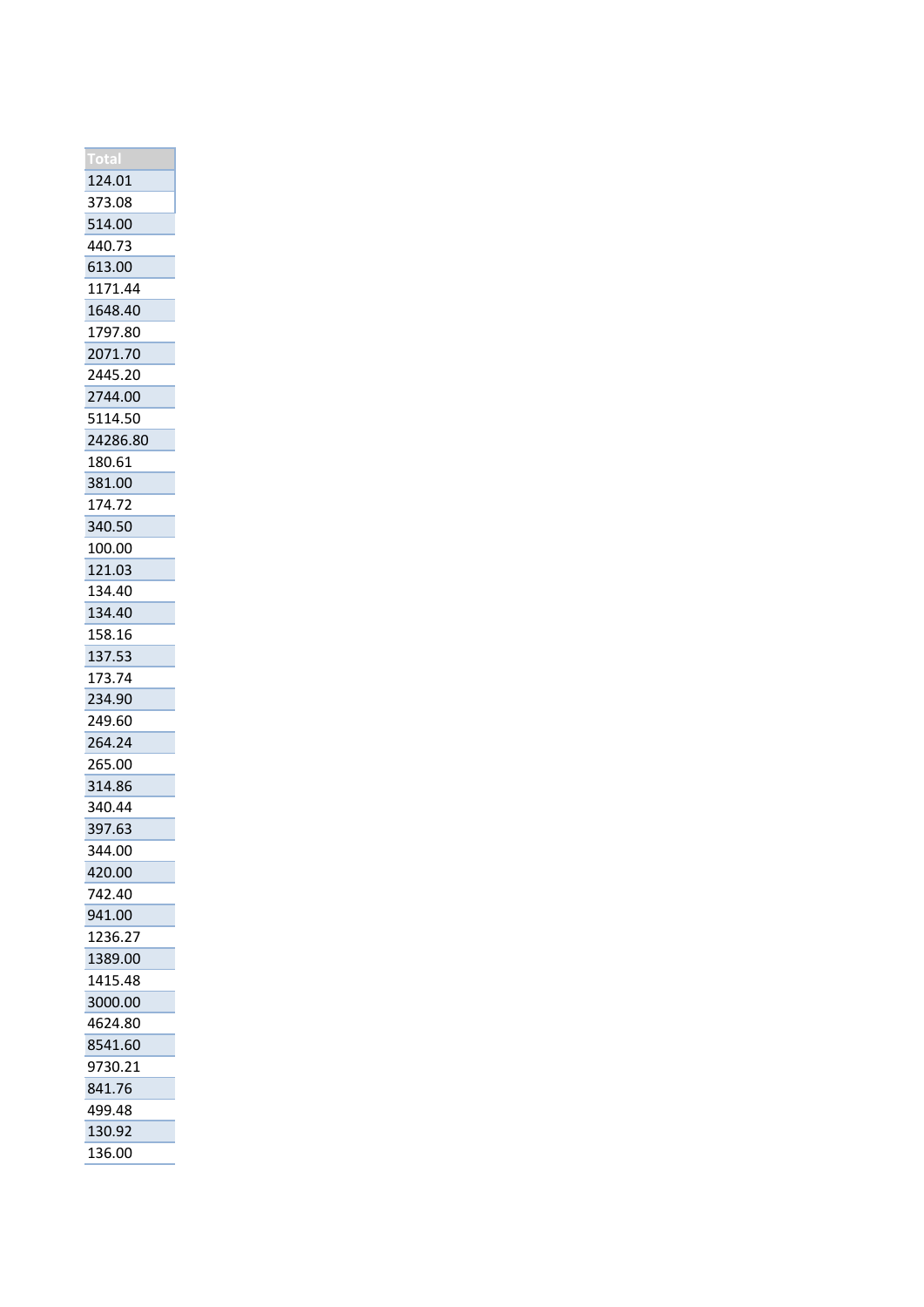| 124.01   |
|----------|
| 373.08   |
| 514.00   |
| 440.73   |
| 613.00   |
| 1171.44  |
| 1648.40  |
| 1797.80  |
| 2071.70  |
| 2445.20  |
| 2744.00  |
| 5114.50  |
| 24286.80 |
| 180.61   |
| 381.00   |
| 174.72   |
| 340.50   |
| 100.00   |
| 121.03   |
| 134.40   |
| 134.40   |
| 158.16   |
| 137.53   |
| 173.74   |
| 234.90   |
| 249.60   |
| 264.24   |
|          |
| 265.00   |
| 314.86   |
| 340.44   |
| 397.63   |
| 344.00   |
| 420.00   |
| 742.40   |
| 941.00   |
| 1236.27  |
| 1389.00  |
| 1415.48  |
| 3000.00  |
| 4624.80  |
| 8541.60  |
| 9730.21  |
| 841.76   |
| 499.48   |
| 130.92   |
| 136.00   |
|          |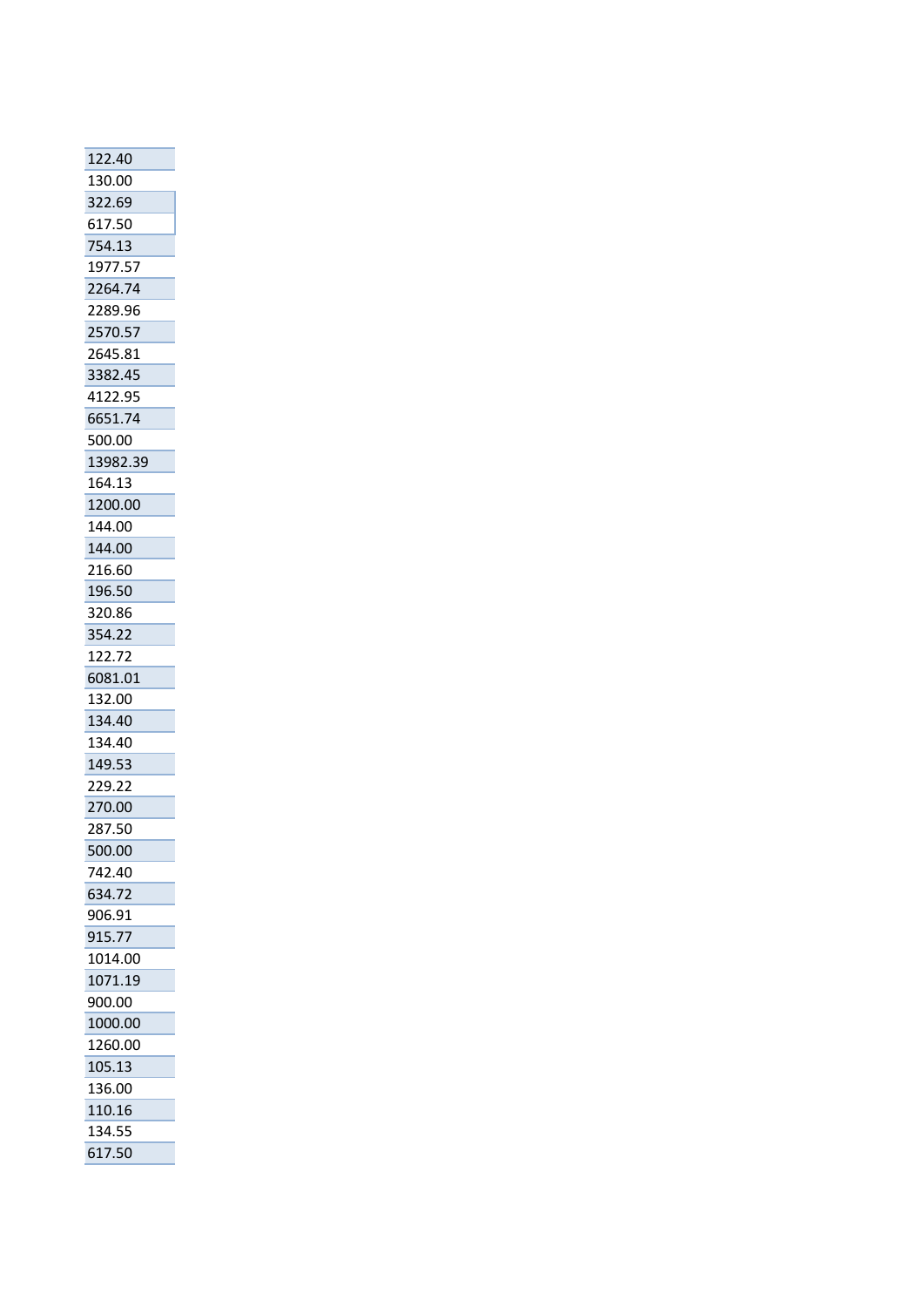| 122.40   |
|----------|
| 130.00   |
| 322.69   |
| 617.50   |
| 754.13   |
| 1977.57  |
| 2264.74  |
| 2289.96  |
| 2570.57  |
| 2645.81  |
| 3382.45  |
| 4122.95  |
| 6651.74  |
| 500.00   |
| 13982.39 |
| 164.13   |
| 1200.00  |
| 144.00   |
| 144.00   |
| 216.60   |
| 196.50   |
| 320.86   |
| 354.22   |
| 122.72   |
| 6081.01  |
| 132.00   |
| 134.40   |
| 134.40   |
| 149.53   |
| 229.22   |
| 270.00   |
| 287.50   |
| 500.00   |
| 742.40   |
| 634.72   |
| 906.91   |
| 915.77   |
| 1014.00  |
| 1071.19  |
| 900.00   |
| 1000.00  |
| 1260.00  |
| 105.13   |
| 136.00   |
| 110.16   |
| 134.55   |
| 617.50   |
|          |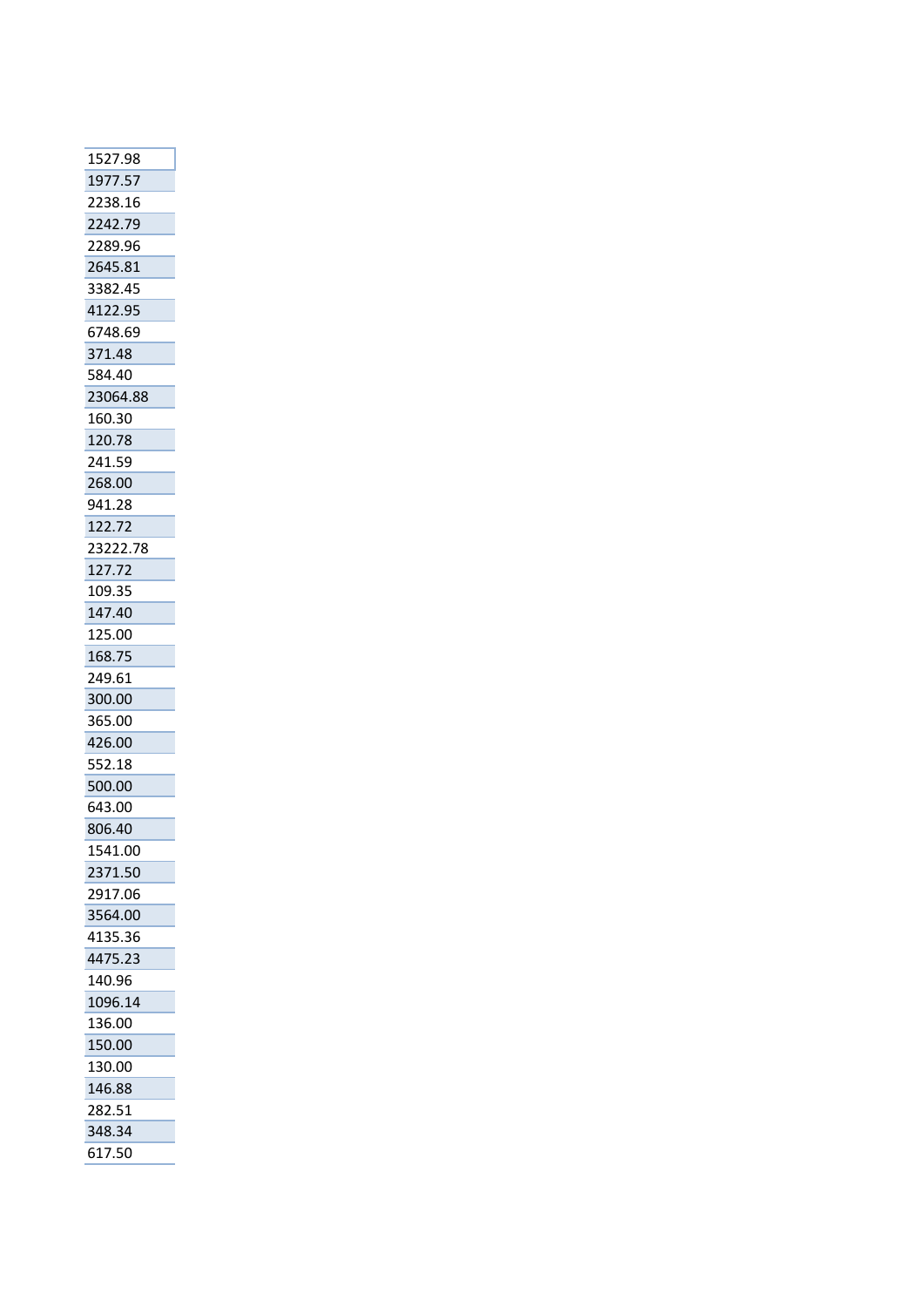| 1527.98  |
|----------|
| 1977.57  |
| 2238.16  |
| 2242.79  |
| 2289.96  |
| 2645.81  |
| 3382.45  |
| 4122.95  |
| 6748.69  |
| 371.48   |
| 584.40   |
| 23064.88 |
| 160.30   |
| 120.78   |
| 241.59   |
| 268.00   |
| 941.28   |
| 122.72   |
| 23222.78 |
| 127.72   |
| 109.35   |
| 147.40   |
| 125.00   |
| 168.75   |
| 249.61   |
| 300.00   |
| 365.00   |
| 426.00   |
| 552.18   |
| 500.00   |
| 643.00   |
| 806.40   |
| 1541.00  |
| 2371.50  |
| 2917.06  |
| 3564.00  |
| 4135.36  |
| 4475.23  |
| 140.96   |
| 1096.14  |
| 136.00   |
| 150.00   |
| 130.00   |
| 146.88   |
| 282.51   |
| 348.34   |
| 617.50   |
|          |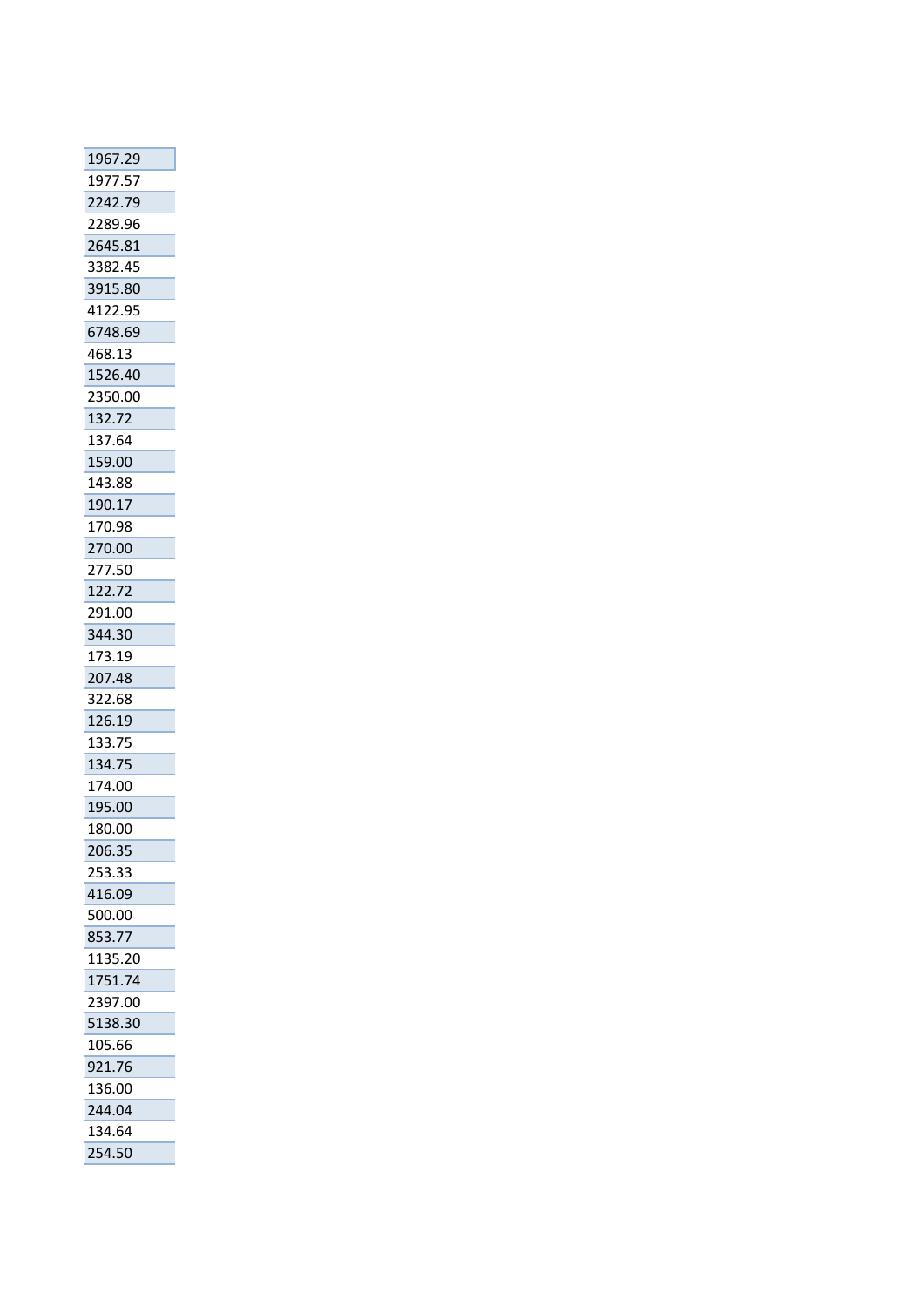| 1967.29 |
|---------|
| 1977.57 |
| 2242.79 |
| 2289.96 |
| 2645.81 |
| 3382.45 |
| 3915.80 |
| 4122.95 |
| 6748.69 |
| 468.13  |
| 1526.40 |
| 2350.00 |
| 132.72  |
| 137.64  |
| 159.00  |
| 143.88  |
| 190.17  |
| 170.98  |
| 270.00  |
| 277.50  |
| 122.72  |
| 291.00  |
| 344.30  |
| 173.19  |
| 207.48  |
| 322.68  |
| 126.19  |
| 133.75  |
| 134.75  |
| 174.00  |
| 195.00  |
| 180.00  |
| 206.35  |
| 253.33  |
|         |
| 416.09  |
| 500.00  |
| 853.77  |
| 1135.20 |
| 1751.74 |
| 2397.00 |
| 5138.30 |
| 105.66  |
| 921.76  |
| 136.00  |
| 244.04  |
| 134.64  |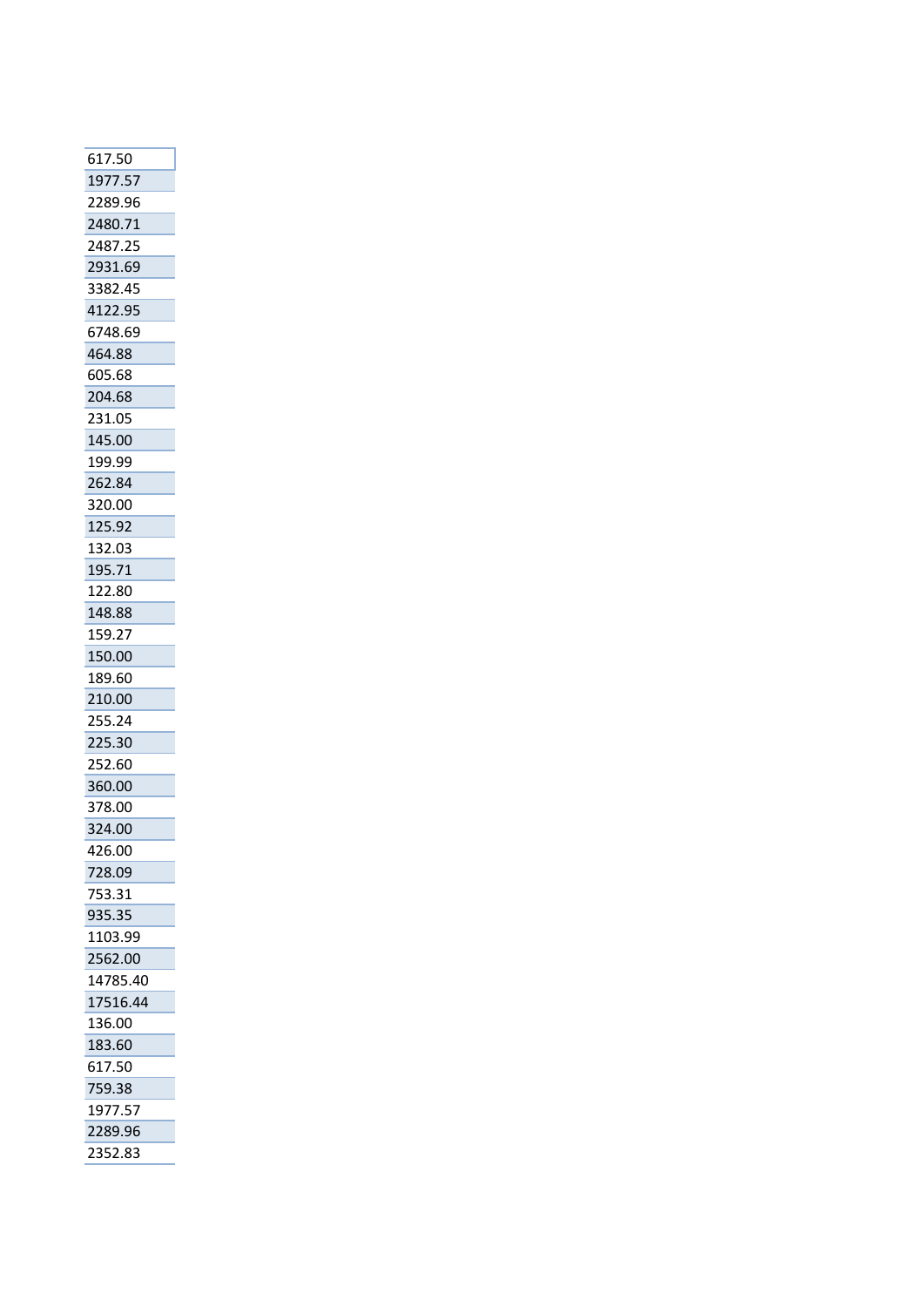| 617.50   |
|----------|
| 1977.57  |
| 2289.96  |
| 2480.71  |
| 2487.25  |
| 2931.69  |
| 3382.45  |
| 4122.95  |
| 6748.69  |
| 464.88   |
| 605.68   |
| 204.68   |
| 231.05   |
| 145.00   |
| 199.99   |
| 262.84   |
| 320.00   |
| 125.92   |
| 132.03   |
| 195.71   |
| 122.80   |
| 148.88   |
| 159.27   |
| 150.00   |
| 189.60   |
| 210.00   |
| 255.24   |
| 225.30   |
| 252.60   |
| 360.00   |
| 378.00   |
| 324.00   |
| 426.00   |
| 728.09   |
| 753.31   |
| 935.35   |
| 1103.99  |
| 2562.00  |
| 14785.40 |
| 17516.44 |
| 136.00   |
| 183.60   |
| 617.50   |
| 759.38   |
| 1977.57  |
| 2289.96  |
| 2352.83  |
|          |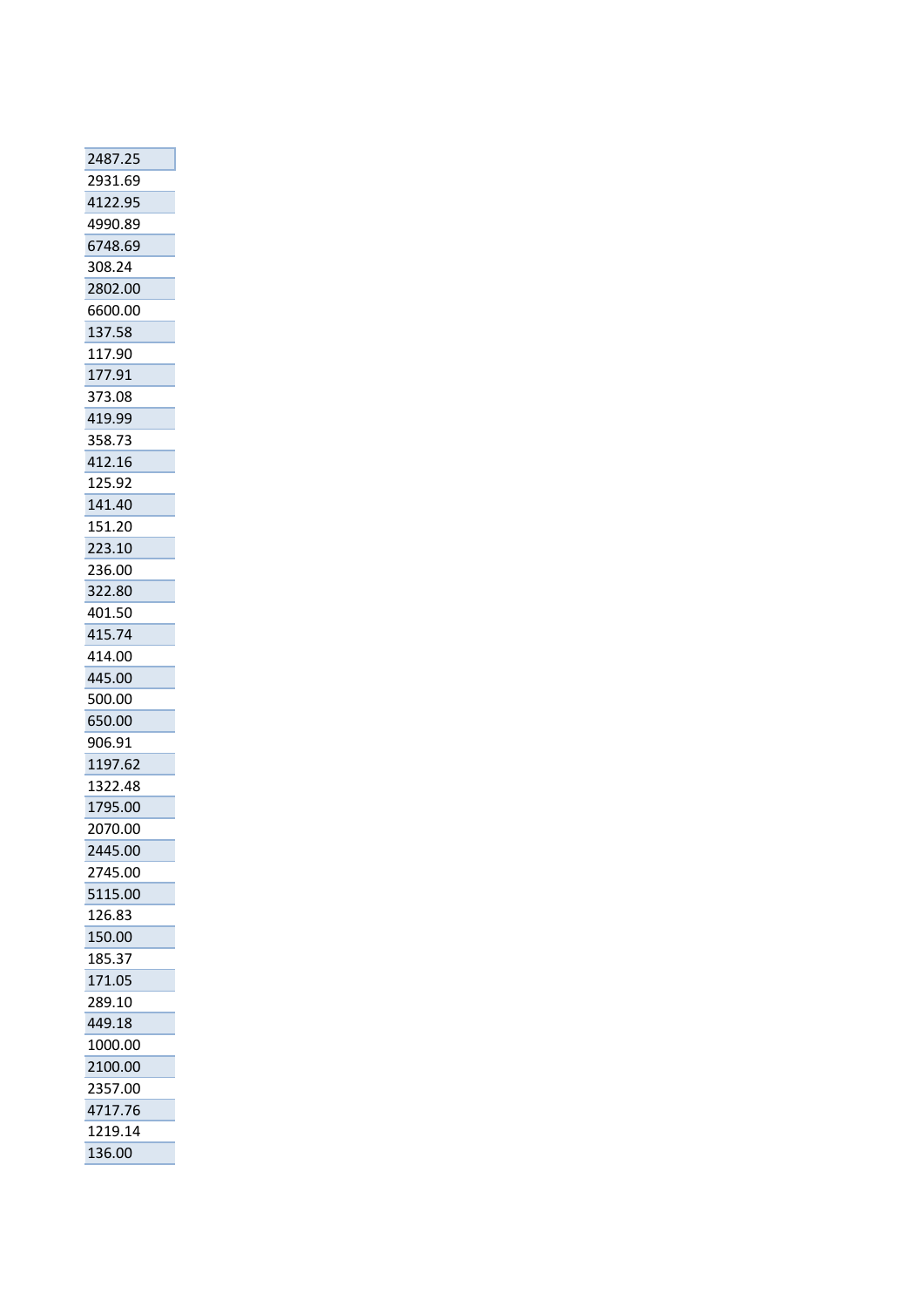| 2487.25            |
|--------------------|
| 2931.69            |
| 4122.95            |
| 4990.89            |
| 6748.69            |
| 308.24             |
| 2802.00            |
| 6600.00            |
| 137.58             |
| 117.90             |
| 177.91             |
| 373.08             |
| 419.99             |
| 358.73             |
| 412.16             |
| 125.92             |
| 141.40             |
| 151.20             |
| 223.10             |
| 236.00             |
| 322.80             |
| 401.50             |
| 415.74             |
| 414.00             |
| 445.00             |
| 500.00             |
| 650.00             |
| 906.91             |
| 1197.62            |
|                    |
| 1322.48<br>1795.00 |
|                    |
| 2070.00            |
| 2445.00            |
| 2745.00            |
| 5115.00            |
| 126.83             |
| 150.00             |
| 185.37             |
| 171.05             |
| 289.10             |
| 449.18             |
| 1000.00            |
| 2100.00            |
| 2357.00            |
|                    |
| 4717.76            |
| 1219.14<br>136.00  |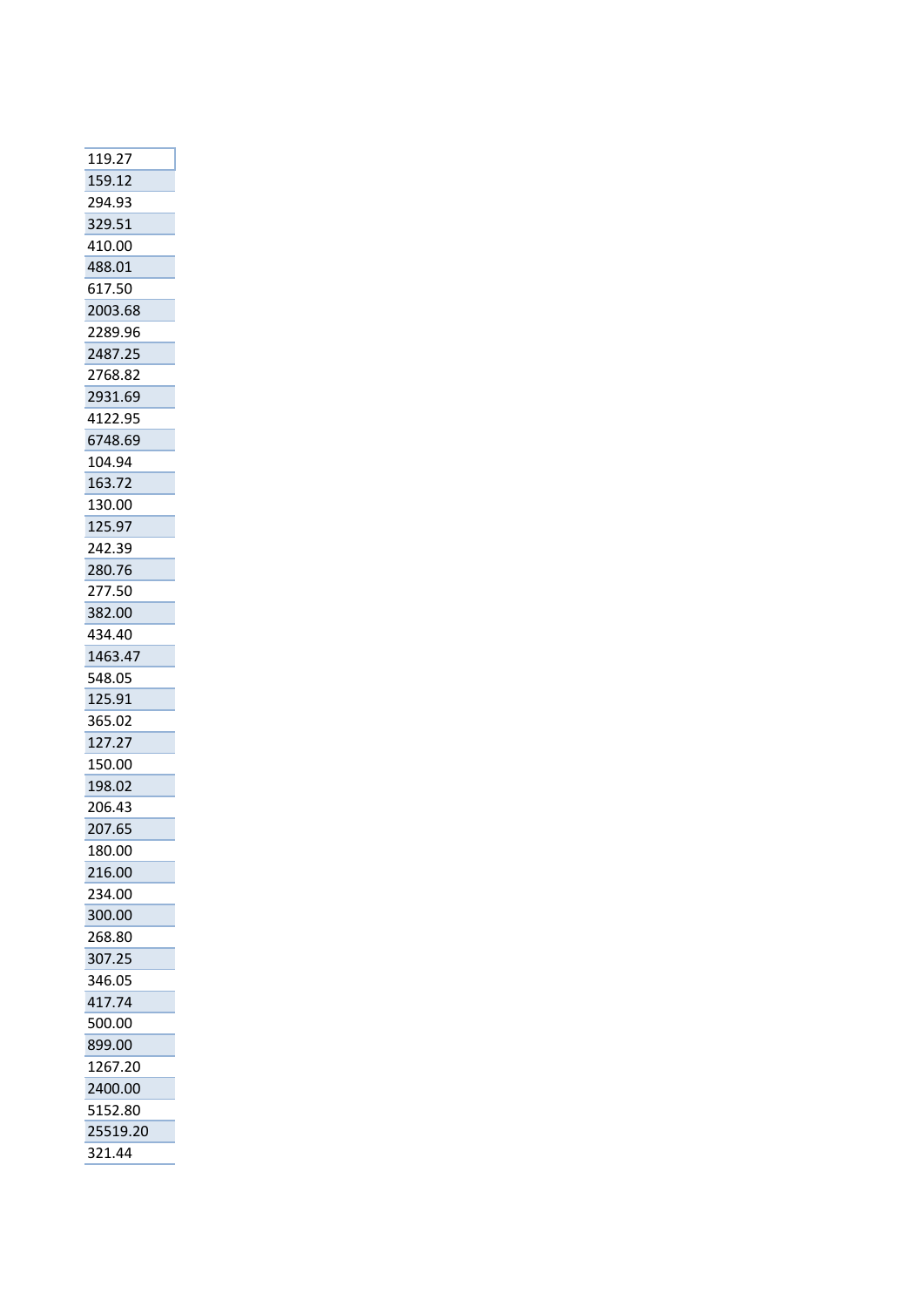| 119.27   |
|----------|
| 159.12   |
| 294.93   |
| 329.51   |
| 410.00   |
| 488.01   |
| 617.50   |
| 2003.68  |
| 2289.96  |
| 2487.25  |
| 2768.82  |
| 2931.69  |
| 4122.95  |
| 6748.69  |
| 104.94   |
| 163.72   |
| 130.00   |
| 125.97   |
| 242.39   |
| 280.76   |
| 277.50   |
| 382.00   |
| 434.40   |
| 1463.47  |
| 548.05   |
| 125.91   |
| 365.02   |
| 127.27   |
| 150.00   |
| 198.02   |
| 206.43   |
| 207.65   |
| 180.00   |
| 216.00   |
| 234.00   |
| 300.00   |
| 268.80   |
| 307.25   |
| 346.05   |
| 417.74   |
| 500.00   |
| 899.00   |
| 1267.20  |
| 2400.00  |
| 5152.80  |
| 25519.20 |
| 321.44   |
|          |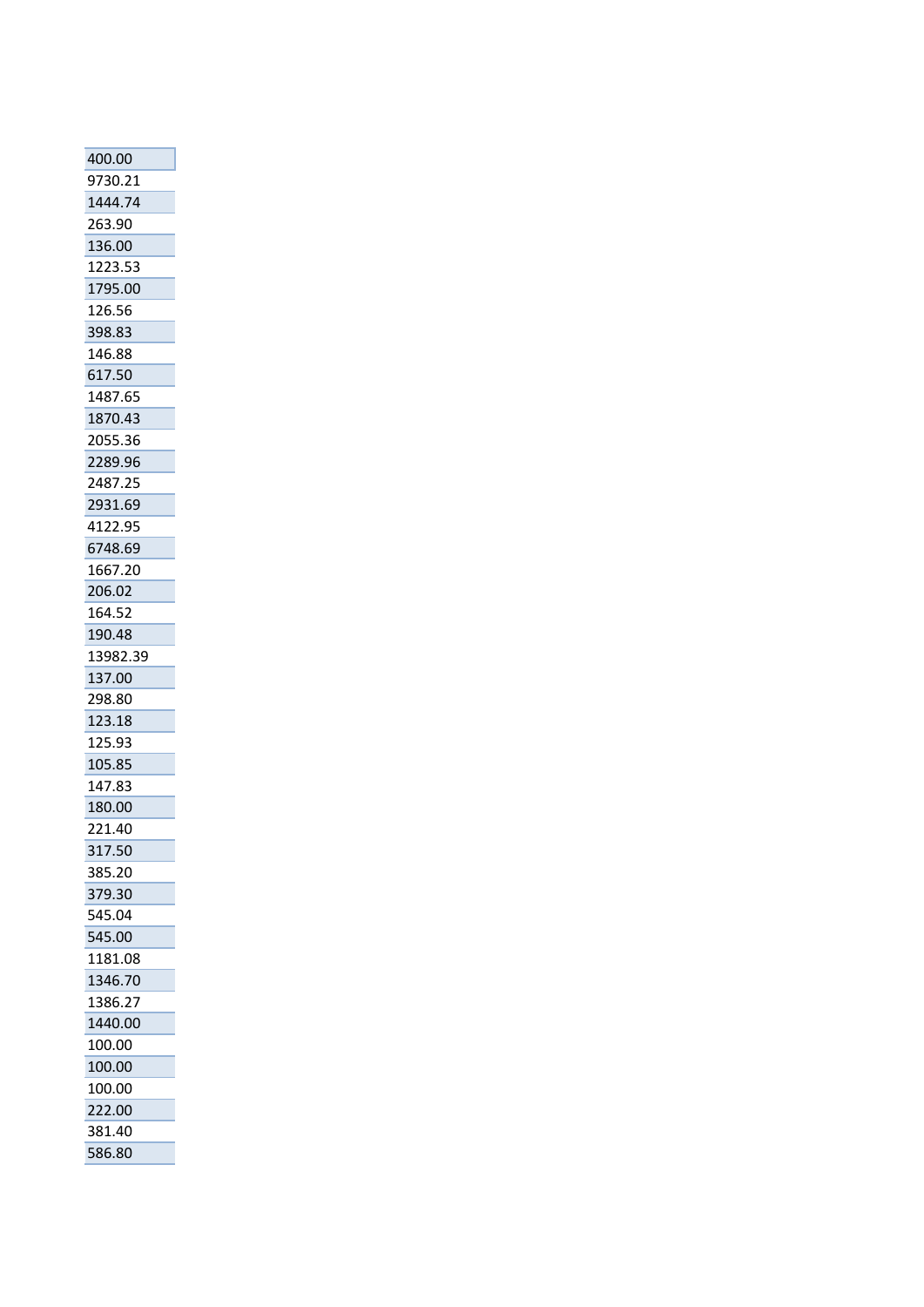| 400.00   |
|----------|
| 9730.21  |
| 1444.74  |
| 263.90   |
| 136.00   |
| 1223.53  |
| 1795.00  |
| 126.56   |
| 398.83   |
| 146.88   |
| 617.50   |
| 1487.65  |
| 1870.43  |
| 2055.36  |
| 2289.96  |
| 2487.25  |
| 2931.69  |
| 4122.95  |
| 6748.69  |
| 1667.20  |
| 206.02   |
| 164.52   |
| 190.48   |
| 13982.39 |
| 137.00   |
| 298.80   |
| 123.18   |
| 125.93   |
| 105.85   |
| 147.83   |
| 180.00   |
| 221.40   |
| 317.50   |
| 385.20   |
| 379.30   |
| 545.04   |
| 545.00   |
| 1181.08  |
| 1346.70  |
| 1386.27  |
| 1440.00  |
| 100.00   |
| 100.00   |
| 100.00   |
| 222.00   |
| 381.40   |
| 586.80   |
|          |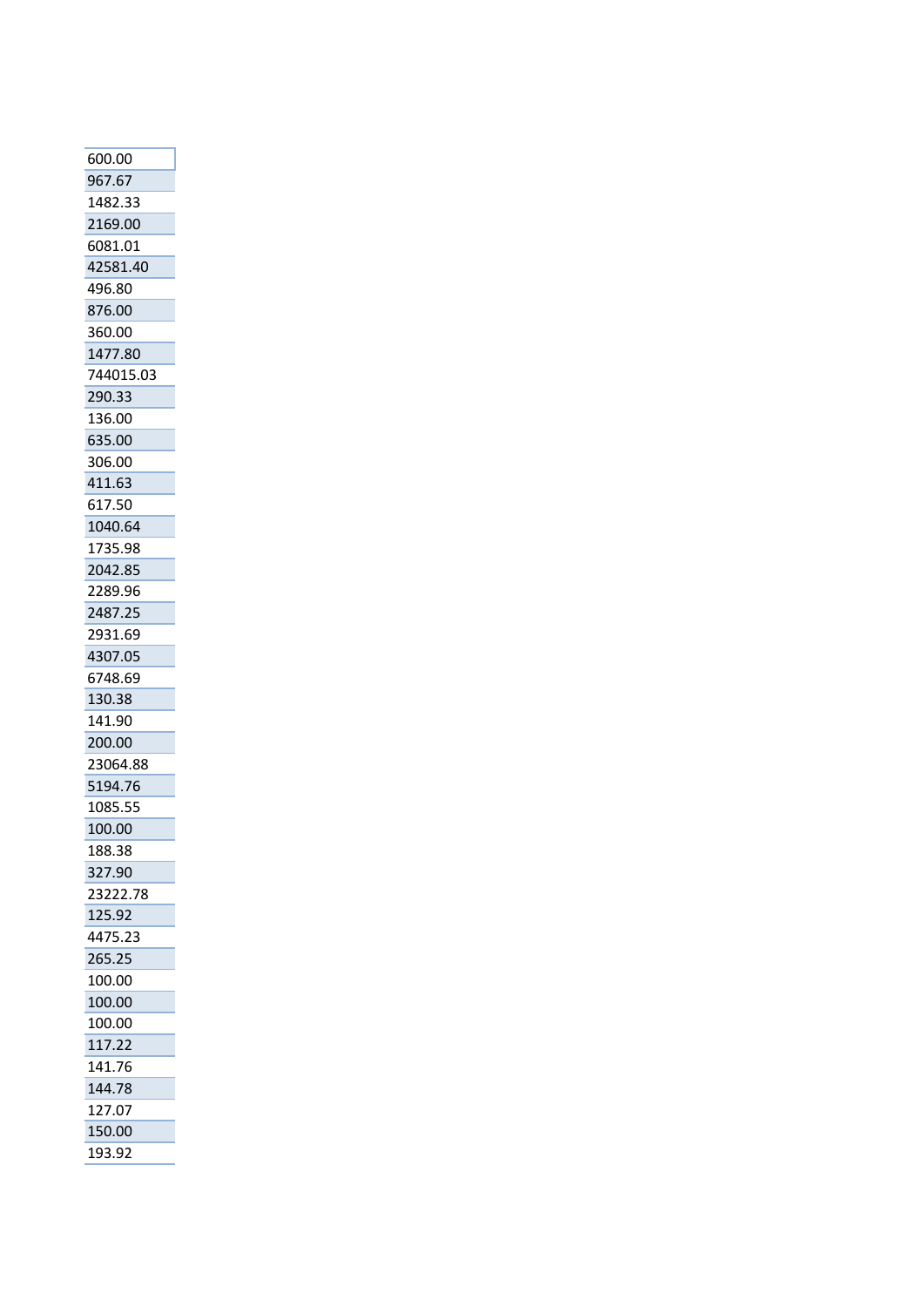| 600.00    |
|-----------|
| 967.67    |
| 1482.33   |
| 2169.00   |
| 6081.01   |
| 42581.40  |
| 496.80    |
| 876.00    |
| 360.00    |
| 1477.80   |
| 744015.03 |
| 290.33    |
|           |
| 136.00    |
| 635.00    |
| 306.00    |
| 411.63    |
| 617.50    |
| 1040.64   |
| 1735.98   |
| 2042.85   |
| 2289.96   |
| 2487.25   |
| 2931.69   |
| 4307.05   |
| 6748.69   |
| 130.38    |
| 141.90    |
| 200.00    |
| 23064.88  |
| 5194.76   |
| 1085.55   |
| 100.00    |
| 188.38    |
| 327.90    |
| 23222.78  |
| 125.92    |
| 4475.23   |
|           |
| 265.25    |
| 100.00    |
| 100.00    |
| 100.00    |
| 117.22    |
| 141.76    |
| 144.78    |
| 127.07    |
| 150.00    |
| 193.92    |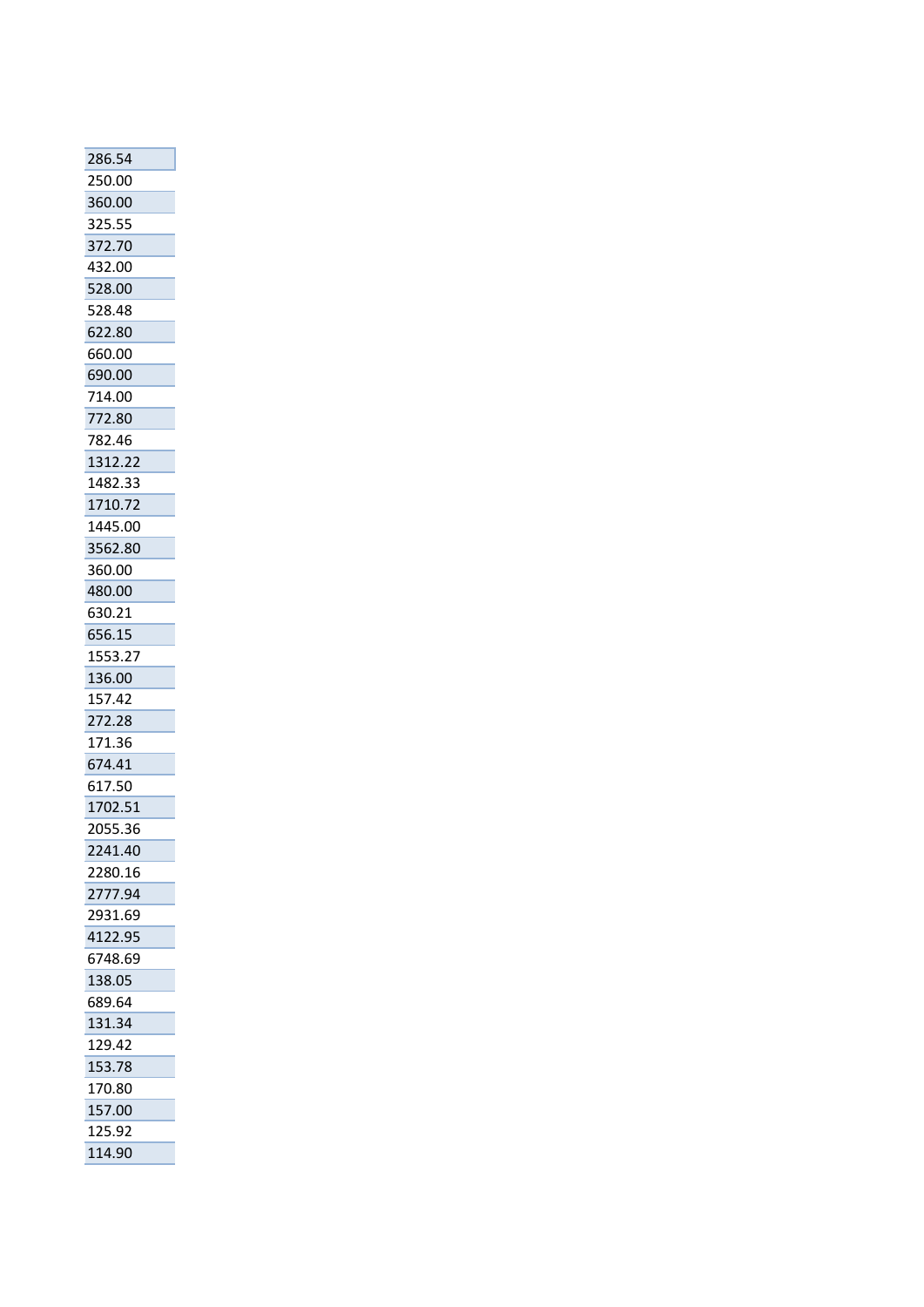| 286.54           |
|------------------|
| 250.00           |
| 360.00           |
| 325.55           |
| 372.70           |
| 432.00           |
| 528.00           |
| 528.48           |
| 622.80           |
| 660.00           |
| 690.00           |
| 714.00           |
| 772.80           |
| 782.46           |
| 1312.22          |
| 1482.33          |
| 1710.72          |
| 1445.00          |
| 3562.80          |
| 360.00           |
| 480.00           |
| 630.21           |
| 656.15           |
| 1553.27          |
| 136.00           |
| 157.42           |
| 272.28           |
| 171.36           |
| 674.41           |
| 617.50           |
| 1702.51          |
| 2055.36          |
| 2241.40          |
| 2280.16          |
| 2777.94          |
| 2931.69          |
| 4122.95          |
| 6748.69          |
| 138.05<br>689.64 |
| 131.34           |
| 129.42           |
| 153.78           |
| 170.80           |
| 157.00           |
| 125.92           |
| 114.90           |
|                  |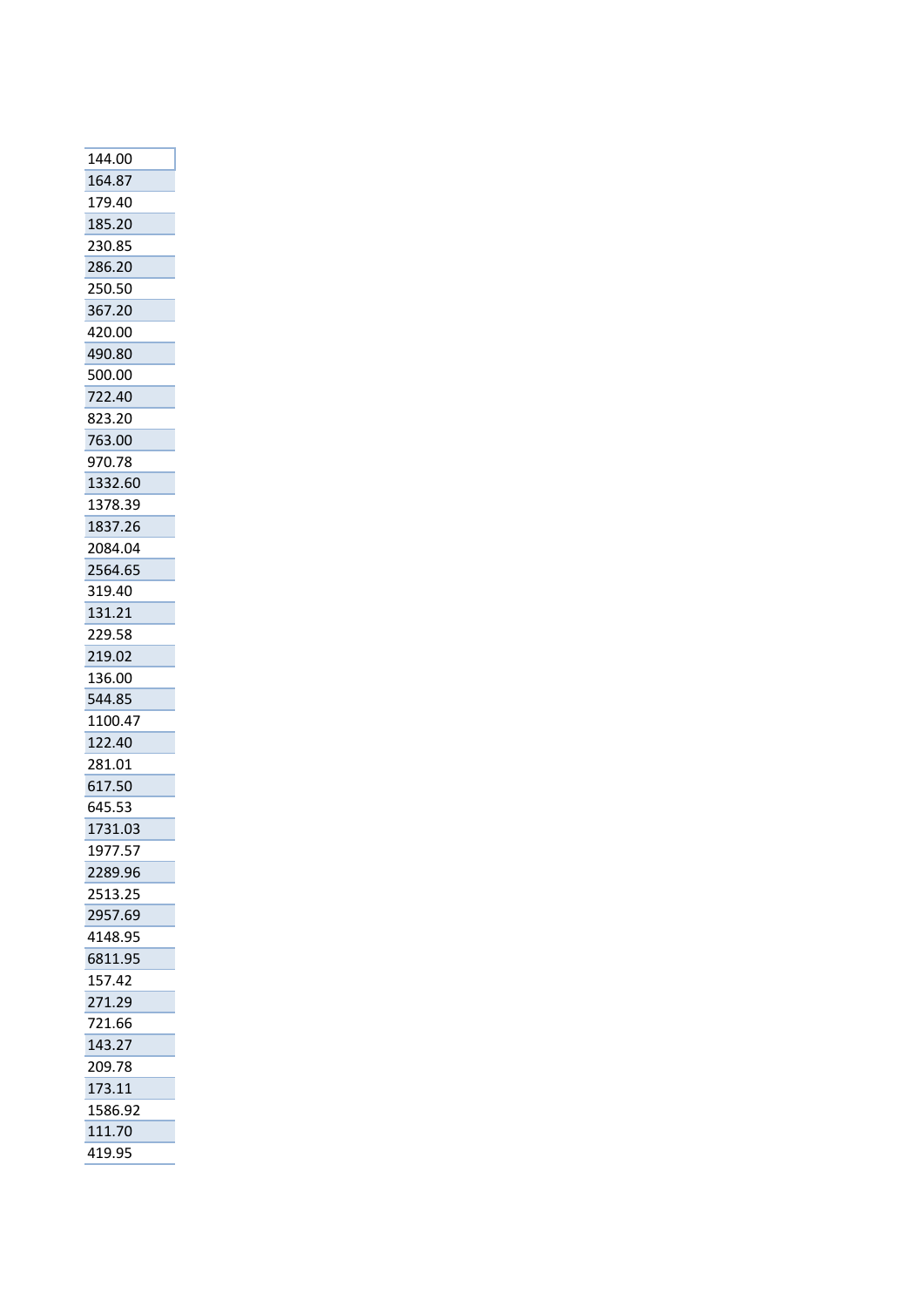| 144.00  |
|---------|
| 164.87  |
| 179.40  |
| 185.20  |
| 230.85  |
| 286.20  |
| 250.50  |
| 367.20  |
| 420.00  |
| 490.80  |
| 500.00  |
| 722.40  |
| 823.20  |
| 763.00  |
| 970.78  |
| 1332.60 |
| 1378.39 |
| 1837.26 |
| 2084.04 |
| 2564.65 |
| 319.40  |
| 131.21  |
| 229.58  |
| 219.02  |
| 136.00  |
| 544.85  |
| 1100.47 |
| 122.40  |
| 281.01  |
| 617.50  |
| 645.53  |
| 1731.03 |
| 1977.57 |
| 2289.96 |
| 2513.25 |
| 2957.69 |
| 4148.95 |
| 6811.95 |
| 157.42  |
| 271.29  |
| 721.66  |
| 143.27  |
| 209.78  |
| 173.11  |
| 1586.92 |
| 111.70  |
| 419.95  |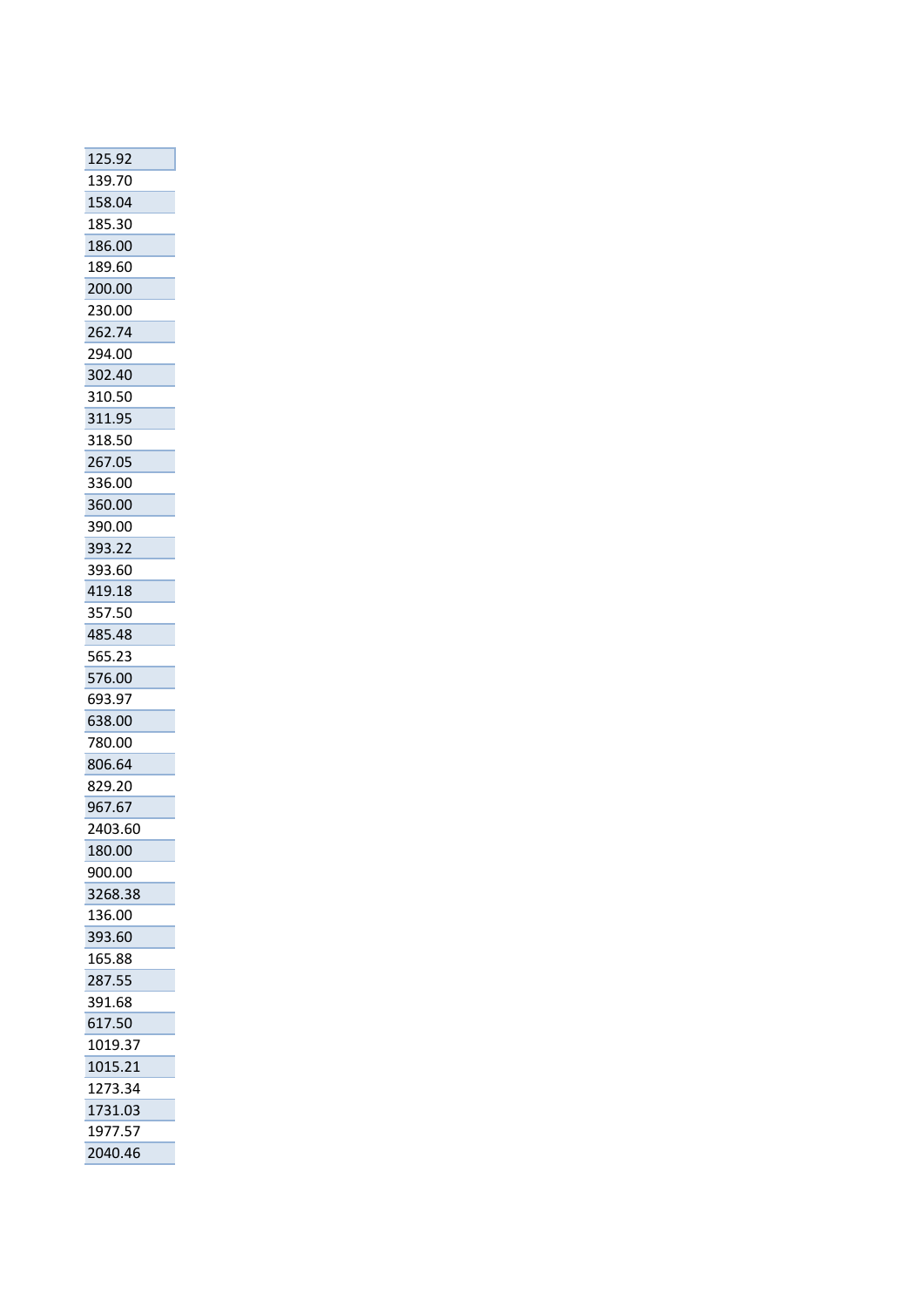| 125.92  |
|---------|
| 139.70  |
| 158.04  |
| 185.30  |
| 186.00  |
| 189.60  |
| 200.00  |
| 230.00  |
| 262.74  |
| 294.00  |
| 302.40  |
| 310.50  |
| 311.95  |
| 318.50  |
| 267.05  |
| 336.00  |
| 360.00  |
| 390.00  |
| 393.22  |
| 393.60  |
| 419.18  |
| 357.50  |
| 485.48  |
| 565.23  |
| 576.00  |
| 693.97  |
| 638.00  |
| 780.00  |
| 806.64  |
| 829.20  |
| 967.67  |
| 2403.60 |
| 180.00  |
| 900.00  |
| 3268.38 |
| 136.00  |
| 393.60  |
| 165.88  |
| 287.55  |
| 391.68  |
| 617.50  |
| 1019.37 |
| 1015.21 |
| 1273.34 |
| 1731.03 |
| 1977.57 |
| 2040.46 |